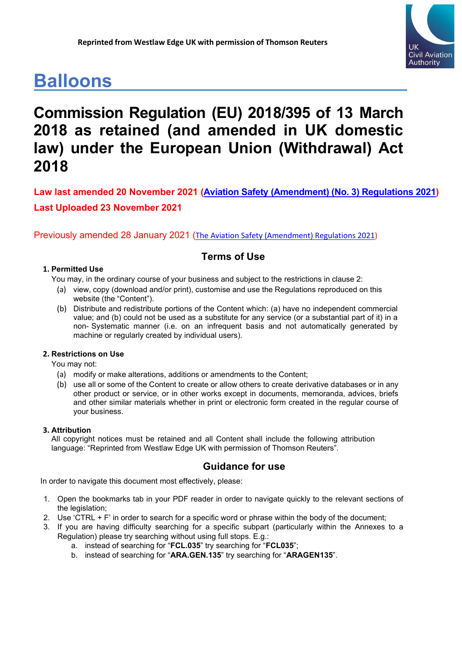# **Balloons**



## **Commission Regulation (EU) 2018/395 of 13 March 2018 as retained (and amended in UK domestic law) under the European Union (Withdrawal) Act 2018**

**Law last amended 20 November 2021 [\(Aviation Safety \(Amendment\) \(No. 3\) Regulations 2021\)](https://www.legislation.gov.uk/uksi/2021/1203/contents/made) Last Uploaded 23 November 2021**

Previously amended 28 January 2021 ([The Aviation Safety \(Amendment\) Regulations 2021\)](https://www.legislation.gov.uk/uksi/2021/10/regulation/1/made)

### **Terms of Use**

### **1. Permitted Use**

You may, in the ordinary course of your business and subject to the restrictions in clause 2:

- (a) view, copy (download and/or print), customise and use the Regulations reproduced on this website (the "Content").
- (b) Distribute and redistribute portions of the Content which: (a) have no independent commercial value; and (b) could not be used as a substitute for any service (or a substantial part of it) in a non- Systematic manner (i.e. on an infrequent basis and not automatically generated by machine or regularly created by individual users).

### **2. Restrictions on Use**

You may not:

- (a) modify or make alterations, additions or amendments to the Content;
- (b) use all or some of the Content to create or allow others to create derivative databases or in any other product or service, or in other works except in documents, memoranda, advices, briefs and other similar materials whether in print or electronic form created in the regular course of your business.

### **3. Attribution**

All copyright notices must be retained and all Content shall include the following attribution language: "Reprinted from Westlaw Edge UK with permission of Thomson Reuters".

### **Guidance for use**

In order to navigate this document most effectively, please:

- 1. Open the bookmarks tab in your PDF reader in order to navigate quickly to the relevant sections of the legislation;
- 2. Use 'CTRL + F' in order to search for a specific word or phrase within the body of the document;
- 3. If you are having difficulty searching for a specific subpart (particularly within the Annexes to a Regulation) please try searching without using full stops. E.g.:
	- a. instead of searching for "**FCL.035**" try searching for "**FCL035**";
	- b. instead of searching for "**ARA.GEN.135**" try searching for "**ARAGEN135**".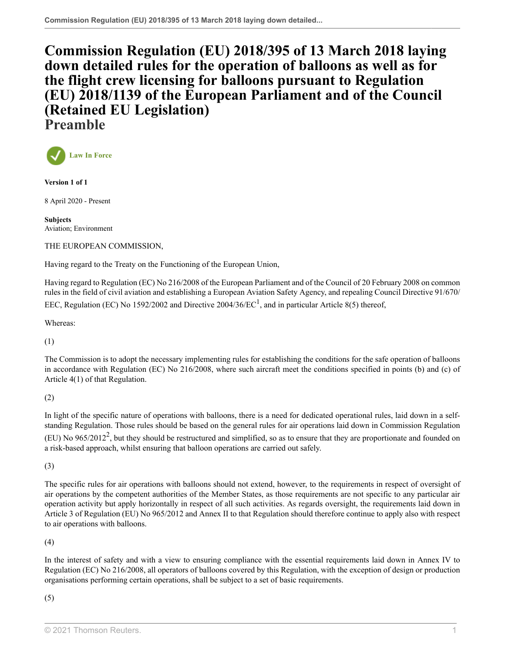**[Commission Regulation \(EU\) 2018/395 of 13 March 2018 laying](http://uk.westlaw.com/Document/I96A6BAF0F89B11EA8EECEDD71C743E8D/View/FullText.html?originationContext=document&transitionType=DocumentItem&vr=3.0&rs=PLUK1.0&contextData=(sc.Search)) [down detailed rules for the operation of balloons as well as for](http://uk.westlaw.com/Document/I96A6BAF0F89B11EA8EECEDD71C743E8D/View/FullText.html?originationContext=document&transitionType=DocumentItem&vr=3.0&rs=PLUK1.0&contextData=(sc.Search)) [the flight crew licensing for balloons pursuant to Regulation](http://uk.westlaw.com/Document/I96A6BAF0F89B11EA8EECEDD71C743E8D/View/FullText.html?originationContext=document&transitionType=DocumentItem&vr=3.0&rs=PLUK1.0&contextData=(sc.Search)) [\(EU\) 2018/1139 of the European Parliament and of the Council](http://uk.westlaw.com/Document/I96A6BAF0F89B11EA8EECEDD71C743E8D/View/FullText.html?originationContext=document&transitionType=DocumentItem&vr=3.0&rs=PLUK1.0&contextData=(sc.Search)) [\(Retained EU Legislation\)](http://uk.westlaw.com/Document/I96A6BAF0F89B11EA8EECEDD71C743E8D/View/FullText.html?originationContext=document&transitionType=DocumentItem&vr=3.0&rs=PLUK1.0&contextData=(sc.Search)) Preamble**



**Version 1 of 1**

8 April 2020 - Present

**Subjects** Aviation; Environment

THE EUROPEAN COMMISSION,

Having regard to the Treaty on the Functioning of the European Union,

<span id="page-1-0"></span>Having regard to Regulation (EC) No 216/2008 of the European Parliament and of the Council of 20 February 2008 on common rules in the field of civil aviation and establishing a European Aviation Safety Agency, and repealing Council Directive 91/670/ EEC, Regulation (EC) No [1](#page-2-0)592/2002 and Directive 2004/36/EC<sup>1</sup>, and in particular Article 8(5) thereof,

Whereas:

(1)

The Commission is to adopt the necessary implementing rules for establishing the conditions for the safe operation of balloons in accordance with Regulation (EC) No 216/2008, where such aircraft meet the conditions specified in points (b) and (c) of Article 4(1) of that Regulation.

### (2)

<span id="page-1-1"></span>In light of the specific nature of operations with balloons, there is a need for dedicated operational rules, laid down in a selfstanding Regulation. Those rules should be based on the general rules for air operations laid down in Commission Regulation (EU) No  $965/2012^2$  $965/2012^2$  $965/2012^2$ , but they should be restructured and simplified, so as to ensure that they are proportionate and founded on a risk-based approach, whilst ensuring that balloon operations are carried out safely.

(3)

The specific rules for air operations with balloons should not extend, however, to the requirements in respect of oversight of air operations by the competent authorities of the Member States, as those requirements are not specific to any particular air operation activity but apply horizontally in respect of all such activities. As regards oversight, the requirements laid down in Article 3 of Regulation (EU) No 965/2012 and Annex II to that Regulation should therefore continue to apply also with respect to air operations with balloons.

(4)

In the interest of safety and with a view to ensuring compliance with the essential requirements laid down in Annex IV to Regulation (EC) No 216/2008, all operators of balloons covered by this Regulation, with the exception of design or production organisations performing certain operations, shall be subject to a set of basic requirements.

(5)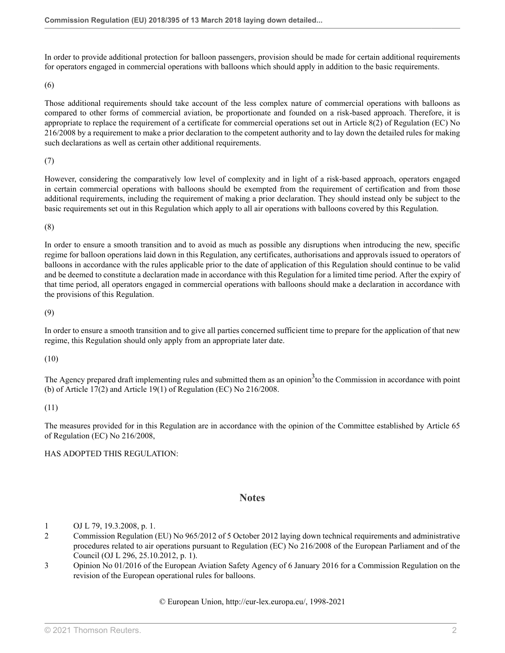In order to provide additional protection for balloon passengers, provision should be made for certain additional requirements for operators engaged in commercial operations with balloons which should apply in addition to the basic requirements.

(6)

Those additional requirements should take account of the less complex nature of commercial operations with balloons as compared to other forms of commercial aviation, be proportionate and founded on a risk-based approach. Therefore, it is appropriate to replace the requirement of a certificate for commercial operations set out in Article 8(2) of Regulation (EC) No 216/2008 by a requirement to make a prior declaration to the competent authority and to lay down the detailed rules for making such declarations as well as certain other additional requirements.

(7)

However, considering the comparatively low level of complexity and in light of a risk-based approach, operators engaged in certain commercial operations with balloons should be exempted from the requirement of certification and from those additional requirements, including the requirement of making a prior declaration. They should instead only be subject to the basic requirements set out in this Regulation which apply to all air operations with balloons covered by this Regulation.

(8)

In order to ensure a smooth transition and to avoid as much as possible any disruptions when introducing the new, specific regime for balloon operations laid down in this Regulation, any certificates, authorisations and approvals issued to operators of balloons in accordance with the rules applicable prior to the date of application of this Regulation should continue to be valid and be deemed to constitute a declaration made in accordance with this Regulation for a limited time period. After the expiry of that time period, all operators engaged in commercial operations with balloons should make a declaration in accordance with the provisions of this Regulation.

(9)

In order to ensure a smooth transition and to give all parties concerned sufficient time to prepare for the application of that new regime, this Regulation should only apply from an appropriate later date.

(10)

The Agency prepared draft implementing rules and submitted them as an opinion<sup>[3](#page-2-2)</sup> to the Commission in accordance with point (b) of Article 17(2) and Article 19(1) of Regulation (EC) No 216/2008.

(11)

The measures provided for in this Regulation are in accordance with the opinion of the Committee established by Article 65 of Regulation (EC) No 216/2008,

### HAS ADOPTED THIS REGULATION:

### <span id="page-2-3"></span>**Notes**

- <span id="page-2-0"></span>[1](#page-1-0) OJ L 79, 19.3.2008, p. 1.
- <span id="page-2-1"></span>[2](#page-1-1) Commission Regulation (EU) No 965/2012 of 5 October 2012 laying down technical requirements and administrative procedures related to air operations pursuant to Regulation (EC) No 216/2008 of the European Parliament and of the Council (OJ L 296, 25.10.2012, p. 1).
- <span id="page-2-2"></span>[3](#page-2-3) Opinion No 01/2016 of the European Aviation Safety Agency of 6 January 2016 for a Commission Regulation on the revision of the European operational rules for balloons.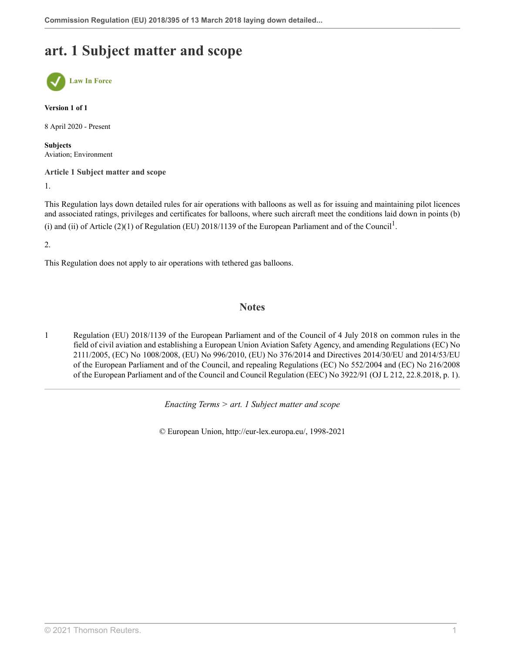## **art. 1 Subject matter and scope**



**Version 1 of 1**

8 April 2020 - Present

**Subjects** Aviation; Environment

**Article 1 Subject matter and scope**

1.

This Regulation lays down detailed rules for air operations with balloons as well as for issuing and maintaining pilot licences and associated ratings, privileges and certificates for balloons, where such aircraft meet the conditions laid down in points (b) (i) and (ii) of Article (2)([1](#page-3-0)) of Regulation (EU) 2018/1139 of the European Parliament and of the Council<sup>1</sup>.

2.

This Regulation does not apply to air operations with tethered gas balloons.

### <span id="page-3-1"></span>**Notes**

<span id="page-3-0"></span>[1](#page-3-1) Regulation (EU) 2018/1139 of the European Parliament and of the Council of 4 July 2018 on common rules in the field of civil aviation and establishing a European Union Aviation Safety Agency, and amending Regulations (EC) No 2111/2005, (EC) No 1008/2008, (EU) No 996/2010, (EU) No 376/2014 and Directives 2014/30/EU and 2014/53/EU of the European Parliament and of the Council, and repealing Regulations (EC) No 552/2004 and (EC) No 216/2008 of the European Parliament and of the Council and Council Regulation (EEC) No 3922/91 (OJ L 212, 22.8.2018, p. 1).

*Enacting Terms > art. 1 Subject matter and scope*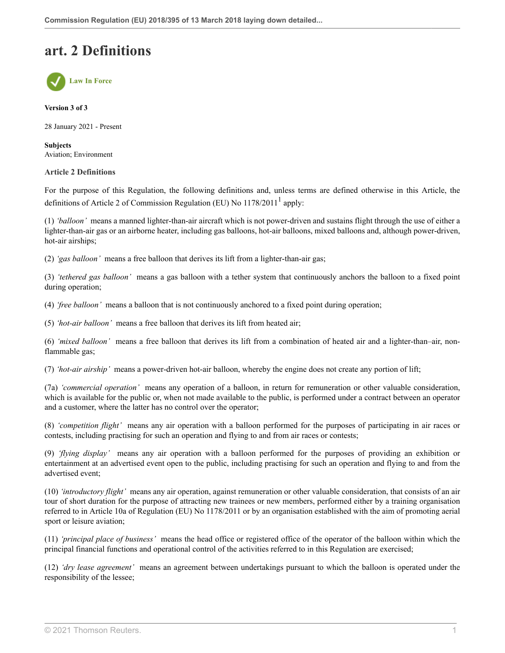## **art. 2 Definitions**



#### **Version 3 of 3**

28 January 2021 - Present

**Subjects** Aviation; Environment

#### **Article 2 Definitions**

<span id="page-4-0"></span>For the purpose of this Regulation, the following definitions and, unless terms are defined otherwise in this Article, the definitions of Article 2 of Commission Regulation (EU) No  $1178/2011<sup>1</sup>$  $1178/2011<sup>1</sup>$  apply:

(1) *'balloon'* means a manned lighter-than-air aircraft which is not power-driven and sustains flight through the use of either a lighter-than-air gas or an airborne heater, including gas balloons, hot-air balloons, mixed balloons and, although power-driven, hot-air airships;

(2) *'gas balloon'* means a free balloon that derives its lift from a lighter-than-air gas;

(3) *'tethered gas balloon'* means a gas balloon with a tether system that continuously anchors the balloon to a fixed point during operation;

(4) *'free balloon'* means a balloon that is not continuously anchored to a fixed point during operation;

(5) *'hot-air balloon'* means a free balloon that derives its lift from heated air;

(6) *'mixed balloon'* means a free balloon that derives its lift from a combination of heated air and a lighter-than–air, nonflammable gas;

(7) *'hot-air airship'* means a power-driven hot-air balloon, whereby the engine does not create any portion of lift;

(7a) *'commercial operation'* means any operation of a balloon, in return for remuneration or other valuable consideration, which is available for the public or, when not made available to the public, is performed under a contract between an operator and a customer, where the latter has no control over the operator;

(8) *'competition flight'* means any air operation with a balloon performed for the purposes of participating in air races or contests, including practising for such an operation and flying to and from air races or contests;

(9) *'flying display'* means any air operation with a balloon performed for the purposes of providing an exhibition or entertainment at an advertised event open to the public, including practising for such an operation and flying to and from the advertised event;

(10) *'introductory flight'* means any air operation, against remuneration or other valuable consideration, that consists of an air tour of short duration for the purpose of attracting new trainees or new members, performed either by a training organisation referred to in Article 10a of Regulation (EU) No 1178/2011 or by an organisation established with the aim of promoting aerial sport or leisure aviation;

(11) *'principal place of business'* means the head office or registered office of the operator of the balloon within which the principal financial functions and operational control of the activities referred to in this Regulation are exercised;

(12) *'dry lease agreement'* means an agreement between undertakings pursuant to which the balloon is operated under the responsibility of the lessee;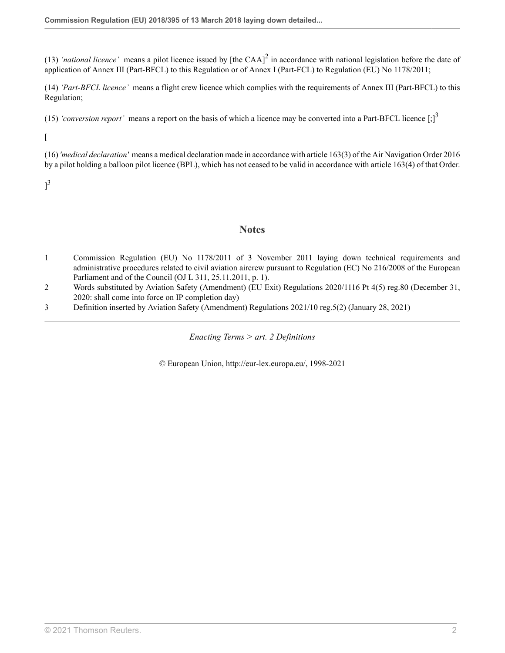(13) 'national licence' means a pilot licence issued by [the CAA] $<sup>2</sup>$  $<sup>2</sup>$  $<sup>2</sup>$  in accordance with national legislation before the date of</sup> application of Annex III (Part-BFCL) to this Regulation or of Annex I (Part-FCL) to Regulation (EU) No 1178/2011;

(14) *'Part-BFCL licence'* means a flight crew licence which complies with the requirements of Annex III (Part-BFCL) to this Regulation;

(15) 'conversion report' means a report on the basis of which a licence may be converted into a Part-BFCL licence  $\left[\cdot\right]^3$  $\left[\cdot\right]^3$ 

 $\lceil$ 

(16) *'medical declaration'* means a medical declaration made in accordance with [article 163\(3\)](http://uk.westlaw.com/Document/I0DF5435052E311E686C2D14C34A48DDE/View/FullText.html?originationContext=document&transitionType=DocumentItem&vr=3.0&rs=PLUK1.0&contextData=(sc.Search)) of the [Air Navigation Order 2016](http://uk.westlaw.com/Document/IFB20F86052E111E6A6AF8D1CDE5E7BD2/View/FullText.html?originationContext=document&transitionType=DocumentItem&vr=3.0&rs=PLUK1.0&contextData=(sc.Search)) by a pilot holding a balloon pilot licence (BPL), which has not ceased to be valid in accordance with [article 163\(4\)](http://uk.westlaw.com/Document/I0DF5435052E311E686C2D14C34A48DDE/View/FullText.html?originationContext=document&transitionType=DocumentItem&vr=3.0&rs=PLUK1.0&contextData=(sc.Search)) of that Order.

 $]^{3}$  $]^{3}$  $]^{3}$ 

### <span id="page-5-4"></span><span id="page-5-3"></span>**Notes**

- <span id="page-5-0"></span>[1](#page-4-0) Commission Regulation (EU) No 1178/2011 of 3 November 2011 laying down technical requirements and administrative procedures related to civil aviation aircrew pursuant to Regulation (EC) No 216/2008 of the European Parliament and of the Council (OJ L 311, 25.11.2011, p. 1).
- <span id="page-5-1"></span>[2](#page-5-3) Words substituted by Aviation Safety (Amendment) (EU Exit) Regulations 2020/1116 [Pt 4\(5\) reg.80](http://uk.westlaw.com/Document/I3A49D1700E9E11EBA7DFEE51C635DBBB/View/FullText.html?originationContext=document&transitionType=DocumentItem&vr=3.0&rs=PLUK1.0&contextData=(sc.Search)) (December 31, 2020: shall come into force on IP completion day)
- <span id="page-5-2"></span>[3](#page-5-4) Definition inserted by Aviation Safety (Amendment) Regulations 2021/10 [reg.5\(2\)](http://uk.westlaw.com/Document/IDE561C00523D11EBB02597D7573F1600/View/FullText.html?originationContext=document&transitionType=DocumentItem&vr=3.0&rs=PLUK1.0&contextData=(sc.Search)) (January 28, 2021)

*Enacting Terms > art. 2 Definitions*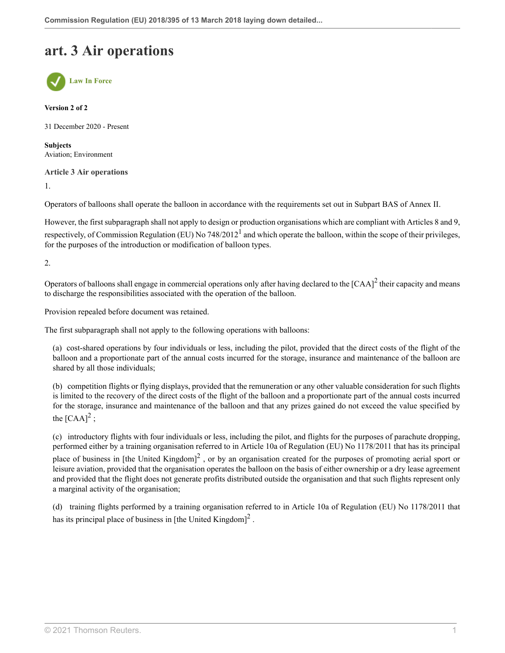## **art. 3 Air operations**



**Version 2 of 2**

31 December 2020 - Present

**Subjects** Aviation; Environment

**Article 3 Air operations**

1.

Operators of balloons shall operate the balloon in accordance with the requirements set out in Subpart BAS of Annex II.

<span id="page-6-0"></span>However, the first subparagraph shall not apply to design or production organisations which are compliant with Articles 8 and 9, respectively, of Commission Regulation (EU) No 748/20[1](#page-7-0)2<sup>1</sup> and which operate the balloon, within the scope of their privileges, for the purposes of the introduction or modification of balloon types.

2.

Operators of balloons shall engage in commercial operations only after having declared to the  $[CAA]^2$  $[CAA]^2$  their capacity and means to discharge the responsibilities associated with the operation of the balloon.

Provision repealed before document was retained.

The first subparagraph shall not apply to the following operations with balloons:

<span id="page-6-1"></span>(a) cost-shared operations by four individuals or less, including the pilot, provided that the direct costs of the flight of the balloon and a proportionate part of the annual costs incurred for the storage, insurance and maintenance of the balloon are shared by all those individuals;

(b) competition flights or flying displays, provided that the remuneration or any other valuable consideration for such flights is limited to the recovery of the direct costs of the flight of the balloon and a proportionate part of the annual costs incurred for the storage, insurance and maintenance of the balloon and that any prizes gained do not exceed the value specified by the  $[{\rm CAA}]^2$  $[{\rm CAA}]^2$ ;

(c) introductory flights with four individuals or less, including the pilot, and flights for the purposes of parachute dropping, performed either by a training organisation referred to in Article 10a of Regulation (EU) No 1178/2011 that has its principal

place of business in [the United Kingdom]<sup>[2](#page-7-1)</sup>, or by an organisation created for the purposes of promoting aerial sport or leisure aviation, provided that the organisation operates the balloon on the basis of either ownership or a dry lease agreement and provided that the flight does not generate profits distributed outside the organisation and that such flights represent only a marginal activity of the organisation;

(d) training flights performed by a training organisation referred to in Article 10a of Regulation (EU) No 1178/2011 that has its principal place of business in [the United Kingdom] $^2$  $^2$ .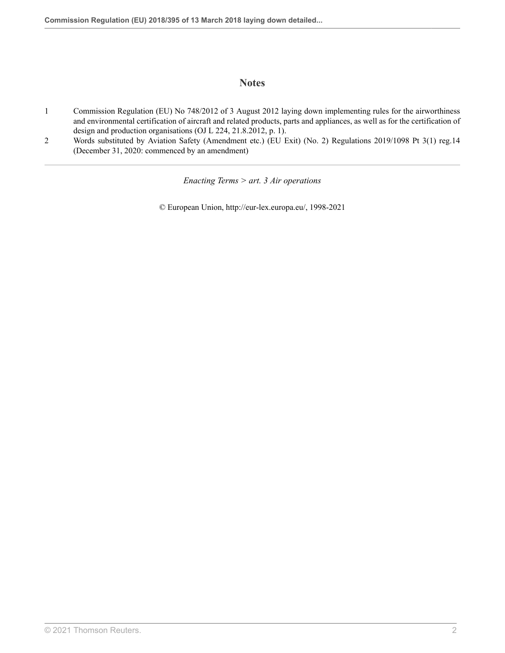### **Notes**

- <span id="page-7-0"></span>[1](#page-6-0) Commission Regulation (EU) No 748/2012 of 3 August 2012 laying down implementing rules for the airworthiness and environmental certification of aircraft and related products, parts and appliances, as well as for the certification of design and production organisations (OJ L 224, 21.8.2012, p. 1).
- <span id="page-7-1"></span>[2](#page-6-1) Words substituted by Aviation Safety (Amendment etc.) (EU Exit) (No. 2) Regulations 2019/1098 [Pt 3\(1\) reg.14](http://uk.westlaw.com/Document/I155A3190A46711E9AA46BDE62A47EF6F/View/FullText.html?originationContext=document&transitionType=DocumentItem&vr=3.0&rs=PLUK1.0&contextData=(sc.Search)) (December 31, 2020: commenced by an amendment)

*Enacting Terms > art. 3 Air operations*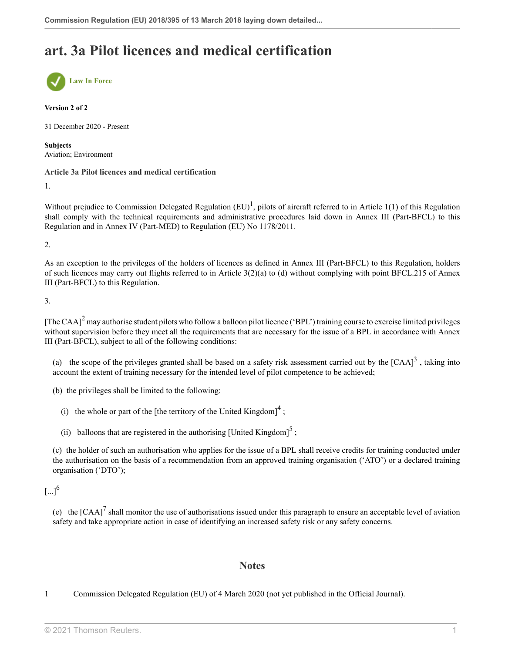## **art. 3a Pilot licences and medical certification**



#### **Version 2 of 2**

31 December 2020 - Present

**Subjects** Aviation; Environment

### **Article 3a Pilot licences and medical certification**

1.

<span id="page-8-1"></span>Without prejudice to Commission Delegated Regulation  $(EU)^{1}$  $(EU)^{1}$  $(EU)^{1}$ , pilots of aircraft referred to in Article 1(1) of this Regulation shall comply with the technical requirements and administrative procedures laid down in Annex III (Part-BFCL) to this Regulation and in Annex IV (Part-MED) to Regulation (EU) No 1178/2011.

2.

As an exception to the privileges of the holders of licences as defined in Annex III (Part-BFCL) to this Regulation, holders of such licences may carry out flights referred to in Article  $3(2)(a)$  to (d) without complying with point BFCL.215 of Annex III (Part-BFCL) to this Regulation.

3.

<span id="page-8-2"></span>[The CAA]<sup>[2](#page-9-0)</sup> may authorise student pilots who follow a balloon pilot licence ('BPL') training course to exercise limited privileges without supervision before they meet all the requirements that are necessary for the issue of a BPL in accordance with Annex III (Part-BFCL), subject to all of the following conditions:

(a) the scope of the privileges granted shall be based on a safety risk assessment carried out by the  $[CAA]<sup>3</sup>$  $[CAA]<sup>3</sup>$  $[CAA]<sup>3</sup>$ , taking into account the extent of training necessary for the intended level of pilot competence to be achieved;

(b) the privileges shall be limited to the following:

(i) the whole or part of the [the territory of the United Kingdom] $<sup>4</sup>$  $<sup>4</sup>$  $<sup>4</sup>$ ;</sup>

(ii) balloons that are registered in the authorising [United Kingdom]<sup>[5](#page-9-3)</sup>;

(c) the holder of such an authorisation who applies for the issue of a BPL shall receive credits for training conducted under the authorisation on the basis of a recommendation from an approved training organisation ('ATO') or a declared training organisation ('DTO');

<span id="page-8-6"></span> $[...]^{6}$  $[...]^{6}$  $[...]^{6}$ 

<span id="page-8-7"></span>(e) the  $[CAA]^7$  $[CAA]^7$  shall monitor the use of authorisations issued under this paragraph to ensure an acceptable level of aviation safety and take appropriate action in case of identifying an increased safety risk or any safety concerns.

### <span id="page-8-5"></span><span id="page-8-4"></span><span id="page-8-3"></span>**Notes**

<span id="page-8-0"></span>[1](#page-8-1) Commission Delegated Regulation (EU) of 4 March 2020 (not yet published in the Official Journal).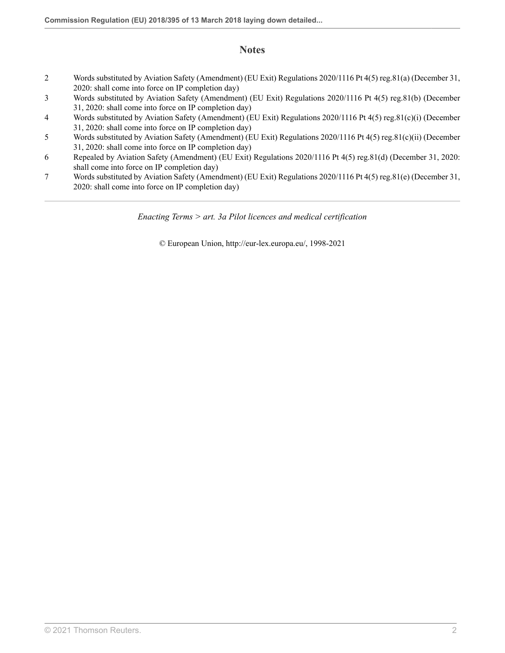### **Notes**

- <span id="page-9-0"></span>[2](#page-8-2) Words substituted by Aviation Safety (Amendment) (EU Exit) Regulations 2020/1116 [Pt 4\(5\) reg.81\(a\)](http://uk.westlaw.com/Document/I4DB919500E9E11EBA7DFEE51C635DBBB/View/FullText.html?originationContext=document&transitionType=DocumentItem&vr=3.0&rs=PLUK1.0&contextData=(sc.Search)) (December 31, 2020: shall come into force on IP completion day)
- <span id="page-9-1"></span>[3](#page-8-3) Words substituted by Aviation Safety (Amendment) (EU Exit) Regulations 2020/1116 [Pt 4\(5\) reg.81\(b\)](http://uk.westlaw.com/Document/I4DB919500E9E11EBA7DFEE51C635DBBB/View/FullText.html?originationContext=document&transitionType=DocumentItem&vr=3.0&rs=PLUK1.0&contextData=(sc.Search)) (December 31, 2020: shall come into force on IP completion day)
- <span id="page-9-2"></span>[4](#page-8-4) Words substituted by Aviation Safety (Amendment) (EU Exit) Regulations 2020/1116 [Pt 4\(5\) reg.81\(c\)\(i\)](http://uk.westlaw.com/Document/I4DB919500E9E11EBA7DFEE51C635DBBB/View/FullText.html?originationContext=document&transitionType=DocumentItem&vr=3.0&rs=PLUK1.0&contextData=(sc.Search)) (December 31, 2020: shall come into force on IP completion day)
- <span id="page-9-3"></span>[5](#page-8-5) Words substituted by Aviation Safety (Amendment) (EU Exit) Regulations 2020/1116 [Pt 4\(5\) reg.81\(c\)\(ii\)](http://uk.westlaw.com/Document/I4DB919500E9E11EBA7DFEE51C635DBBB/View/FullText.html?originationContext=document&transitionType=DocumentItem&vr=3.0&rs=PLUK1.0&contextData=(sc.Search)) (December 31, 2020: shall come into force on IP completion day)
- <span id="page-9-4"></span>[6](#page-8-6) Repealed by Aviation Safety (Amendment) (EU Exit) Regulations 2020/1116 [Pt 4\(5\) reg.81\(d\)](http://uk.westlaw.com/Document/I4DB919500E9E11EBA7DFEE51C635DBBB/View/FullText.html?originationContext=document&transitionType=DocumentItem&vr=3.0&rs=PLUK1.0&contextData=(sc.Search)) (December 31, 2020: shall come into force on IP completion day)
- <span id="page-9-5"></span>[7](#page-8-7) Words substituted by Aviation Safety (Amendment) (EU Exit) Regulations 2020/1116 [Pt 4\(5\) reg.81\(e\)](http://uk.westlaw.com/Document/I4DB919500E9E11EBA7DFEE51C635DBBB/View/FullText.html?originationContext=document&transitionType=DocumentItem&vr=3.0&rs=PLUK1.0&contextData=(sc.Search)) (December 31, 2020: shall come into force on IP completion day)

*Enacting Terms > art. 3a Pilot licences and medical certification*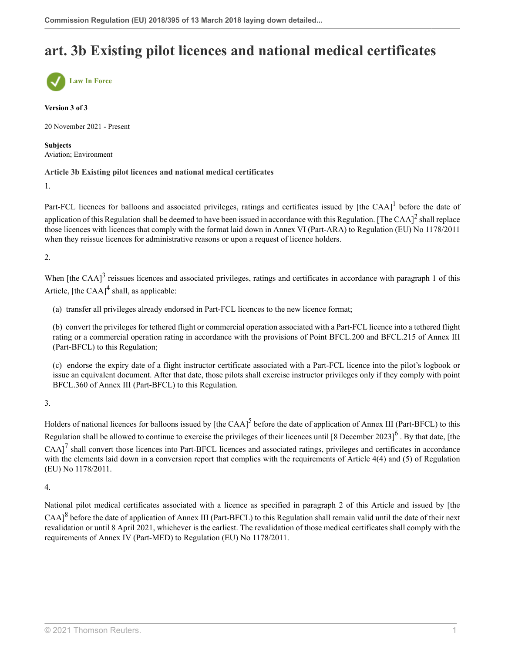## **art. 3b Existing pilot licences and national medical certificates**



#### **Version 3 of 3**

20 November 2021 - Present

**Subjects** Aviation; Environment

### **Article 3b Existing pilot licences and national medical certificates**

1.

<span id="page-10-1"></span><span id="page-10-0"></span>Part-FCL licences for balloons and associated privileges, ratings and certificates issued by [the CAA] $^1$  $^1$  before the date of application of this Regulation shall be deemed to have been issued in accordance with this Regulation. [The CAA] $^2$  $^2$  shall replace those licences with licences that comply with the format laid down in Annex VI (Part-ARA) to Regulation (EU) No 1178/2011 when they reissue licences for administrative reasons or upon a request of licence holders.

2.

<span id="page-10-2"></span>When [the CAA]<sup>[3](#page-11-2)</sup> reissues licences and associated privileges, ratings and certificates in accordance with paragraph 1 of this Article,  $[the CAA]$ <sup>[4](#page-11-3)</sup> shall, as applicable:

<span id="page-10-3"></span>(a) transfer all privileges already endorsed in Part-FCL licences to the new licence format;

(b) convert the privileges for tethered flight or commercial operation associated with a Part-FCL licence into a tethered flight rating or a commercial operation rating in accordance with the provisions of Point BFCL.200 and BFCL.215 of Annex III (Part-BFCL) to this Regulation;

<span id="page-10-5"></span><span id="page-10-4"></span>(c) endorse the expiry date of a flight instructor certificate associated with a Part-FCL licence into the pilot's logbook or issue an equivalent document. After that date, those pilots shall exercise instructor privileges only if they comply with point BFCL.360 of Annex III (Part-BFCL) to this Regulation.

3.

<span id="page-10-6"></span>Holders of national licences for balloons issued by [the CAA]<sup>[5](#page-11-4)</sup> before the date of application of Annex III (Part-BFCL) to this Regulation shall be allowed to continue to exercise the privileges of their licences until [8 December 2023] $^6$  $^6$ . By that date, [the  $CAA$ ]<sup>[7](#page-11-6)</sup> shall convert those licences into Part-BFCL licences and associated ratings, privileges and certificates in accordance with the elements laid down in a conversion report that complies with the requirements of Article 4(4) and (5) of Regulation (EU) No 1178/2011.

4.

<span id="page-10-7"></span>National pilot medical certificates associated with a licence as specified in paragraph 2 of this Article and issued by [the  $CAA$ <sup>[8](#page-11-7)</sup> before the date of application of Annex III (Part-BFCL) to this Regulation shall remain valid until the date of their next revalidation or until 8 April 2021, whichever is the earliest. The revalidation of those medical certificates shall comply with the requirements of Annex IV (Part-MED) to Regulation (EU) No 1178/2011.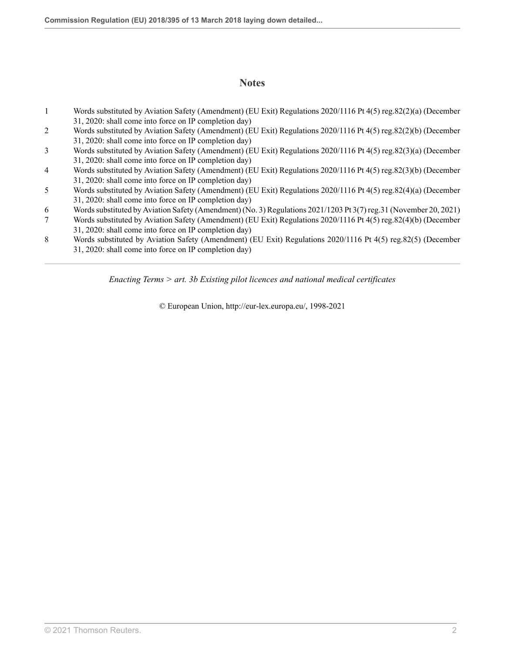### **Notes**

- <span id="page-11-0"></span>[1](#page-10-0) Words substituted by Aviation Safety (Amendment) (EU Exit) Regulations 2020/1116 [Pt 4\(5\) reg.82\(2\)\(a\)](http://uk.westlaw.com/Document/I76A8AEC00E9E11EBA7DFEE51C635DBBB/View/FullText.html?originationContext=document&transitionType=DocumentItem&vr=3.0&rs=PLUK1.0&contextData=(sc.Search)) (December 31, 2020: shall come into force on IP completion day)
- <span id="page-11-1"></span>[2](#page-10-1) Words substituted by Aviation Safety (Amendment) (EU Exit) Regulations 2020/1116 [Pt 4\(5\) reg.82\(2\)\(b\)](http://uk.westlaw.com/Document/I76A8AEC00E9E11EBA7DFEE51C635DBBB/View/FullText.html?originationContext=document&transitionType=DocumentItem&vr=3.0&rs=PLUK1.0&contextData=(sc.Search)) (December 31, 2020: shall come into force on IP completion day)
- <span id="page-11-2"></span>[3](#page-10-2) Words substituted by Aviation Safety (Amendment) (EU Exit) Regulations 2020/1116 [Pt 4\(5\) reg.82\(3\)\(a\)](http://uk.westlaw.com/Document/I76A8AEC00E9E11EBA7DFEE51C635DBBB/View/FullText.html?originationContext=document&transitionType=DocumentItem&vr=3.0&rs=PLUK1.0&contextData=(sc.Search)) (December 31, 2020: shall come into force on IP completion day)
- <span id="page-11-3"></span>[4](#page-10-3) Words substituted by Aviation Safety (Amendment) (EU Exit) Regulations 2020/1116 [Pt 4\(5\) reg.82\(3\)\(b\)](http://uk.westlaw.com/Document/I76A8AEC00E9E11EBA7DFEE51C635DBBB/View/FullText.html?originationContext=document&transitionType=DocumentItem&vr=3.0&rs=PLUK1.0&contextData=(sc.Search)) (December 31, 2020: shall come into force on IP completion day)
- <span id="page-11-4"></span>[5](#page-10-4) Words substituted by Aviation Safety (Amendment) (EU Exit) Regulations 2020/1116 [Pt 4\(5\) reg.82\(4\)\(a\)](http://uk.westlaw.com/Document/I76A8AEC00E9E11EBA7DFEE51C635DBBB/View/FullText.html?originationContext=document&transitionType=DocumentItem&vr=3.0&rs=PLUK1.0&contextData=(sc.Search)) (December 31, 2020: shall come into force on IP completion day)
- <span id="page-11-5"></span>[6](#page-10-5) Words substituted by Aviation Safety (Amendment) (No. 3) Regulations 2021/1203 [Pt 3\(7\) reg.31](http://uk.westlaw.com/Document/IDAFB57403A3711EC8C3F8DC6E4B22D01/View/FullText.html?originationContext=document&transitionType=DocumentItem&vr=3.0&rs=PLUK1.0&contextData=(sc.Search)) (November 20, 2021)
- <span id="page-11-6"></span>[7](#page-10-6) Words substituted by Aviation Safety (Amendment) (EU Exit) Regulations 2020/1116 [Pt 4\(5\) reg.82\(4\)\(b\)](http://uk.westlaw.com/Document/I76A8AEC00E9E11EBA7DFEE51C635DBBB/View/FullText.html?originationContext=document&transitionType=DocumentItem&vr=3.0&rs=PLUK1.0&contextData=(sc.Search)) (December 31, 2020: shall come into force on IP completion day)
- <span id="page-11-7"></span>[8](#page-10-7) Words substituted by Aviation Safety (Amendment) (EU Exit) Regulations 2020/1116 [Pt 4\(5\) reg.82\(5\)](http://uk.westlaw.com/Document/I76A8AEC00E9E11EBA7DFEE51C635DBBB/View/FullText.html?originationContext=document&transitionType=DocumentItem&vr=3.0&rs=PLUK1.0&contextData=(sc.Search)) (December 31, 2020: shall come into force on IP completion day)

*Enacting Terms > art. 3b Existing pilot licences and national medical certificates*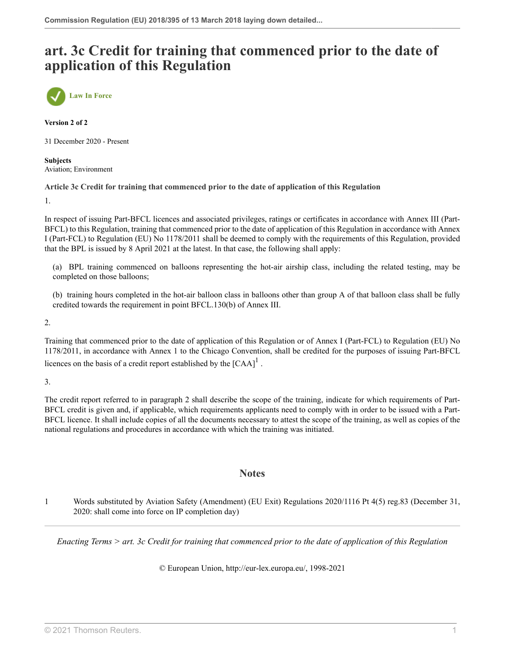## **art. 3c Credit for training that commenced prior to the date of application of this Regulation**



**Version 2 of 2**

31 December 2020 - Present

**Subjects** Aviation; Environment

### **Article 3c Credit for training that commenced prior to the date of application of this Regulation**

1.

In respect of issuing Part-BFCL licences and associated privileges, ratings or certificates in accordance with Annex III (Part-BFCL) to this Regulation, training that commenced prior to the date of application of this Regulation in accordance with Annex I (Part-FCL) to Regulation (EU) No 1178/2011 shall be deemed to comply with the requirements of this Regulation, provided that the BPL is issued by 8 April 2021 at the latest. In that case, the following shall apply:

(a) BPL training commenced on balloons representing the hot-air airship class, including the related testing, may be completed on those balloons;

(b) training hours completed in the hot-air balloon class in balloons other than group A of that balloon class shall be fully credited towards the requirement in point BFCL.130(b) of Annex III.

2.

Training that commenced prior to the date of application of this Regulation or of Annex I (Part-FCL) to Regulation (EU) No 1178/2011, in accordance with Annex 1 to the Chicago Convention, shall be credited for the purposes of issuing Part-BFCL licences on the basis of a credit report established by the  $[{\rm CAA}]^1$  $[{\rm CAA}]^1$ .

3.

The credit report referred to in paragraph 2 shall describe the scope of the training, indicate for which requirements of Part-BFCL credit is given and, if applicable, which requirements applicants need to comply with in order to be issued with a Part-BFCL licence. It shall include copies of all the documents necessary to attest the scope of the training, as well as copies of the national regulations and procedures in accordance with which the training was initiated.

### <span id="page-12-1"></span>**Notes**

<span id="page-12-0"></span>[1](#page-12-1) Words substituted by Aviation Safety (Amendment) (EU Exit) Regulations 2020/1116 [Pt 4\(5\) reg.83](http://uk.westlaw.com/Document/I3C4B6DD00E9E11EBA7DFEE51C635DBBB/View/FullText.html?originationContext=document&transitionType=DocumentItem&vr=3.0&rs=PLUK1.0&contextData=(sc.Search)) (December 31, 2020: shall come into force on IP completion day)

*Enacting Terms > art. 3c Credit for training that commenced prior to the date of application of this Regulation*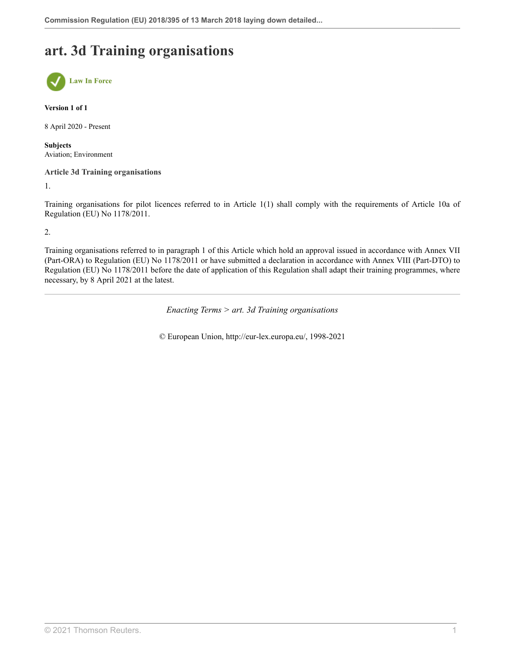## **art. 3d Training organisations**



#### **Version 1 of 1**

8 April 2020 - Present

**Subjects** Aviation; Environment

### **Article 3d Training organisations**

1.

Training organisations for pilot licences referred to in Article 1(1) shall comply with the requirements of Article 10a of Regulation (EU) No 1178/2011.

2.

Training organisations referred to in paragraph 1 of this Article which hold an approval issued in accordance with Annex VII (Part-ORA) to Regulation (EU) No 1178/2011 or have submitted a declaration in accordance with Annex VIII (Part-DTO) to Regulation (EU) No 1178/2011 before the date of application of this Regulation shall adapt their training programmes, where necessary, by 8 April 2021 at the latest.

*Enacting Terms > art. 3d Training organisations*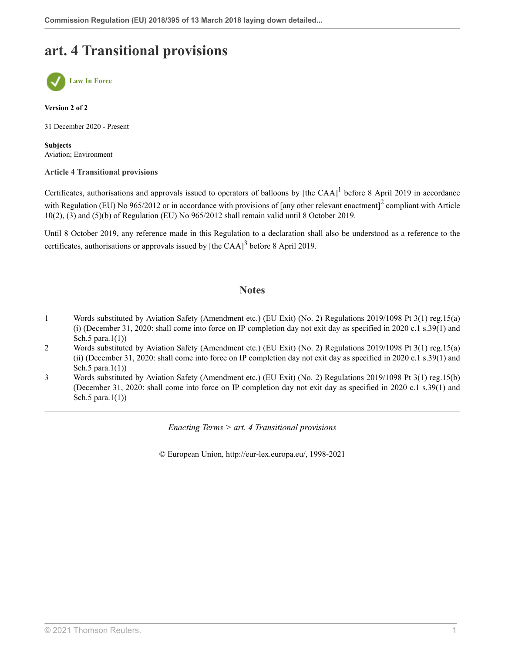## **art. 4 Transitional provisions**



**Version 2 of 2**

31 December 2020 - Present

**Subjects** Aviation; Environment

### **Article 4 Transitional provisions**

Certificates, authorisations and approvals issued to operators of balloons by [the CAA] $^1$  $^1$  before 8 April 2019 in accordance with Regulation (EU) No 965/[2](#page-14-1)012 or in accordance with provisions of [any other relevant enactment]<sup>2</sup> compliant with Article 10(2), (3) and (5)(b) of Regulation (EU) No 965/2012 shall remain valid until 8 October 2019.

Until 8 October 2019, any reference made in this Regulation to a declaration shall also be understood as a reference to the certificates, authorisations or approvals issued by [the CAA] $3$  before 8 April 2019.

### <span id="page-14-5"></span><span id="page-14-4"></span><span id="page-14-3"></span>**Notes**

- <span id="page-14-0"></span>[1](#page-14-3) Words substituted by Aviation Safety (Amendment etc.) (EU Exit) (No. 2) Regulations 2019/1098 [Pt 3\(1\) reg.15\(a\)](http://uk.westlaw.com/Document/IAD2C1E80A46611E9AA46BDE62A47EF6F/View/FullText.html?originationContext=document&transitionType=DocumentItem&vr=3.0&rs=PLUK1.0&contextData=(sc.Search)) [\(i\)](http://uk.westlaw.com/Document/IAD2C1E80A46611E9AA46BDE62A47EF6F/View/FullText.html?originationContext=document&transitionType=DocumentItem&vr=3.0&rs=PLUK1.0&contextData=(sc.Search)) (December 31, 2020: shall come into force on IP completion day not exit day as specified in 2020 c.1 s.39(1) and Sch.5 para. $1(1)$ )
- <span id="page-14-1"></span>[2](#page-14-4) Words substituted by Aviation Safety (Amendment etc.) (EU Exit) (No. 2) Regulations 2019/1098 [Pt 3\(1\) reg.15\(a\)](http://uk.westlaw.com/Document/IAD2C1E80A46611E9AA46BDE62A47EF6F/View/FullText.html?originationContext=document&transitionType=DocumentItem&vr=3.0&rs=PLUK1.0&contextData=(sc.Search)) [\(ii\)](http://uk.westlaw.com/Document/IAD2C1E80A46611E9AA46BDE62A47EF6F/View/FullText.html?originationContext=document&transitionType=DocumentItem&vr=3.0&rs=PLUK1.0&contextData=(sc.Search)) (December 31, 2020: shall come into force on IP completion day not exit day as specified in 2020 c.1 s.39(1) and Sch.5 para. $1(1)$ )
- <span id="page-14-2"></span>[3](#page-14-5) Words substituted by Aviation Safety (Amendment etc.) (EU Exit) (No. 2) Regulations 2019/1098 [Pt 3\(1\) reg.15\(b\)](http://uk.westlaw.com/Document/IAD2C1E80A46611E9AA46BDE62A47EF6F/View/FullText.html?originationContext=document&transitionType=DocumentItem&vr=3.0&rs=PLUK1.0&contextData=(sc.Search)) (December 31, 2020: shall come into force on IP completion day not exit day as specified in 2020 c.1 s.39(1) and Sch.5 para. $1(1)$ )

*Enacting Terms > art. 4 Transitional provisions*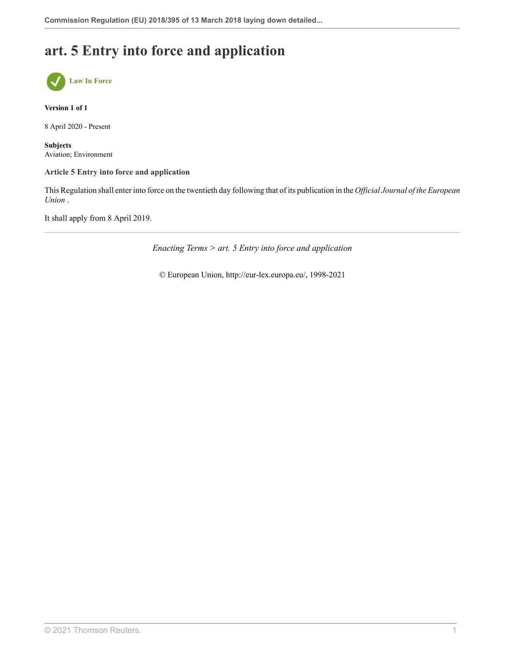## **art. 5 Entry into force and application**



**Version 1 of 1**

8 April 2020 - Present

**Subjects** Aviation; Environment

### **Article 5 Entry into force and application**

This Regulation shall enter into force on the twentieth day following that of its publication in the *Official Journal of the European Union* .

It shall apply from 8 April 2019.

*Enacting Terms > art. 5 Entry into force and application*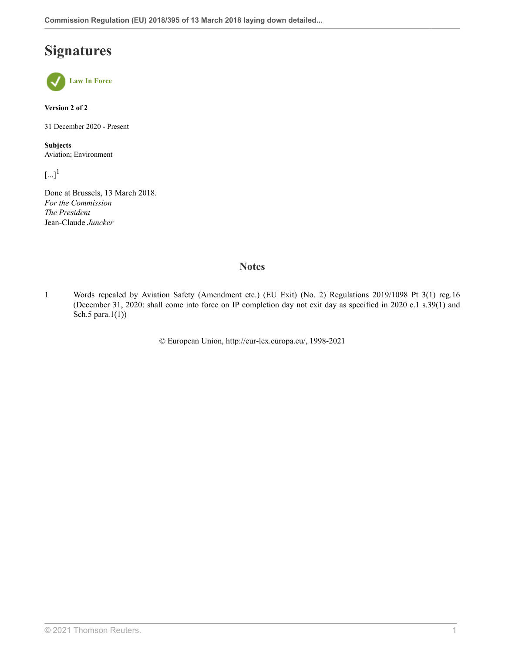## **Signatures**



**Version 2 of 2**

31 December 2020 - Present

**Subjects** Aviation; Environment

<span id="page-16-1"></span> $\left[\ldots\right]^1$  $\left[\ldots\right]^1$ 

Done at Brussels, 13 March 2018. *For the Commission The President* Jean-Claude *Juncker*

### **Notes**

<span id="page-16-0"></span>[1](#page-16-1) Words repealed by Aviation Safety (Amendment etc.) (EU Exit) (No. 2) Regulations 2019/1098 [Pt 3\(1\) reg.16](http://uk.westlaw.com/Document/IAC9BEC70A46611E9AA46BDE62A47EF6F/View/FullText.html?originationContext=document&transitionType=DocumentItem&vr=3.0&rs=PLUK1.0&contextData=(sc.Search)) (December 31, 2020: shall come into force on IP completion day not exit day as specified in 2020 c.1 s.39(1) and Sch.5 para.1(1))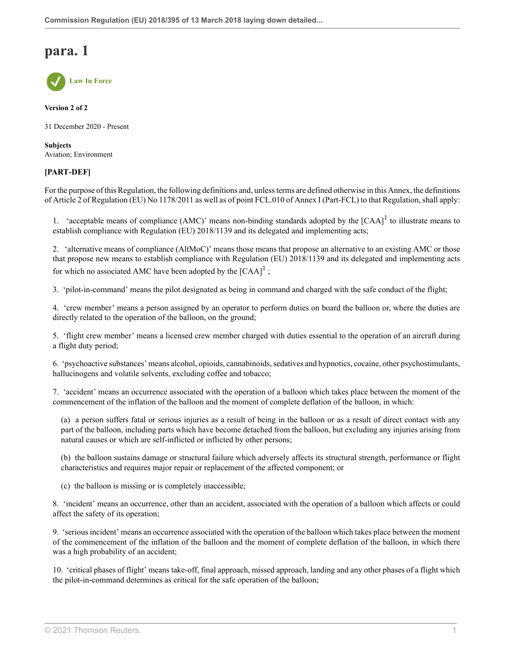

**Version 2 of 2**

31 December 2020 - Present

**Subjects** Aviation; Environment

### **[PART-DEF]**

For the purpose of this Regulation, the following definitions and, unless terms are defined otherwise in this Annex, the definitions of Article 2 of Regulation (EU) No 1178/2011 as well as of point FCL.010 of Annex I (Part-FCL) to that Regulation, shall apply:

<span id="page-17-0"></span>[1](#page-19-0). 'acceptable means of compliance (AMC)' means non-binding standards adopted by the  $[CAA]$ <sup>1</sup> to illustrate means to establish compliance with Regulation (EU) 2018/1139 and its delegated and implementing acts;

2. 'alternative means of compliance (AltMoC)' means those means that propose an alternative to an existing AMC or those that propose new means to establish compliance with Regulation (EU) 2018/1139 and its delegated and implementing acts for which no associated AMC have been adopted by the  $[CAA]$ <sup>[1](#page-19-0)</sup>;

3. 'pilot-in-command' means the pilot designated as being in command and charged with the safe conduct of the flight;

4. 'crew member' means a person assigned by an operator to perform duties on board the balloon or, where the duties are directly related to the operation of the balloon, on the ground;

5. 'flight crew member' means a licensed crew member charged with duties essential to the operation of an aircraft during a flight duty period;

6. 'psychoactive substances' means alcohol, opioids, cannabinoids, sedatives and hypnotics, cocaine, other psychostimulants, hallucinogens and volatile solvents, excluding coffee and tobacco;

7. 'accident' means an occurrence associated with the operation of a balloon which takes place between the moment of the commencement of the inflation of the balloon and the moment of complete deflation of the balloon, in which:

(a) a person suffers fatal or serious injuries as a result of being in the balloon or as a result of direct contact with any part of the balloon, including parts which have become detached from the balloon, but excluding any injuries arising from natural causes or which are self-inflicted or inflicted by other persons;

(b) the balloon sustains damage or structural failure which adversely affects its structural strength, performance or flight characteristics and requires major repair or replacement of the affected component; or

(c) the balloon is missing or is completely inaccessible;

8. 'incident' means an occurrence, other than an accident, associated with the operation of a balloon which affects or could affect the safety of its operation;

9. 'serious incident' means an occurrence associated with the operation of the balloon which takes place between the moment of the commencement of the inflation of the balloon and the moment of complete deflation of the balloon, in which there was a high probability of an accident;

10. 'critical phases of flight' means take-off, final approach, missed approach, landing and any other phases of a flight which the pilot-in-command determines as critical for the safe operation of the balloon;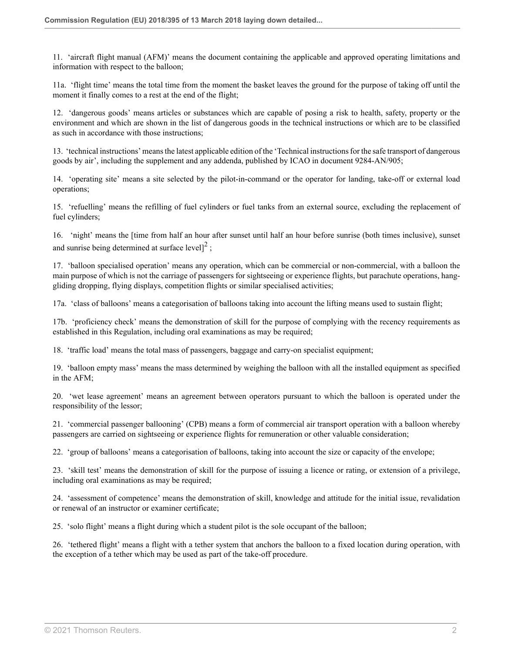11. 'aircraft flight manual (AFM)' means the document containing the applicable and approved operating limitations and information with respect to the balloon;

11a. 'flight time' means the total time from the moment the basket leaves the ground for the purpose of taking off until the moment it finally comes to a rest at the end of the flight;

12. 'dangerous goods' means articles or substances which are capable of posing a risk to health, safety, property or the environment and which are shown in the list of dangerous goods in the technical instructions or which are to be classified as such in accordance with those instructions;

13. 'technical instructions' means the latest applicable edition of the 'Technical instructions for the safe transport of dangerous goods by air', including the supplement and any addenda, published by ICAO in document 9284-AN/905;

14. 'operating site' means a site selected by the pilot-in-command or the operator for landing, take-off or external load operations;

15. 'refuelling' means the refilling of fuel cylinders or fuel tanks from an external source, excluding the replacement of fuel cylinders;

<span id="page-18-0"></span>16. 'night' means the [time from half an hour after sunset until half an hour before sunrise (both times inclusive), sunset and sunrise being determined at surface level] $^2$  $^2$ ;

17. 'balloon specialised operation' means any operation, which can be commercial or non-commercial, with a balloon the main purpose of which is not the carriage of passengers for sightseeing or experience flights, but parachute operations, hanggliding dropping, flying displays, competition flights or similar specialised activities;

17a. 'class of balloons' means a categorisation of balloons taking into account the lifting means used to sustain flight;

17b. 'proficiency check' means the demonstration of skill for the purpose of complying with the recency requirements as established in this Regulation, including oral examinations as may be required;

18. 'traffic load' means the total mass of passengers, baggage and carry-on specialist equipment;

19. 'balloon empty mass' means the mass determined by weighing the balloon with all the installed equipment as specified in the AFM;

20. 'wet lease agreement' means an agreement between operators pursuant to which the balloon is operated under the responsibility of the lessor;

21. 'commercial passenger ballooning' (CPB) means a form of commercial air transport operation with a balloon whereby passengers are carried on sightseeing or experience flights for remuneration or other valuable consideration;

22. 'group of balloons' means a categorisation of balloons, taking into account the size or capacity of the envelope;

23. 'skill test' means the demonstration of skill for the purpose of issuing a licence or rating, or extension of a privilege, including oral examinations as may be required;

24. 'assessment of competence' means the demonstration of skill, knowledge and attitude for the initial issue, revalidation or renewal of an instructor or examiner certificate;

25. 'solo flight' means a flight during which a student pilot is the sole occupant of the balloon;

26. 'tethered flight' means a flight with a tether system that anchors the balloon to a fixed location during operation, with the exception of a tether which may be used as part of the take-off procedure.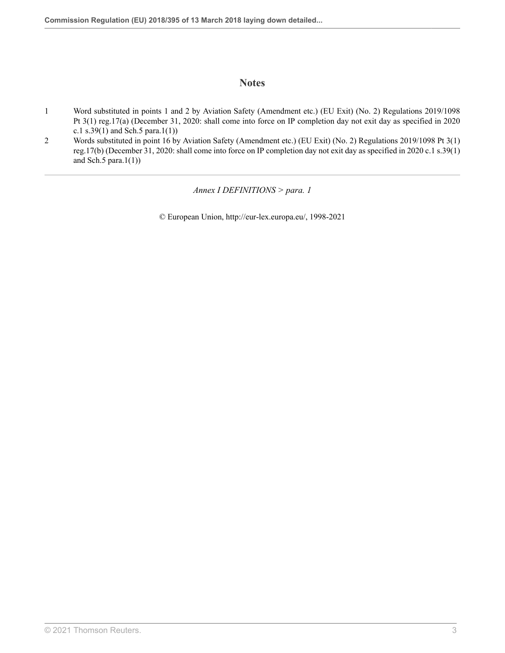### **Notes**

- <span id="page-19-0"></span>[1](#page-17-0) Word substituted in points 1 and 2 by Aviation Safety (Amendment etc.) (EU Exit) (No. 2) Regulations 2019/1098 [Pt 3\(1\) reg.17\(a\)](http://uk.westlaw.com/Document/ID6871FF0A46611E9AA46BDE62A47EF6F/View/FullText.html?originationContext=document&transitionType=DocumentItem&vr=3.0&rs=PLUK1.0&contextData=(sc.Search)) (December 31, 2020: shall come into force on IP completion day not exit day as specified in 2020 c.1 s.39(1) and Sch.5 para.1(1))
- <span id="page-19-1"></span>[2](#page-18-0) Words substituted in point 16 by Aviation Safety (Amendment etc.) (EU Exit) (No. 2) Regulations 2019/1098 [Pt 3\(1\)](http://uk.westlaw.com/Document/ID6871FF0A46611E9AA46BDE62A47EF6F/View/FullText.html?originationContext=document&transitionType=DocumentItem&vr=3.0&rs=PLUK1.0&contextData=(sc.Search)) [reg.17\(b\)](http://uk.westlaw.com/Document/ID6871FF0A46611E9AA46BDE62A47EF6F/View/FullText.html?originationContext=document&transitionType=DocumentItem&vr=3.0&rs=PLUK1.0&contextData=(sc.Search)) (December 31, 2020: shall come into force on IP completion day not exit day as specified in 2020 c.1 s.39(1) and Sch.5 para. $1(1)$ )

*Annex I DEFINITIONS > para. 1*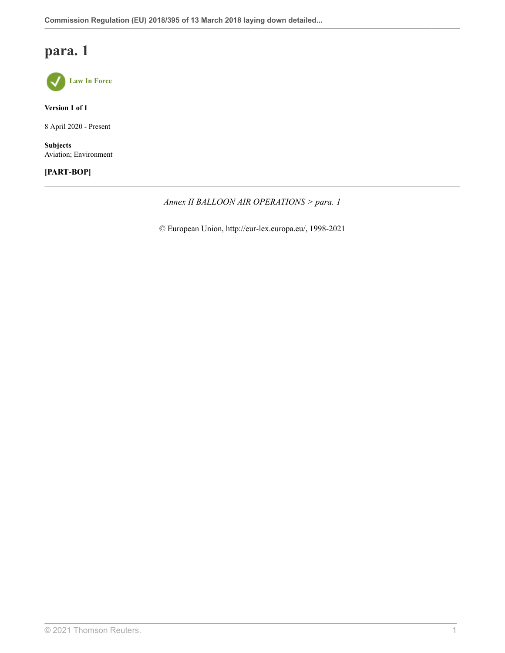

**Version 1 of 1**

8 April 2020 - Present

**Subjects** Aviation; Environment

### **[PART-BOP]**

*Annex II BALLOON AIR OPERATIONS > para. 1*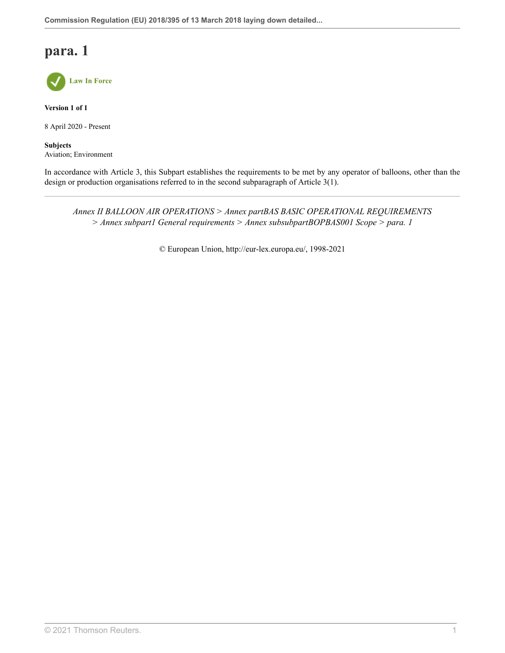

**Version 1 of 1**

8 April 2020 - Present

**Subjects** Aviation; Environment

In accordance with Article 3, this Subpart establishes the requirements to be met by any operator of balloons, other than the design or production organisations referred to in the second subparagraph of Article 3(1).

*Annex II BALLOON AIR OPERATIONS > Annex partBAS BASIC OPERATIONAL REQUIREMENTS > Annex subpart1 General requirements > Annex subsubpartBOPBAS001 Scope > para. 1*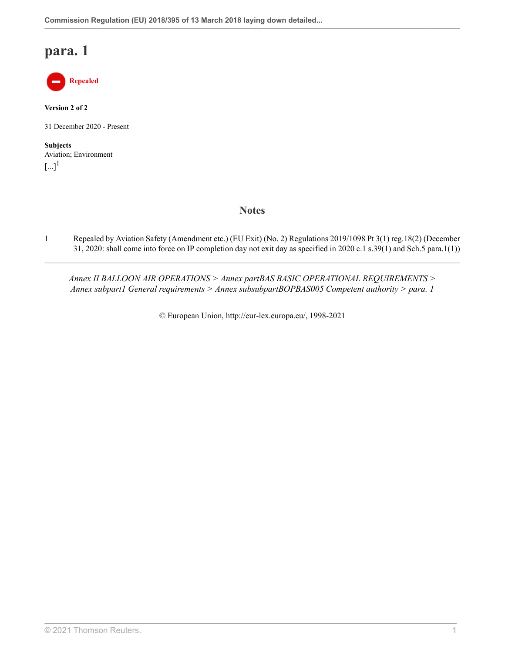

**Version 2 of 2**

31 December 2020 - Present

<span id="page-22-1"></span>**Subjects** Aviation; Environment  $\left[\ldots\right]^1$  $\left[\ldots\right]^1$ 

### **Notes**

<span id="page-22-0"></span>[1](#page-22-1) Repealed by Aviation Safety (Amendment etc.) (EU Exit) (No. 2) Regulations 2019/1098 [Pt 3\(1\) reg.18\(2\)](http://uk.westlaw.com/Document/I1025CBD0A46711E9AA46BDE62A47EF6F/View/FullText.html?originationContext=document&transitionType=DocumentItem&vr=3.0&rs=PLUK1.0&contextData=(sc.Search)) (December 31, 2020: shall come into force on IP completion day not exit day as specified in 2020 c.1 s.39(1) and Sch.5 para.1(1))

*Annex II BALLOON AIR OPERATIONS > Annex partBAS BASIC OPERATIONAL REQUIREMENTS > Annex subpart1 General requirements > Annex subsubpartBOPBAS005 Competent authority > para. 1*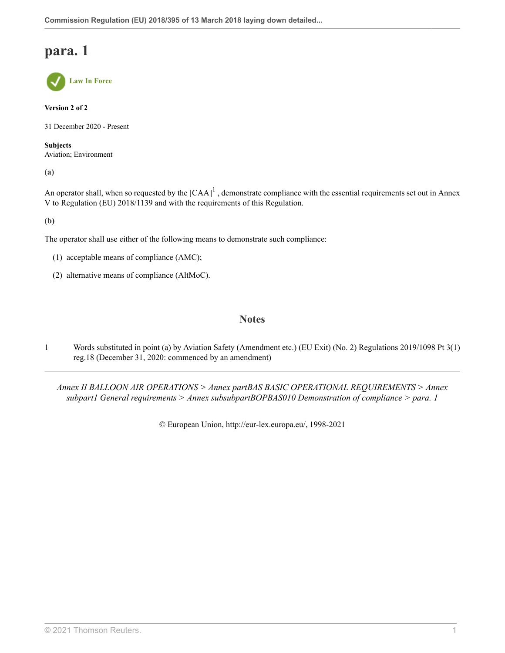

**Version 2 of 2**

31 December 2020 - Present

**Subjects** Aviation; Environment

**(a)**

An operator shall, when so requested by the  $[CAA]^1$  $[CAA]^1$ , demonstrate compliance with the essential requirements set out in Annex V to Regulation (EU) 2018/1139 and with the requirements of this Regulation.

**(b)**

The operator shall use either of the following means to demonstrate such compliance:

- (1) acceptable means of compliance (AMC);
- (2) alternative means of compliance (AltMoC).

### <span id="page-23-1"></span>**Notes**

<span id="page-23-0"></span>[1](#page-23-1) Words substituted in point (a) by Aviation Safety (Amendment etc.) (EU Exit) (No. 2) Regulations 2019/1098 [Pt 3\(1\)](http://uk.westlaw.com/Document/I1025CBD0A46711E9AA46BDE62A47EF6F/View/FullText.html?originationContext=document&transitionType=DocumentItem&vr=3.0&rs=PLUK1.0&contextData=(sc.Search)) [reg.18](http://uk.westlaw.com/Document/I1025CBD0A46711E9AA46BDE62A47EF6F/View/FullText.html?originationContext=document&transitionType=DocumentItem&vr=3.0&rs=PLUK1.0&contextData=(sc.Search)) (December 31, 2020: commenced by an amendment)

*Annex II BALLOON AIR OPERATIONS > Annex partBAS BASIC OPERATIONAL REQUIREMENTS > Annex subpart1 General requirements > Annex subsubpartBOPBAS010 Demonstration of compliance > para. 1*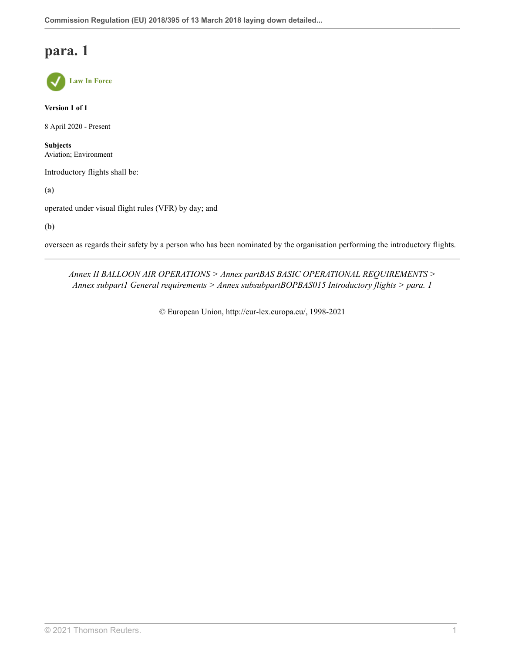**Law In Force**

**Version 1 of 1**

8 April 2020 - Present

**Subjects** Aviation; Environment

Introductory flights shall be:

**(a)**

operated under visual flight rules (VFR) by day; and

**(b)**

overseen as regards their safety by a person who has been nominated by the organisation performing the introductory flights.

*Annex II BALLOON AIR OPERATIONS > Annex partBAS BASIC OPERATIONAL REQUIREMENTS > Annex subpart1 General requirements > Annex subsubpartBOPBAS015 Introductory flights > para. 1*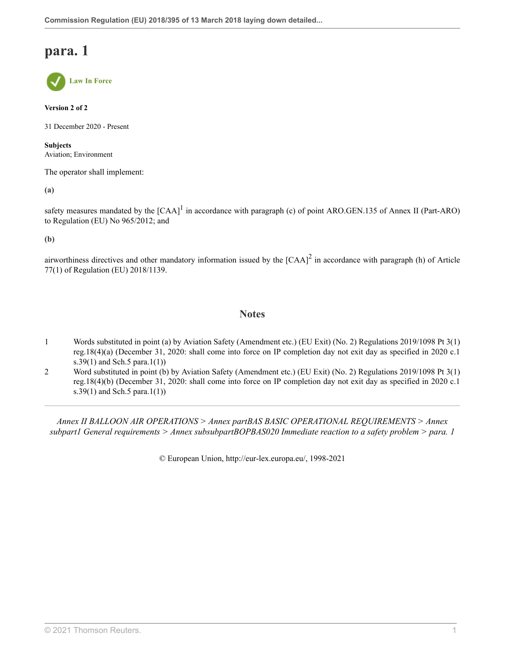**Law In Force**

**Version 2 of 2**

31 December 2020 - Present

**Subjects** Aviation; Environment

The operator shall implement:

**(a)**

safety measures mandated by the  $[CAA]$ <sup>[1](#page-25-0)</sup> in accordance with paragraph (c) of point ARO.GEN.135 of Annex II (Part-ARO) to Regulation (EU) No 965/2012; and

**(b)**

airworthiness directives and other mandatory information issued by the  $[{\rm CAA}]^2$  $[{\rm CAA}]^2$  in accordance with paragraph (h) of Article 77(1) of Regulation (EU) 2018/1139.

### <span id="page-25-3"></span><span id="page-25-2"></span>**Notes**

- <span id="page-25-0"></span>[1](#page-25-2) Words substituted in point (a) by Aviation Safety (Amendment etc.) (EU Exit) (No. 2) Regulations 2019/1098 [Pt 3\(1\)](http://uk.westlaw.com/Document/I1025CBD0A46711E9AA46BDE62A47EF6F/View/FullText.html?originationContext=document&transitionType=DocumentItem&vr=3.0&rs=PLUK1.0&contextData=(sc.Search)) [reg.18\(4\)\(a\)](http://uk.westlaw.com/Document/I1025CBD0A46711E9AA46BDE62A47EF6F/View/FullText.html?originationContext=document&transitionType=DocumentItem&vr=3.0&rs=PLUK1.0&contextData=(sc.Search)) (December 31, 2020: shall come into force on IP completion day not exit day as specified in 2020 c.1 s.39(1) and Sch.5 para.1(1))
- <span id="page-25-1"></span>[2](#page-25-3) Word substituted in point (b) by Aviation Safety (Amendment etc.) (EU Exit) (No. 2) Regulations 2019/1098 [Pt 3\(1\)](http://uk.westlaw.com/Document/I1025CBD0A46711E9AA46BDE62A47EF6F/View/FullText.html?originationContext=document&transitionType=DocumentItem&vr=3.0&rs=PLUK1.0&contextData=(sc.Search)) [reg.18\(4\)\(b\)](http://uk.westlaw.com/Document/I1025CBD0A46711E9AA46BDE62A47EF6F/View/FullText.html?originationContext=document&transitionType=DocumentItem&vr=3.0&rs=PLUK1.0&contextData=(sc.Search)) (December 31, 2020: shall come into force on IP completion day not exit day as specified in 2020 c.1 s.39(1) and Sch.5 para.1(1))

*Annex II BALLOON AIR OPERATIONS > Annex partBAS BASIC OPERATIONAL REQUIREMENTS > Annex subpart1 General requirements > Annex subsubpartBOPBAS020 Immediate reaction to a safety problem > para. 1*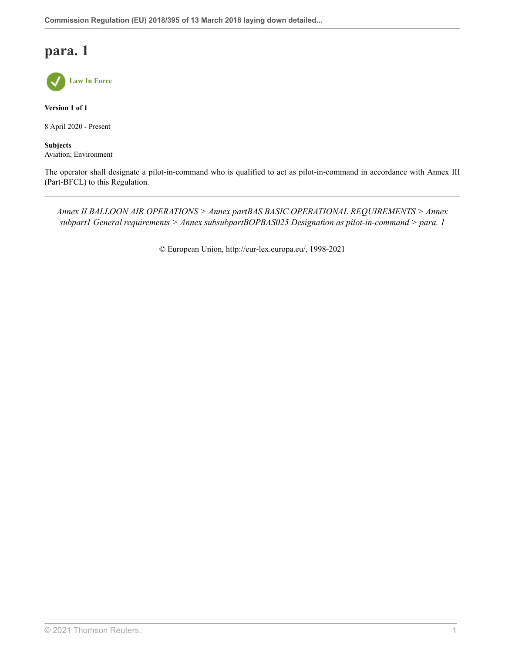

**Version 1 of 1**

8 April 2020 - Present

**Subjects** Aviation; Environment

The operator shall designate a pilot-in-command who is qualified to act as pilot-in-command in accordance with Annex III (Part-BFCL) to this Regulation.

*Annex II BALLOON AIR OPERATIONS > Annex partBAS BASIC OPERATIONAL REQUIREMENTS > Annex subpart1 General requirements > Annex subsubpartBOPBAS025 Designation as pilot-in-command > para. 1*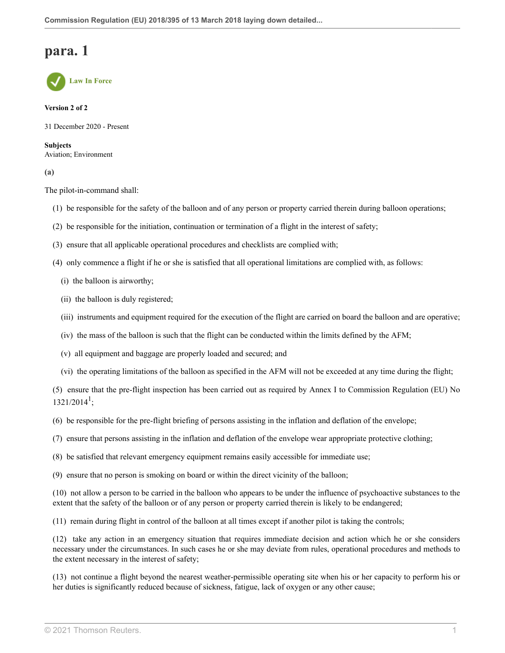**Law In Force**

#### **Version 2 of 2**

31 December 2020 - Present

**Subjects** Aviation; Environment

**(a)**

The pilot-in-command shall:

- (1) be responsible for the safety of the balloon and of any person or property carried therein during balloon operations;
- (2) be responsible for the initiation, continuation or termination of a flight in the interest of safety;
- (3) ensure that all applicable operational procedures and checklists are complied with;
- (4) only commence a flight if he or she is satisfied that all operational limitations are complied with, as follows:
	- (i) the balloon is airworthy;
	- (ii) the balloon is duly registered;
	- (iii) instruments and equipment required for the execution of the flight are carried on board the balloon and are operative;
	- (iv) the mass of the balloon is such that the flight can be conducted within the limits defined by the AFM;
	- (v) all equipment and baggage are properly loaded and secured; and
	- (vi) the operating limitations of the balloon as specified in the AFM will not be exceeded at any time during the flight;

<span id="page-27-0"></span>(5) ensure that the pre-flight inspection has been carried out as required by Annex I to Commission Regulation (EU) No  $1321/2014^1;$  $1321/2014^1;$ 

(6) be responsible for the pre-flight briefing of persons assisting in the inflation and deflation of the envelope;

- (7) ensure that persons assisting in the inflation and deflation of the envelope wear appropriate protective clothing;
- (8) be satisfied that relevant emergency equipment remains easily accessible for immediate use;
- (9) ensure that no person is smoking on board or within the direct vicinity of the balloon;

(10) not allow a person to be carried in the balloon who appears to be under the influence of psychoactive substances to the extent that the safety of the balloon or of any person or property carried therein is likely to be endangered;

(11) remain during flight in control of the balloon at all times except if another pilot is taking the controls;

(12) take any action in an emergency situation that requires immediate decision and action which he or she considers necessary under the circumstances. In such cases he or she may deviate from rules, operational procedures and methods to the extent necessary in the interest of safety;

(13) not continue a flight beyond the nearest weather-permissible operating site when his or her capacity to perform his or her duties is significantly reduced because of sickness, fatigue, lack of oxygen or any other cause;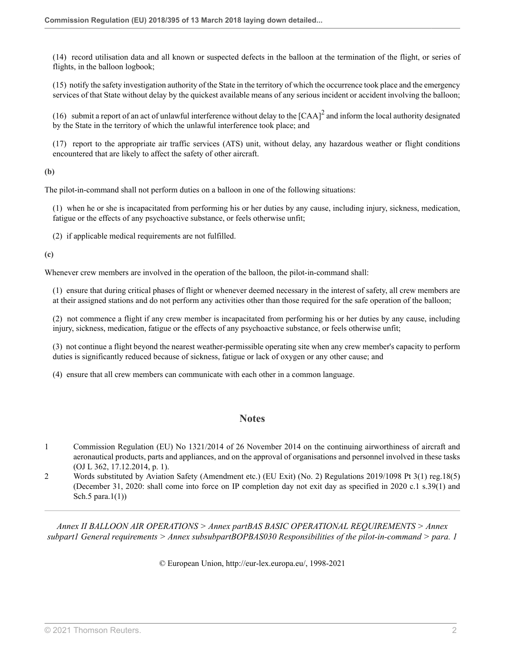(14) record utilisation data and all known or suspected defects in the balloon at the termination of the flight, or series of flights, in the balloon logbook;

(15) notify the safety investigation authority of the State in the territory of which the occurrence took place and the emergency services of that State without delay by the quickest available means of any serious incident or accident involving the balloon;

<span id="page-28-2"></span>(16) submit a report of an act of unlawful interference without delay to the  $[CAA]^2$  $[CAA]^2$  and inform the local authority designated by the State in the territory of which the unlawful interference took place; and

(17) report to the appropriate air traffic services (ATS) unit, without delay, any hazardous weather or flight conditions encountered that are likely to affect the safety of other aircraft.

**(b)**

The pilot-in-command shall not perform duties on a balloon in one of the following situations:

(1) when he or she is incapacitated from performing his or her duties by any cause, including injury, sickness, medication, fatigue or the effects of any psychoactive substance, or feels otherwise unfit;

(2) if applicable medical requirements are not fulfilled.

**(c)**

Whenever crew members are involved in the operation of the balloon, the pilot-in-command shall:

(1) ensure that during critical phases of flight or whenever deemed necessary in the interest of safety, all crew members are at their assigned stations and do not perform any activities other than those required for the safe operation of the balloon;

(2) not commence a flight if any crew member is incapacitated from performing his or her duties by any cause, including injury, sickness, medication, fatigue or the effects of any psychoactive substance, or feels otherwise unfit;

(3) not continue a flight beyond the nearest weather-permissible operating site when any crew member's capacity to perform duties is significantly reduced because of sickness, fatigue or lack of oxygen or any other cause; and

(4) ensure that all crew members can communicate with each other in a common language.

### **Notes**

- <span id="page-28-0"></span>[1](#page-27-0) Commission Regulation (EU) No 1321/2014 of 26 November 2014 on the continuing airworthiness of aircraft and aeronautical products, parts and appliances, and on the approval of organisations and personnel involved in these tasks (OJ L 362, 17.12.2014, p. 1).
- <span id="page-28-1"></span>[2](#page-28-2) Words substituted by Aviation Safety (Amendment etc.) (EU Exit) (No. 2) Regulations 2019/1098 [Pt 3\(1\) reg.18\(5\)](http://uk.westlaw.com/Document/I1025CBD0A46711E9AA46BDE62A47EF6F/View/FullText.html?originationContext=document&transitionType=DocumentItem&vr=3.0&rs=PLUK1.0&contextData=(sc.Search)) (December 31, 2020: shall come into force on IP completion day not exit day as specified in 2020 c.1 s.39(1) and Sch.5 para. $1(1)$ )

*Annex II BALLOON AIR OPERATIONS > Annex partBAS BASIC OPERATIONAL REQUIREMENTS > Annex subpart1 General requirements > Annex subsubpartBOPBAS030 Responsibilities of the pilot-in-command > para. 1*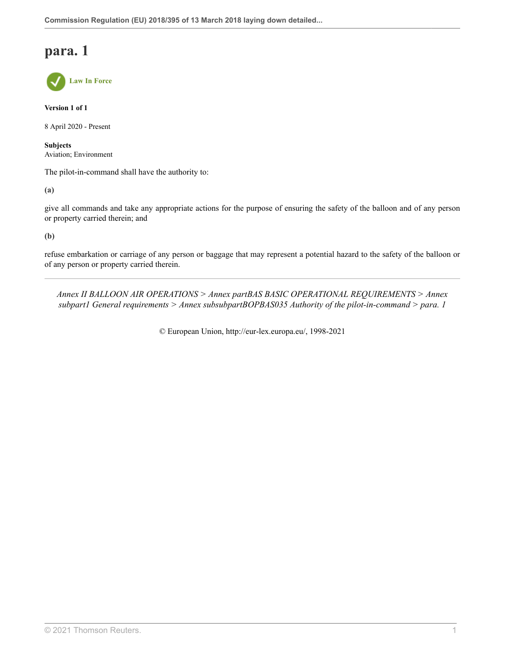**Law In Force**

**Version 1 of 1**

8 April 2020 - Present

**Subjects** Aviation; Environment

The pilot-in-command shall have the authority to:

**(a)**

give all commands and take any appropriate actions for the purpose of ensuring the safety of the balloon and of any person or property carried therein; and

**(b)**

refuse embarkation or carriage of any person or baggage that may represent a potential hazard to the safety of the balloon or of any person or property carried therein.

*Annex II BALLOON AIR OPERATIONS > Annex partBAS BASIC OPERATIONAL REQUIREMENTS > Annex subpart1 General requirements > Annex subsubpartBOPBAS035 Authority of the pilot-in-command > para. 1*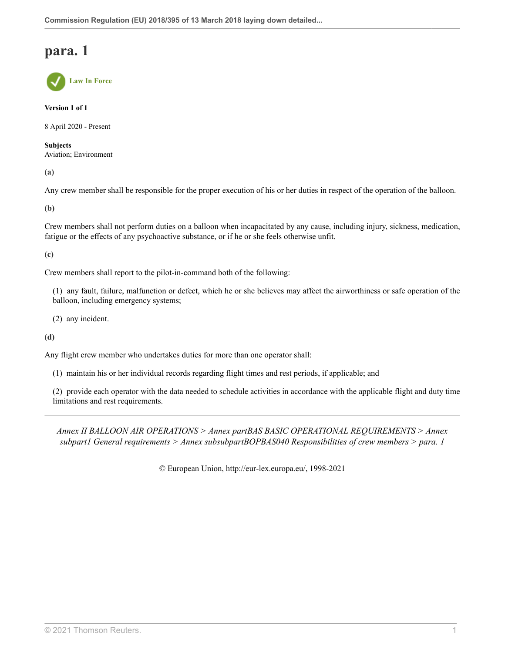**Law In Force**

**Version 1 of 1**

8 April 2020 - Present

**Subjects** Aviation; Environment

**(a)**

Any crew member shall be responsible for the proper execution of his or her duties in respect of the operation of the balloon.

**(b)**

Crew members shall not perform duties on a balloon when incapacitated by any cause, including injury, sickness, medication, fatigue or the effects of any psychoactive substance, or if he or she feels otherwise unfit.

**(c)**

Crew members shall report to the pilot-in-command both of the following:

(1) any fault, failure, malfunction or defect, which he or she believes may affect the airworthiness or safe operation of the balloon, including emergency systems;

(2) any incident.

**(d)**

Any flight crew member who undertakes duties for more than one operator shall:

(1) maintain his or her individual records regarding flight times and rest periods, if applicable; and

(2) provide each operator with the data needed to schedule activities in accordance with the applicable flight and duty time limitations and rest requirements.

*Annex II BALLOON AIR OPERATIONS > Annex partBAS BASIC OPERATIONAL REQUIREMENTS > Annex subpart1 General requirements > Annex subsubpartBOPBAS040 Responsibilities of crew members > para. 1*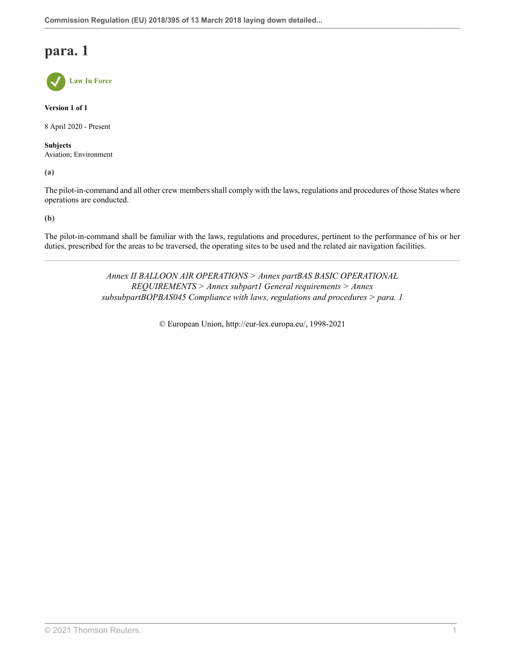**Law In Force**

**Version 1 of 1**

8 April 2020 - Present

**Subjects** Aviation; Environment

**(a)**

The pilot-in-command and all other crew members shall comply with the laws, regulations and procedures of those States where operations are conducted.

**(b)**

The pilot-in-command shall be familiar with the laws, regulations and procedures, pertinent to the performance of his or her duties, prescribed for the areas to be traversed, the operating sites to be used and the related air navigation facilities.

> *Annex II BALLOON AIR OPERATIONS > Annex partBAS BASIC OPERATIONAL REQUIREMENTS > Annex subpart1 General requirements > Annex subsubpartBOPBAS045 Compliance with laws, regulations and procedures > para. 1*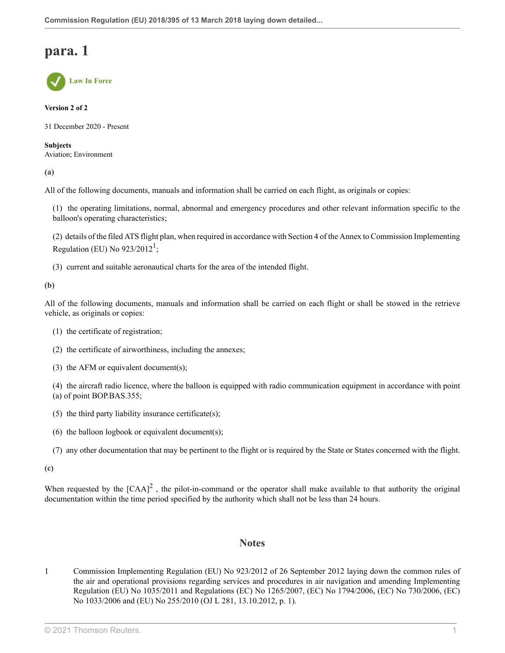**Law In Force**

### **Version 2 of 2**

31 December 2020 - Present

**Subjects** Aviation; Environment

**(a)**

All of the following documents, manuals and information shall be carried on each flight, as originals or copies:

(1) the operating limitations, normal, abnormal and emergency procedures and other relevant information specific to the balloon's operating characteristics;

<span id="page-32-1"></span>(2) details of the filed ATS flight plan, when required in accordance with Section 4 of the Annex to Commission Implementing Regulation (EU) No  $923/2012^1$  $923/2012^1$  $923/2012^1$ ;

(3) current and suitable aeronautical charts for the area of the intended flight.

### **(b)**

All of the following documents, manuals and information shall be carried on each flight or shall be stowed in the retrieve vehicle, as originals or copies:

- (1) the certificate of registration;
- (2) the certificate of airworthiness, including the annexes;
- (3) the AFM or equivalent document(s);

(4) the aircraft radio licence, where the balloon is equipped with radio communication equipment in accordance with point (a) of point BOP.BAS.355;

- (5) the third party liability insurance certificate(s);
- (6) the balloon logbook or equivalent document(s);
- <span id="page-32-2"></span>(7) any other documentation that may be pertinent to the flight or is required by the State or States concerned with the flight.

**(c)**

When requested by the  $[CAA]^2$  $[CAA]^2$ , the pilot-in-command or the operator shall make available to that authority the original documentation within the time period specified by the authority which shall not be less than 24 hours.

### **Notes**

<span id="page-32-0"></span>[1](#page-32-1) Commission Implementing Regulation (EU) No 923/2012 of 26 September 2012 laying down the common rules of the air and operational provisions regarding services and procedures in air navigation and amending Implementing Regulation (EU) No 1035/2011 and Regulations (EC) No 1265/2007, (EC) No 1794/2006, (EC) No 730/2006, (EC) No 1033/2006 and (EU) No 255/2010 (OJ L 281, 13.10.2012, p. 1).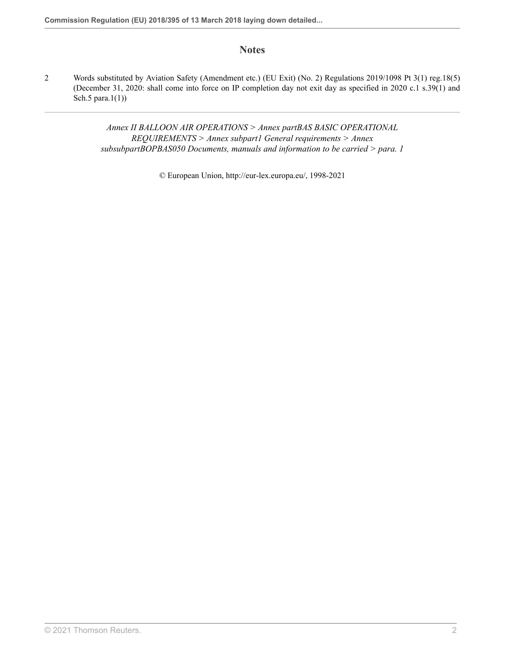### **Notes**

<span id="page-33-0"></span>[2](#page-32-2) Words substituted by Aviation Safety (Amendment etc.) (EU Exit) (No. 2) Regulations 2019/1098 [Pt 3\(1\) reg.18\(5\)](http://uk.westlaw.com/Document/I1025CBD0A46711E9AA46BDE62A47EF6F/View/FullText.html?originationContext=document&transitionType=DocumentItem&vr=3.0&rs=PLUK1.0&contextData=(sc.Search)) (December 31, 2020: shall come into force on IP completion day not exit day as specified in 2020 c.1 s.39(1) and Sch.5 para.1(1))

> *Annex II BALLOON AIR OPERATIONS > Annex partBAS BASIC OPERATIONAL REQUIREMENTS > Annex subpart1 General requirements > Annex subsubpartBOPBAS050 Documents, manuals and information to be carried > para. 1*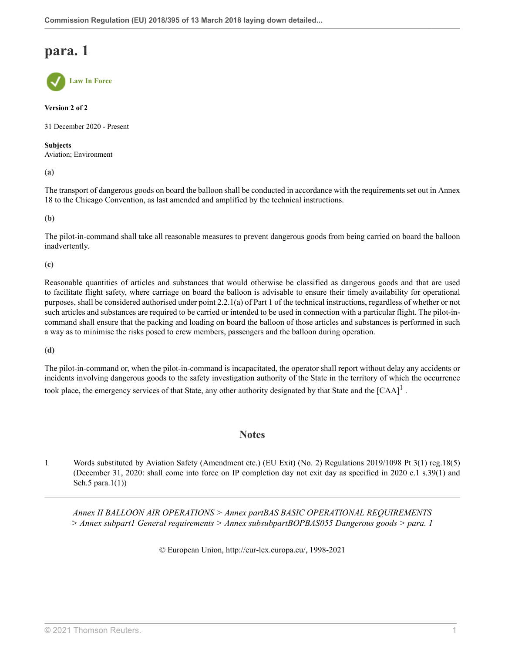**Law In Force**

### **Version 2 of 2**

31 December 2020 - Present

### **Subjects**

Aviation; Environment

**(a)**

The transport of dangerous goods on board the balloon shall be conducted in accordance with the requirements set out in Annex 18 to the Chicago Convention, as last amended and amplified by the technical instructions.

**(b)**

The pilot-in-command shall take all reasonable measures to prevent dangerous goods from being carried on board the balloon inadvertently.

**(c)**

Reasonable quantities of articles and substances that would otherwise be classified as dangerous goods and that are used to facilitate flight safety, where carriage on board the balloon is advisable to ensure their timely availability for operational purposes, shall be considered authorised under point 2.2.1(a) of Part 1 of the technical instructions, regardless of whether or not such articles and substances are required to be carried or intended to be used in connection with a particular flight. The pilot-incommand shall ensure that the packing and loading on board the balloon of those articles and substances is performed in such a way as to minimise the risks posed to crew members, passengers and the balloon during operation.

**(d)**

The pilot-in-command or, when the pilot-in-command is incapacitated, the operator shall report without delay any accidents or incidents involving dangerous goods to the safety investigation authority of the State in the territory of which the occurrence took place, the emergency services of that State, any other authority designated by that State and the  $[CAA]$ <sup>[1](#page-34-0)</sup>.

### <span id="page-34-1"></span>**Notes**

<span id="page-34-0"></span>[1](#page-34-1) Words substituted by Aviation Safety (Amendment etc.) (EU Exit) (No. 2) Regulations 2019/1098 [Pt 3\(1\) reg.18\(5\)](http://uk.westlaw.com/Document/I1025CBD0A46711E9AA46BDE62A47EF6F/View/FullText.html?originationContext=document&transitionType=DocumentItem&vr=3.0&rs=PLUK1.0&contextData=(sc.Search)) (December 31, 2020: shall come into force on IP completion day not exit day as specified in 2020 c.1 s.39(1) and Sch.5 para.1(1))

*Annex II BALLOON AIR OPERATIONS > Annex partBAS BASIC OPERATIONAL REQUIREMENTS > Annex subpart1 General requirements > Annex subsubpartBOPBAS055 Dangerous goods > para. 1*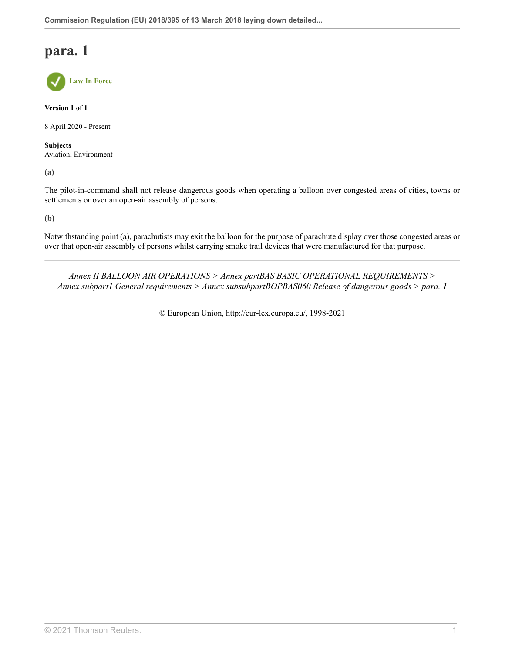**Law In Force**

**Version 1 of 1**

8 April 2020 - Present

**Subjects** Aviation; Environment

**(a)**

The pilot-in-command shall not release dangerous goods when operating a balloon over congested areas of cities, towns or settlements or over an open-air assembly of persons.

**(b)**

Notwithstanding point (a), parachutists may exit the balloon for the purpose of parachute display over those congested areas or over that open-air assembly of persons whilst carrying smoke trail devices that were manufactured for that purpose.

*Annex II BALLOON AIR OPERATIONS > Annex partBAS BASIC OPERATIONAL REQUIREMENTS > Annex subpart1 General requirements > Annex subsubpartBOPBAS060 Release of dangerous goods > para. 1*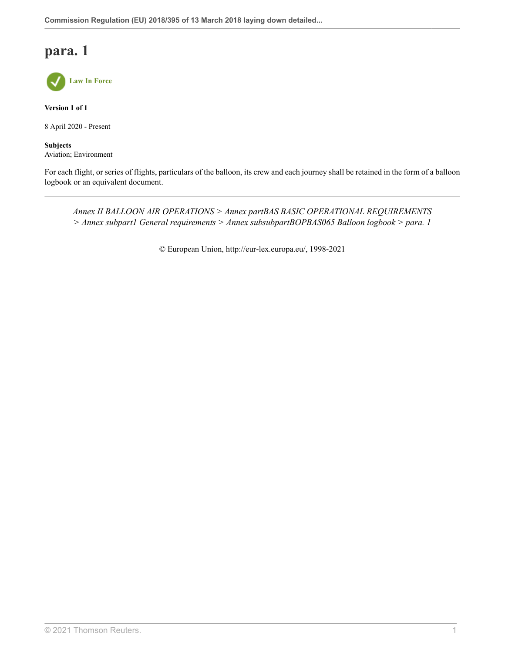

**Version 1 of 1**

8 April 2020 - Present

**Subjects** Aviation; Environment

For each flight, or series of flights, particulars of the balloon, its crew and each journey shall be retained in the form of a balloon logbook or an equivalent document.

*Annex II BALLOON AIR OPERATIONS > Annex partBAS BASIC OPERATIONAL REQUIREMENTS > Annex subpart1 General requirements > Annex subsubpartBOPBAS065 Balloon logbook > para. 1*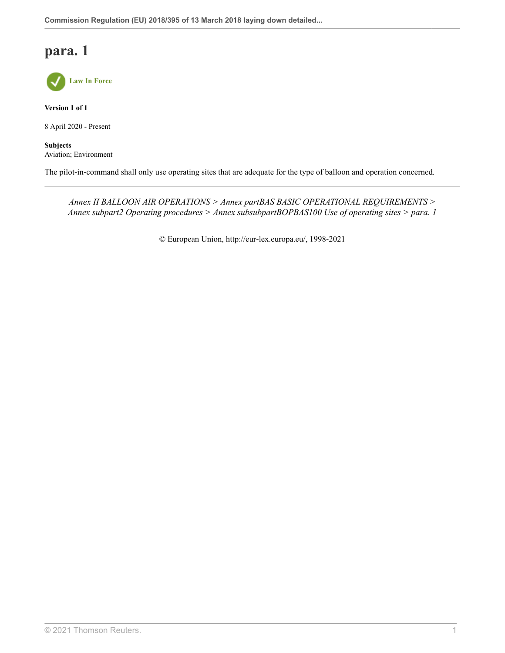

**Version 1 of 1**

8 April 2020 - Present

**Subjects** Aviation; Environment

The pilot-in-command shall only use operating sites that are adequate for the type of balloon and operation concerned.

*Annex II BALLOON AIR OPERATIONS > Annex partBAS BASIC OPERATIONAL REQUIREMENTS > Annex subpart2 Operating procedures > Annex subsubpartBOPBAS100 Use of operating sites > para. 1*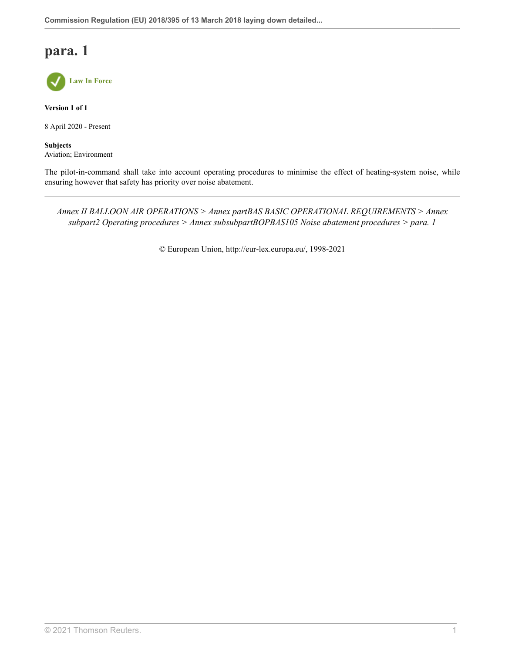

**Version 1 of 1**

8 April 2020 - Present

**Subjects** Aviation; Environment

The pilot-in-command shall take into account operating procedures to minimise the effect of heating-system noise, while ensuring however that safety has priority over noise abatement.

*Annex II BALLOON AIR OPERATIONS > Annex partBAS BASIC OPERATIONAL REQUIREMENTS > Annex subpart2 Operating procedures > Annex subsubpartBOPBAS105 Noise abatement procedures > para. 1*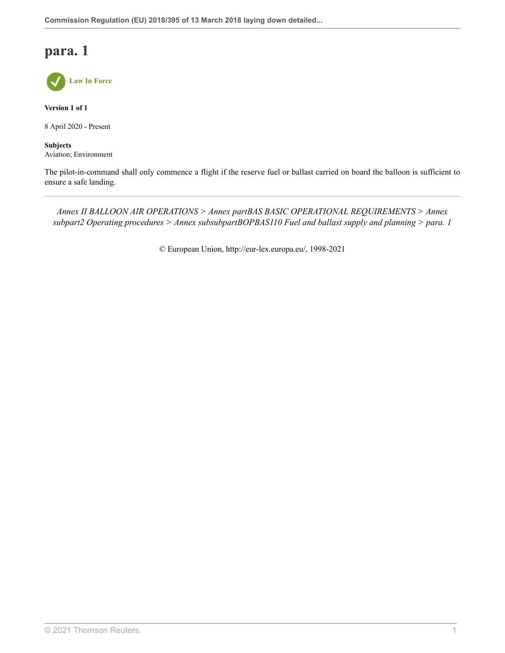

**Version 1 of 1**

8 April 2020 - Present

**Subjects** Aviation; Environment

The pilot-in-command shall only commence a flight if the reserve fuel or ballast carried on board the balloon is sufficient to ensure a safe landing.

*Annex II BALLOON AIR OPERATIONS > Annex partBAS BASIC OPERATIONAL REQUIREMENTS > Annex subpart2 Operating procedures > Annex subsubpartBOPBAS110 Fuel and ballast supply and planning > para. 1*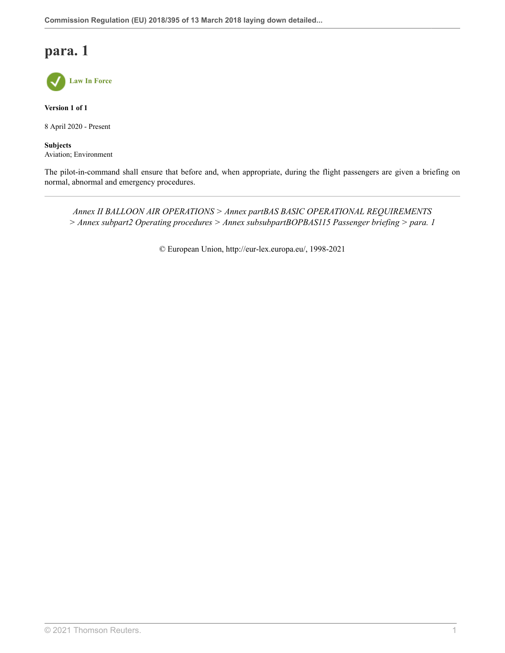

**Version 1 of 1**

8 April 2020 - Present

**Subjects** Aviation; Environment

The pilot-in-command shall ensure that before and, when appropriate, during the flight passengers are given a briefing on normal, abnormal and emergency procedures.

*Annex II BALLOON AIR OPERATIONS > Annex partBAS BASIC OPERATIONAL REQUIREMENTS > Annex subpart2 Operating procedures > Annex subsubpartBOPBAS115 Passenger briefing > para. 1*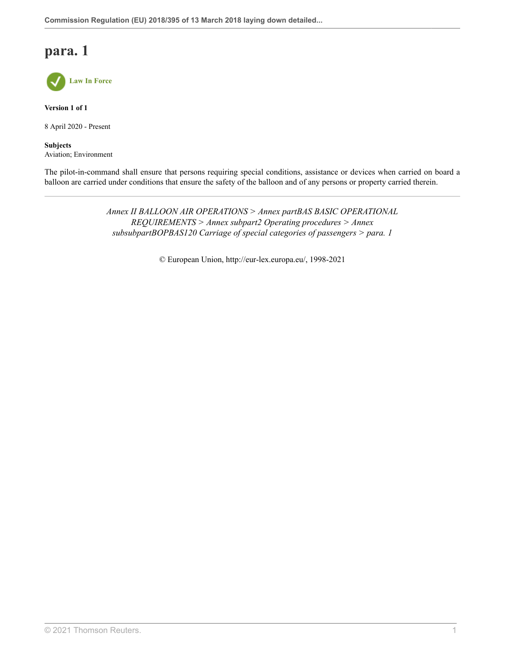

**Version 1 of 1**

8 April 2020 - Present

**Subjects** Aviation; Environment

The pilot-in-command shall ensure that persons requiring special conditions, assistance or devices when carried on board a balloon are carried under conditions that ensure the safety of the balloon and of any persons or property carried therein.

> *Annex II BALLOON AIR OPERATIONS > Annex partBAS BASIC OPERATIONAL REQUIREMENTS > Annex subpart2 Operating procedures > Annex subsubpartBOPBAS120 Carriage of special categories of passengers > para. 1*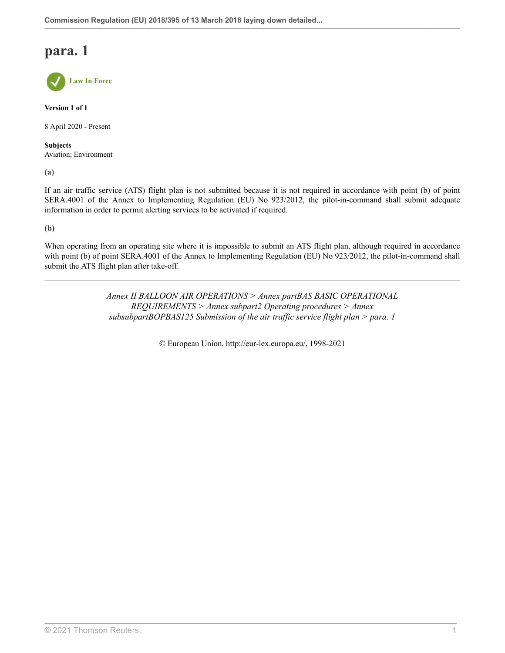**Law In Force**

**Version 1 of 1**

8 April 2020 - Present

**Subjects** Aviation; Environment

**(a)**

If an air traffic service (ATS) flight plan is not submitted because it is not required in accordance with point (b) of point SERA.4001 of the Annex to Implementing Regulation (EU) No 923/2012, the pilot-in-command shall submit adequate information in order to permit alerting services to be activated if required.

**(b)**

When operating from an operating site where it is impossible to submit an ATS flight plan, although required in accordance with point (b) of point SERA.4001 of the Annex to Implementing Regulation (EU) No 923/2012, the pilot-in-command shall submit the ATS flight plan after take-off.

> *Annex II BALLOON AIR OPERATIONS > Annex partBAS BASIC OPERATIONAL REQUIREMENTS > Annex subpart2 Operating procedures > Annex subsubpartBOPBAS125 Submission of the air traffic service flight plan > para. 1*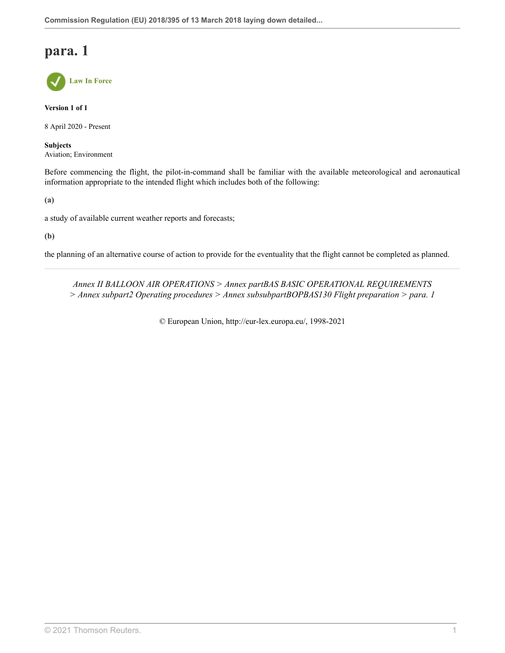

**Version 1 of 1**

8 April 2020 - Present

**Subjects** Aviation; Environment

Before commencing the flight, the pilot-in-command shall be familiar with the available meteorological and aeronautical information appropriate to the intended flight which includes both of the following:

**(a)**

a study of available current weather reports and forecasts;

**(b)**

the planning of an alternative course of action to provide for the eventuality that the flight cannot be completed as planned.

*Annex II BALLOON AIR OPERATIONS > Annex partBAS BASIC OPERATIONAL REQUIREMENTS > Annex subpart2 Operating procedures > Annex subsubpartBOPBAS130 Flight preparation > para. 1*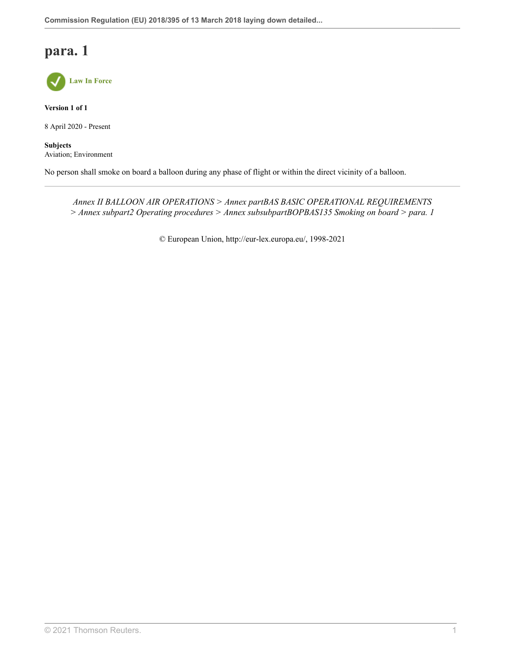

**Version 1 of 1**

8 April 2020 - Present

**Subjects** Aviation; Environment

No person shall smoke on board a balloon during any phase of flight or within the direct vicinity of a balloon.

*Annex II BALLOON AIR OPERATIONS > Annex partBAS BASIC OPERATIONAL REQUIREMENTS > Annex subpart2 Operating procedures > Annex subsubpartBOPBAS135 Smoking on board > para. 1*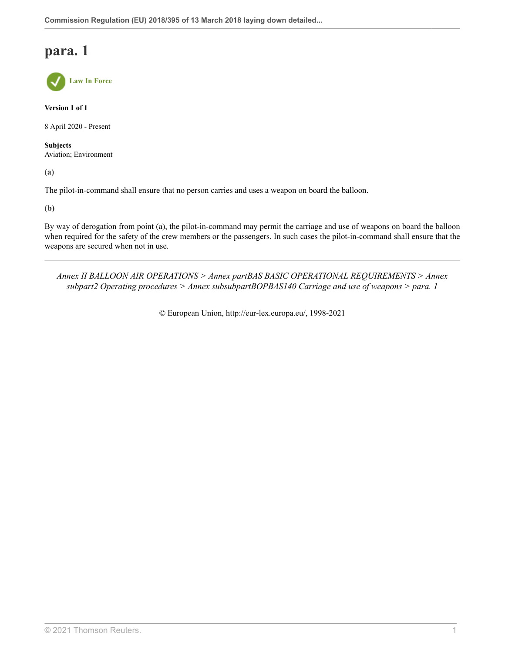**Law In Force**

**Version 1 of 1**

8 April 2020 - Present

**Subjects** Aviation; Environment

**(a)**

The pilot-in-command shall ensure that no person carries and uses a weapon on board the balloon.

**(b)**

By way of derogation from point (a), the pilot-in-command may permit the carriage and use of weapons on board the balloon when required for the safety of the crew members or the passengers. In such cases the pilot-in-command shall ensure that the weapons are secured when not in use.

*Annex II BALLOON AIR OPERATIONS > Annex partBAS BASIC OPERATIONAL REQUIREMENTS > Annex subpart2 Operating procedures > Annex subsubpartBOPBAS140 Carriage and use of weapons > para. 1*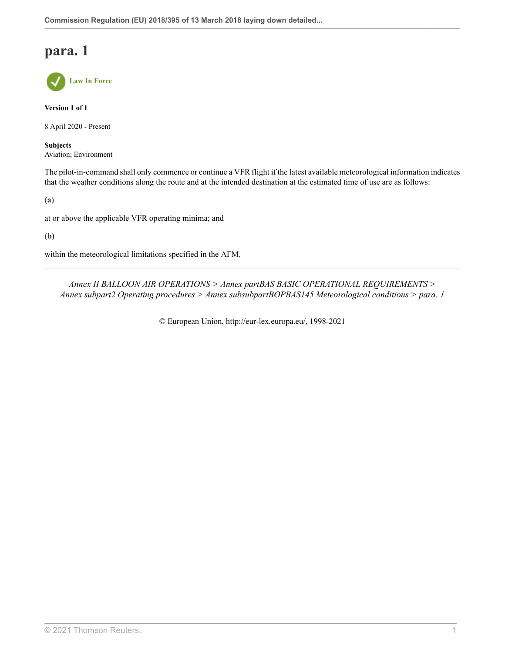**Law In Force**

**Version 1 of 1**

8 April 2020 - Present

**Subjects** Aviation; Environment

The pilot-in-command shall only commence or continue a VFR flight if the latest available meteorological information indicates that the weather conditions along the route and at the intended destination at the estimated time of use are as follows:

**(a)**

at or above the applicable VFR operating minima; and

**(b)**

within the meteorological limitations specified in the AFM.

*Annex II BALLOON AIR OPERATIONS > Annex partBAS BASIC OPERATIONAL REQUIREMENTS > Annex subpart2 Operating procedures > Annex subsubpartBOPBAS145 Meteorological conditions > para. 1*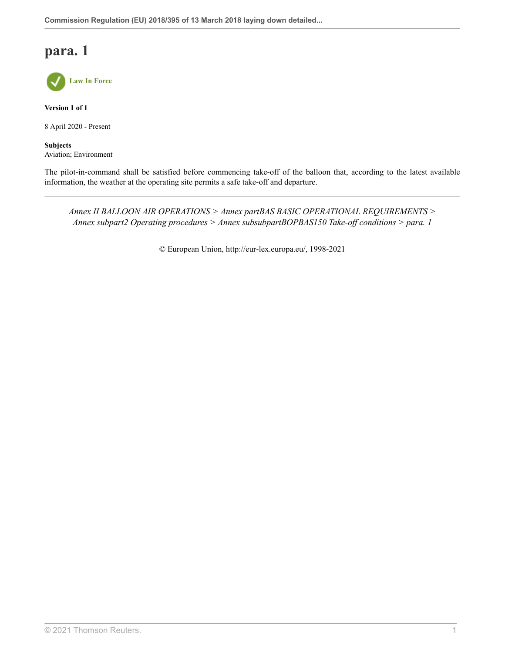

**Version 1 of 1**

8 April 2020 - Present

**Subjects** Aviation; Environment

The pilot-in-command shall be satisfied before commencing take-off of the balloon that, according to the latest available information, the weather at the operating site permits a safe take-off and departure.

*Annex II BALLOON AIR OPERATIONS > Annex partBAS BASIC OPERATIONAL REQUIREMENTS > Annex subpart2 Operating procedures > Annex subsubpartBOPBAS150 Take-off conditions > para. 1*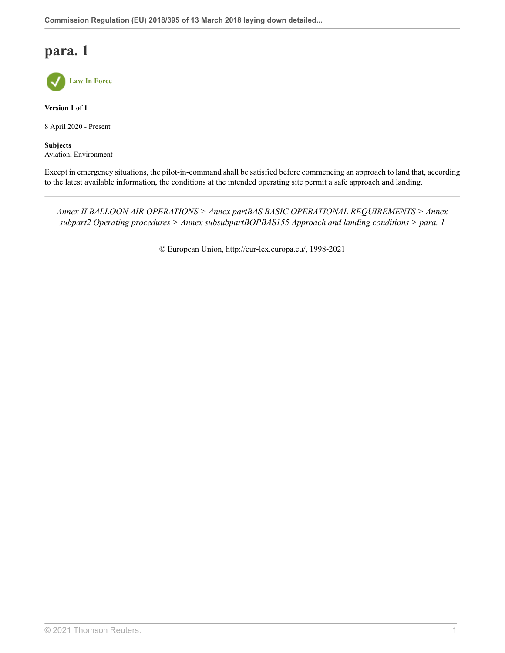

**Version 1 of 1**

8 April 2020 - Present

**Subjects** Aviation; Environment

Except in emergency situations, the pilot-in-command shall be satisfied before commencing an approach to land that, according to the latest available information, the conditions at the intended operating site permit a safe approach and landing.

*Annex II BALLOON AIR OPERATIONS > Annex partBAS BASIC OPERATIONAL REQUIREMENTS > Annex subpart2 Operating procedures > Annex subsubpartBOPBAS155 Approach and landing conditions > para. 1*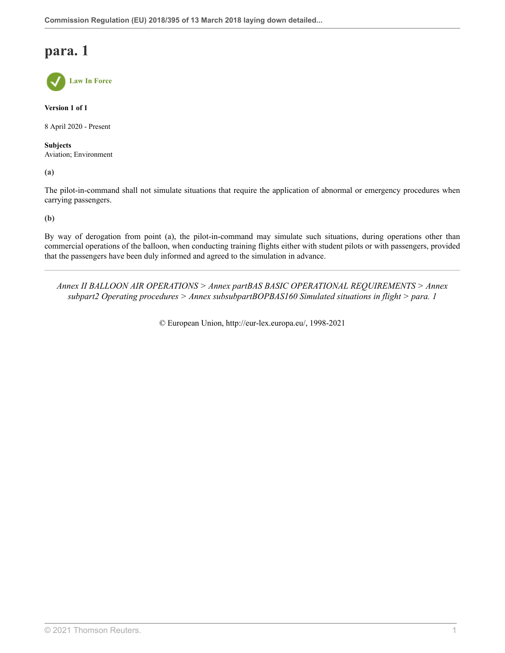**Law In Force**

**Version 1 of 1**

8 April 2020 - Present

**Subjects** Aviation; Environment

**(a)**

The pilot-in-command shall not simulate situations that require the application of abnormal or emergency procedures when carrying passengers.

**(b)**

By way of derogation from point (a), the pilot-in-command may simulate such situations, during operations other than commercial operations of the balloon, when conducting training flights either with student pilots or with passengers, provided that the passengers have been duly informed and agreed to the simulation in advance.

*Annex II BALLOON AIR OPERATIONS > Annex partBAS BASIC OPERATIONAL REQUIREMENTS > Annex subpart2 Operating procedures > Annex subsubpartBOPBAS160 Simulated situations in flight > para. 1*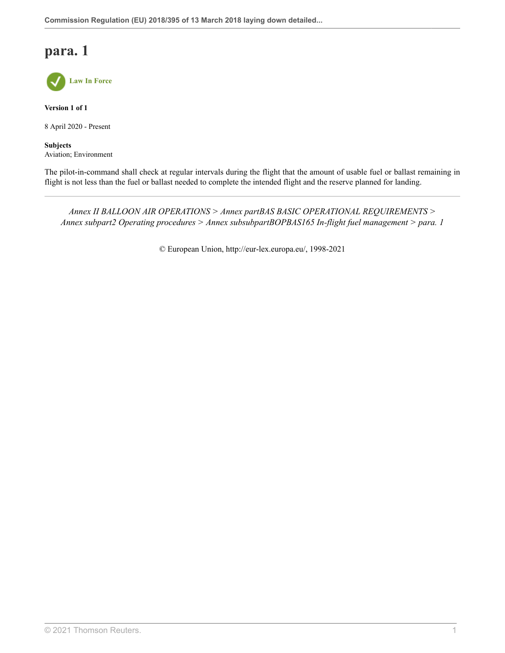

**Version 1 of 1**

8 April 2020 - Present

**Subjects** Aviation; Environment

The pilot-in-command shall check at regular intervals during the flight that the amount of usable fuel or ballast remaining in flight is not less than the fuel or ballast needed to complete the intended flight and the reserve planned for landing.

*Annex II BALLOON AIR OPERATIONS > Annex partBAS BASIC OPERATIONAL REQUIREMENTS > Annex subpart2 Operating procedures > Annex subsubpartBOPBAS165 In-flight fuel management > para. 1*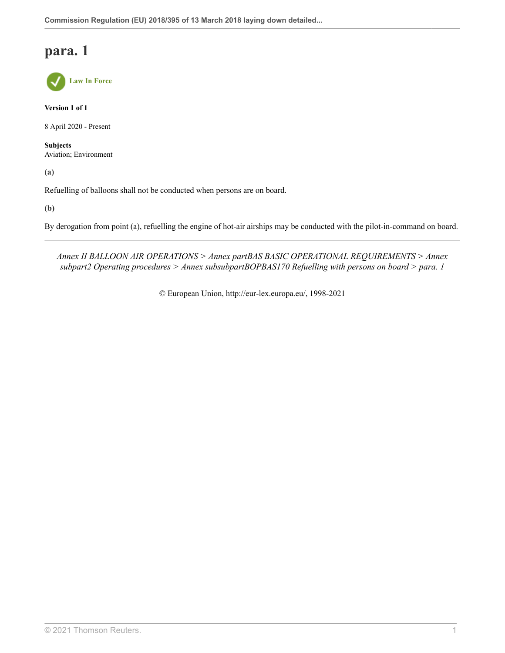

**Version 1 of 1**

8 April 2020 - Present

**Subjects** Aviation; Environment

**(a)**

Refuelling of balloons shall not be conducted when persons are on board.

**(b)**

By derogation from point (a), refuelling the engine of hot-air airships may be conducted with the pilot-in-command on board.

*Annex II BALLOON AIR OPERATIONS > Annex partBAS BASIC OPERATIONAL REQUIREMENTS > Annex subpart2 Operating procedures > Annex subsubpartBOPBAS170 Refuelling with persons on board > para. 1*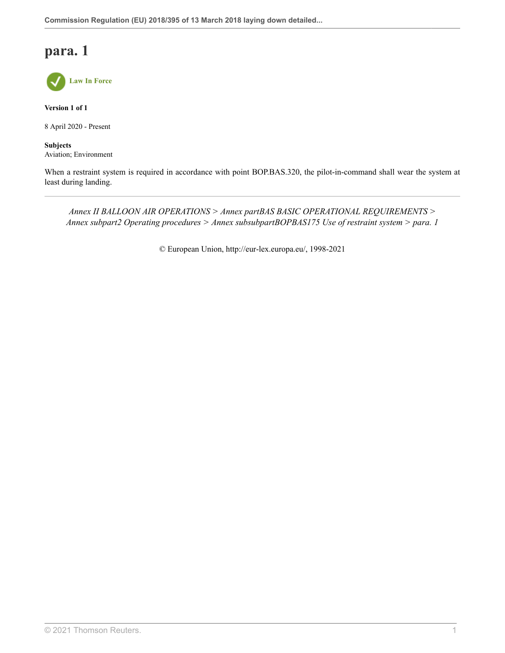

**Version 1 of 1**

8 April 2020 - Present

**Subjects** Aviation; Environment

When a restraint system is required in accordance with point BOP.BAS.320, the pilot-in-command shall wear the system at least during landing.

*Annex II BALLOON AIR OPERATIONS > Annex partBAS BASIC OPERATIONAL REQUIREMENTS > Annex subpart2 Operating procedures > Annex subsubpartBOPBAS175 Use of restraint system > para. 1*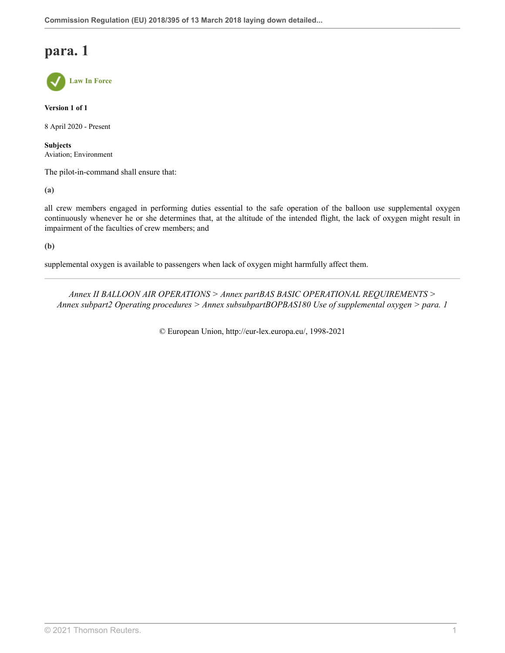**Law In Force**

**Version 1 of 1**

8 April 2020 - Present

**Subjects** Aviation; Environment

The pilot-in-command shall ensure that:

**(a)**

all crew members engaged in performing duties essential to the safe operation of the balloon use supplemental oxygen continuously whenever he or she determines that, at the altitude of the intended flight, the lack of oxygen might result in impairment of the faculties of crew members; and

**(b)**

supplemental oxygen is available to passengers when lack of oxygen might harmfully affect them.

*Annex II BALLOON AIR OPERATIONS > Annex partBAS BASIC OPERATIONAL REQUIREMENTS > Annex subpart2 Operating procedures > Annex subsubpartBOPBAS180 Use of supplemental oxygen > para. 1*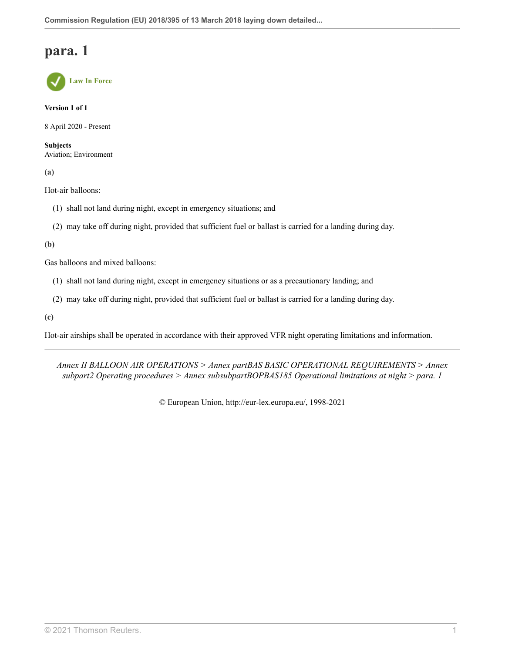**Law In Force**

**Version 1 of 1**

8 April 2020 - Present

**Subjects** Aviation; Environment

**(a)**

Hot-air balloons:

- (1) shall not land during night, except in emergency situations; and
- (2) may take off during night, provided that sufficient fuel or ballast is carried for a landing during day.

**(b)**

Gas balloons and mixed balloons:

- (1) shall not land during night, except in emergency situations or as a precautionary landing; and
- (2) may take off during night, provided that sufficient fuel or ballast is carried for a landing during day.

**(c)**

Hot-air airships shall be operated in accordance with their approved VFR night operating limitations and information.

*Annex II BALLOON AIR OPERATIONS > Annex partBAS BASIC OPERATIONAL REQUIREMENTS > Annex subpart2 Operating procedures > Annex subsubpartBOPBAS185 Operational limitations at night > para. 1*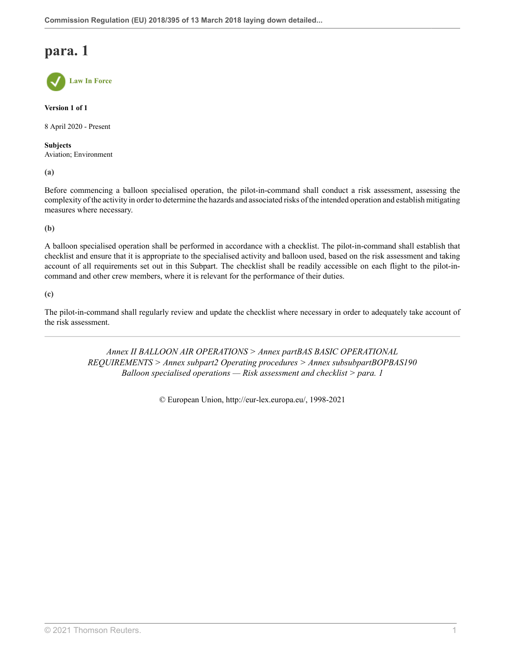**Law In Force**

**Version 1 of 1**

8 April 2020 - Present

**Subjects** Aviation; Environment

**(a)**

Before commencing a balloon specialised operation, the pilot-in-command shall conduct a risk assessment, assessing the complexity of the activity in order to determine the hazards and associated risks of the intended operation and establish mitigating measures where necessary.

**(b)**

A balloon specialised operation shall be performed in accordance with a checklist. The pilot-in-command shall establish that checklist and ensure that it is appropriate to the specialised activity and balloon used, based on the risk assessment and taking account of all requirements set out in this Subpart. The checklist shall be readily accessible on each flight to the pilot-incommand and other crew members, where it is relevant for the performance of their duties.

**(c)**

The pilot-in-command shall regularly review and update the checklist where necessary in order to adequately take account of the risk assessment.

> *Annex II BALLOON AIR OPERATIONS > Annex partBAS BASIC OPERATIONAL REQUIREMENTS > Annex subpart2 Operating procedures > Annex subsubpartBOPBAS190 Balloon specialised operations — Risk assessment and checklist > para. 1*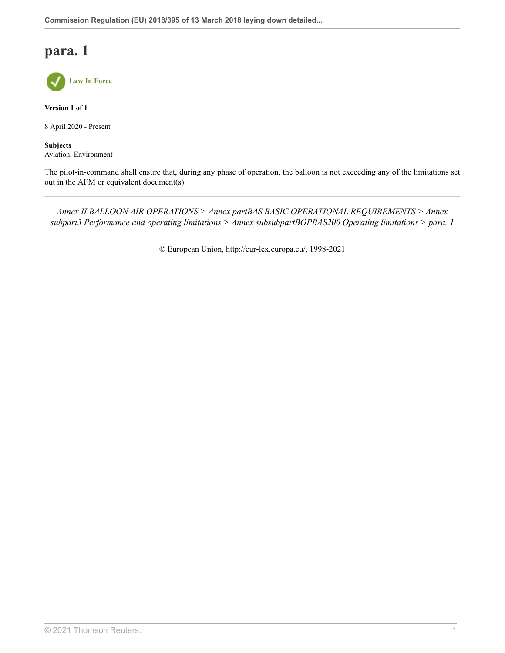

**Version 1 of 1**

8 April 2020 - Present

**Subjects** Aviation; Environment

The pilot-in-command shall ensure that, during any phase of operation, the balloon is not exceeding any of the limitations set out in the AFM or equivalent document(s).

*Annex II BALLOON AIR OPERATIONS > Annex partBAS BASIC OPERATIONAL REQUIREMENTS > Annex subpart3 Performance and operating limitations > Annex subsubpartBOPBAS200 Operating limitations > para. 1*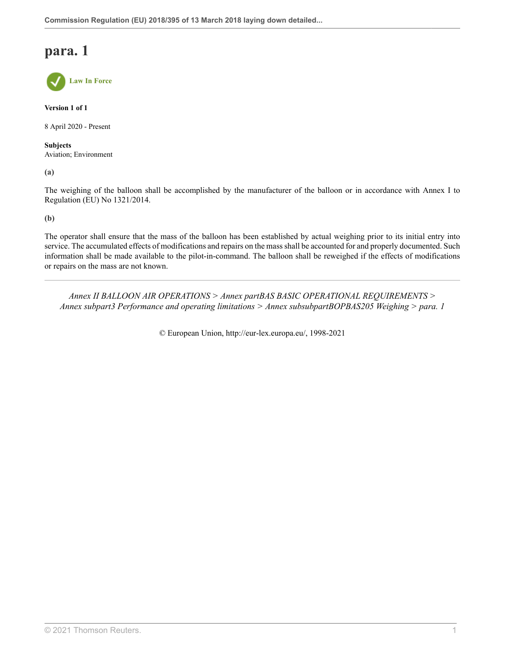**Law In Force**

**Version 1 of 1**

8 April 2020 - Present

**Subjects** Aviation; Environment

**(a)**

The weighing of the balloon shall be accomplished by the manufacturer of the balloon or in accordance with Annex I to Regulation (EU) No 1321/2014.

**(b)**

The operator shall ensure that the mass of the balloon has been established by actual weighing prior to its initial entry into service. The accumulated effects of modifications and repairs on the mass shall be accounted for and properly documented. Such information shall be made available to the pilot-in-command. The balloon shall be reweighed if the effects of modifications or repairs on the mass are not known.

*Annex II BALLOON AIR OPERATIONS > Annex partBAS BASIC OPERATIONAL REQUIREMENTS > Annex subpart3 Performance and operating limitations > Annex subsubpartBOPBAS205 Weighing > para. 1*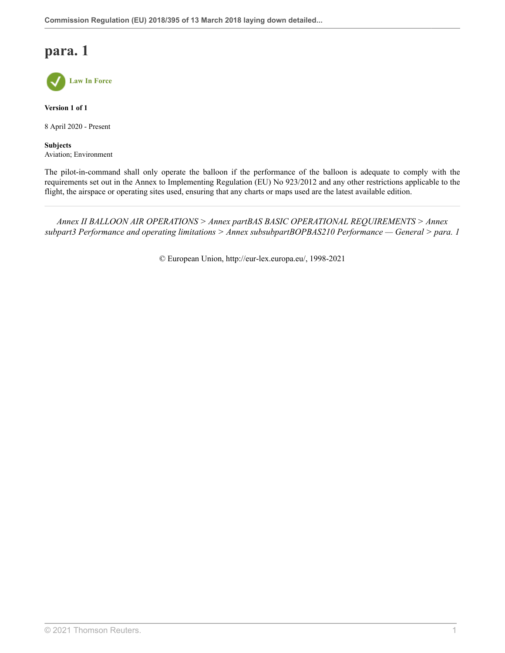

**Version 1 of 1**

8 April 2020 - Present

**Subjects** Aviation; Environment

The pilot-in-command shall only operate the balloon if the performance of the balloon is adequate to comply with the requirements set out in the Annex to Implementing Regulation (EU) No 923/2012 and any other restrictions applicable to the flight, the airspace or operating sites used, ensuring that any charts or maps used are the latest available edition.

*Annex II BALLOON AIR OPERATIONS > Annex partBAS BASIC OPERATIONAL REQUIREMENTS > Annex subpart3 Performance and operating limitations > Annex subsubpartBOPBAS210 Performance — General > para. 1*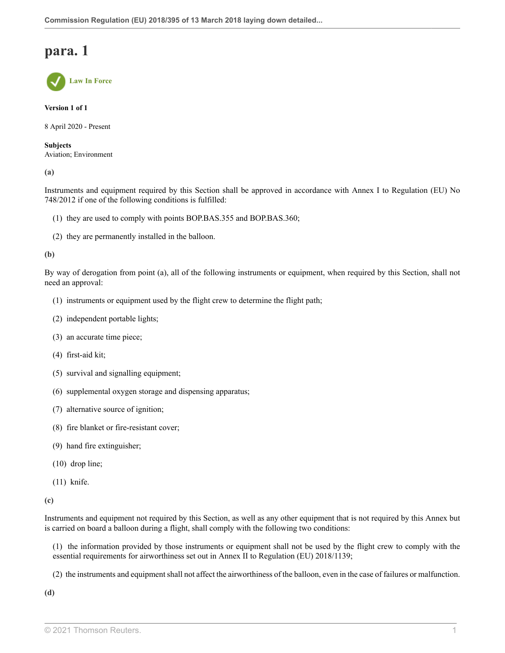

**Version 1 of 1**

8 April 2020 - Present

**Subjects** Aviation; Environment

**(a)**

Instruments and equipment required by this Section shall be approved in accordance with Annex I to Regulation (EU) No 748/2012 if one of the following conditions is fulfilled:

- (1) they are used to comply with points BOP.BAS.355 and BOP.BAS.360;
- (2) they are permanently installed in the balloon.

**(b)**

By way of derogation from point (a), all of the following instruments or equipment, when required by this Section, shall not need an approval:

- (1) instruments or equipment used by the flight crew to determine the flight path;
- (2) independent portable lights;
- (3) an accurate time piece;
- (4) first-aid kit;
- (5) survival and signalling equipment;
- (6) supplemental oxygen storage and dispensing apparatus;
- (7) alternative source of ignition;
- (8) fire blanket or fire-resistant cover;
- (9) hand fire extinguisher;
- (10) drop line;
- (11) knife.

**(c)**

Instruments and equipment not required by this Section, as well as any other equipment that is not required by this Annex but is carried on board a balloon during a flight, shall comply with the following two conditions:

(1) the information provided by those instruments or equipment shall not be used by the flight crew to comply with the essential requirements for airworthiness set out in Annex II to Regulation (EU) 2018/1139;

(2) the instruments and equipment shall not affect the airworthiness of the balloon, even in the case of failures or malfunction.

**(d)**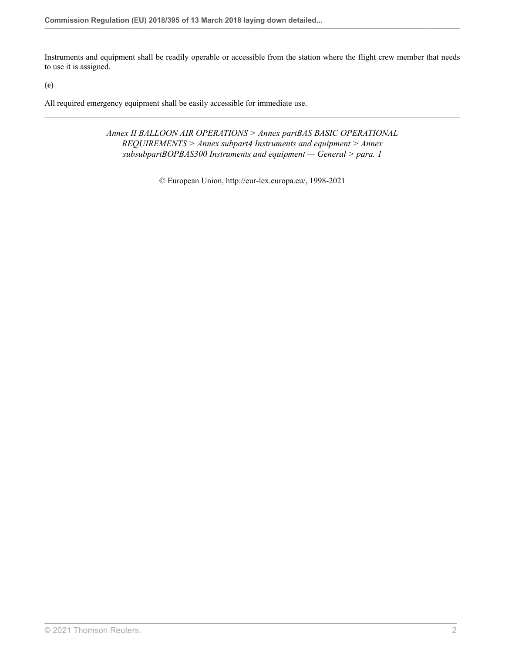Instruments and equipment shall be readily operable or accessible from the station where the flight crew member that needs to use it is assigned.

**(e)**

All required emergency equipment shall be easily accessible for immediate use.

*Annex II BALLOON AIR OPERATIONS > Annex partBAS BASIC OPERATIONAL REQUIREMENTS > Annex subpart4 Instruments and equipment > Annex subsubpartBOPBAS300 Instruments and equipment — General > para. 1*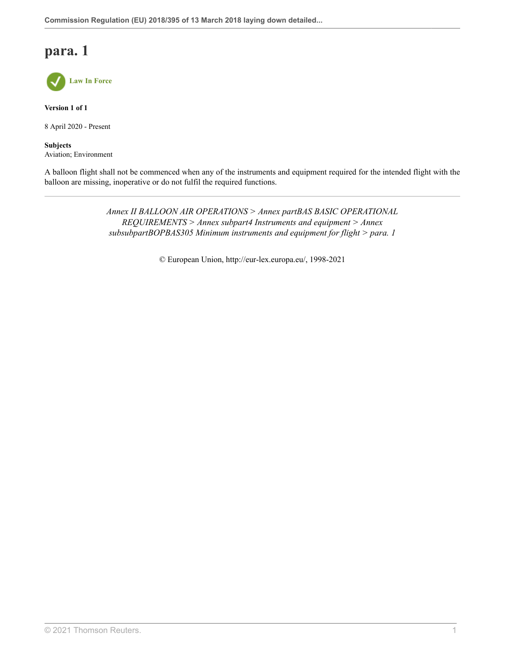

**Version 1 of 1**

8 April 2020 - Present

**Subjects** Aviation; Environment

A balloon flight shall not be commenced when any of the instruments and equipment required for the intended flight with the balloon are missing, inoperative or do not fulfil the required functions.

> *Annex II BALLOON AIR OPERATIONS > Annex partBAS BASIC OPERATIONAL REQUIREMENTS > Annex subpart4 Instruments and equipment > Annex subsubpartBOPBAS305 Minimum instruments and equipment for flight > para. 1*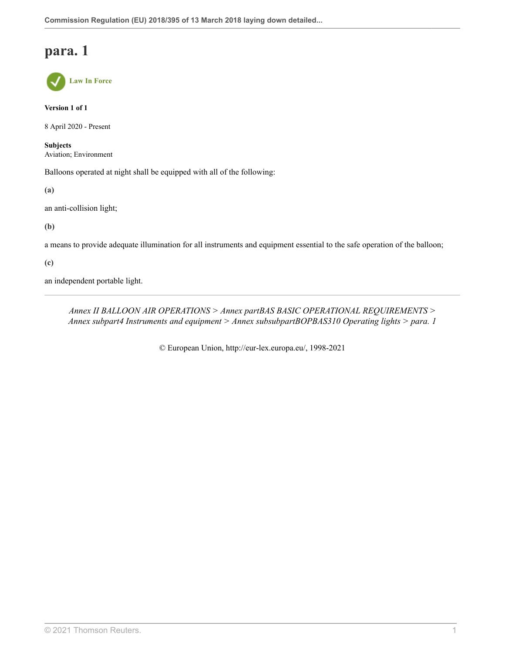**Law In Force**

**Version 1 of 1**

8 April 2020 - Present

**Subjects** Aviation; Environment

Balloons operated at night shall be equipped with all of the following:

**(a)**

an anti-collision light;

**(b)**

a means to provide adequate illumination for all instruments and equipment essential to the safe operation of the balloon;

**(c)**

an independent portable light.

*Annex II BALLOON AIR OPERATIONS > Annex partBAS BASIC OPERATIONAL REQUIREMENTS > Annex subpart4 Instruments and equipment > Annex subsubpartBOPBAS310 Operating lights > para. 1*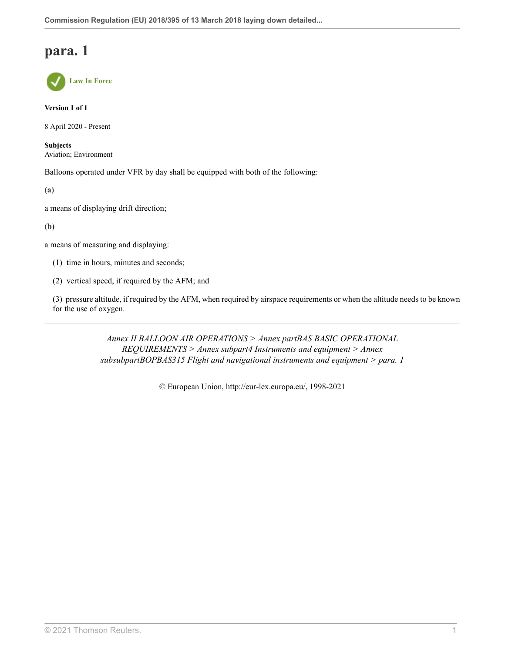

**Version 1 of 1**

8 April 2020 - Present

**Subjects** Aviation; Environment

Balloons operated under VFR by day shall be equipped with both of the following:

**(a)**

a means of displaying drift direction;

**(b)**

a means of measuring and displaying:

(1) time in hours, minutes and seconds;

(2) vertical speed, if required by the AFM; and

(3) pressure altitude, if required by the AFM, when required by airspace requirements or when the altitude needs to be known for the use of oxygen.

> *Annex II BALLOON AIR OPERATIONS > Annex partBAS BASIC OPERATIONAL REQUIREMENTS > Annex subpart4 Instruments and equipment > Annex subsubpartBOPBAS315 Flight and navigational instruments and equipment > para. 1*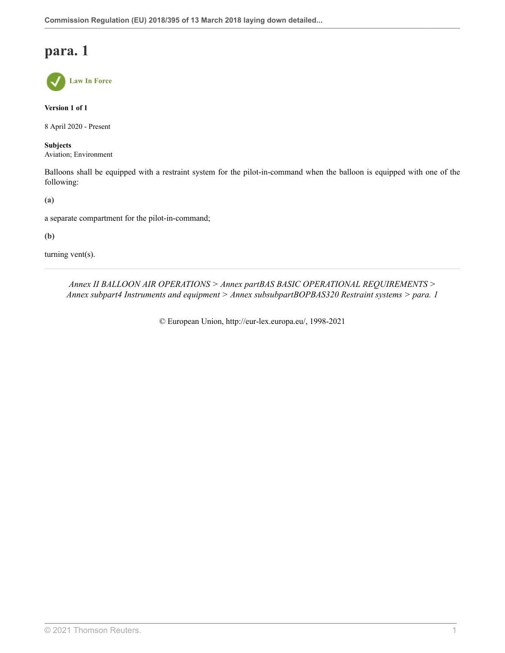**Law In Force**

**Version 1 of 1**

8 April 2020 - Present

**Subjects** Aviation; Environment

Balloons shall be equipped with a restraint system for the pilot-in-command when the balloon is equipped with one of the following:

**(a)**

a separate compartment for the pilot-in-command;

**(b)**

turning vent(s).

*Annex II BALLOON AIR OPERATIONS > Annex partBAS BASIC OPERATIONAL REQUIREMENTS > Annex subpart4 Instruments and equipment > Annex subsubpartBOPBAS320 Restraint systems > para. 1*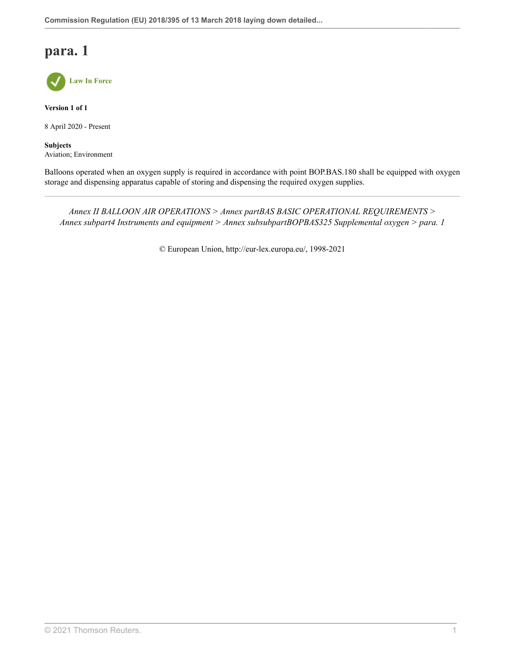

**Version 1 of 1**

8 April 2020 - Present

**Subjects** Aviation; Environment

Balloons operated when an oxygen supply is required in accordance with point BOP.BAS.180 shall be equipped with oxygen storage and dispensing apparatus capable of storing and dispensing the required oxygen supplies.

*Annex II BALLOON AIR OPERATIONS > Annex partBAS BASIC OPERATIONAL REQUIREMENTS > Annex subpart4 Instruments and equipment > Annex subsubpartBOPBAS325 Supplemental oxygen > para. 1*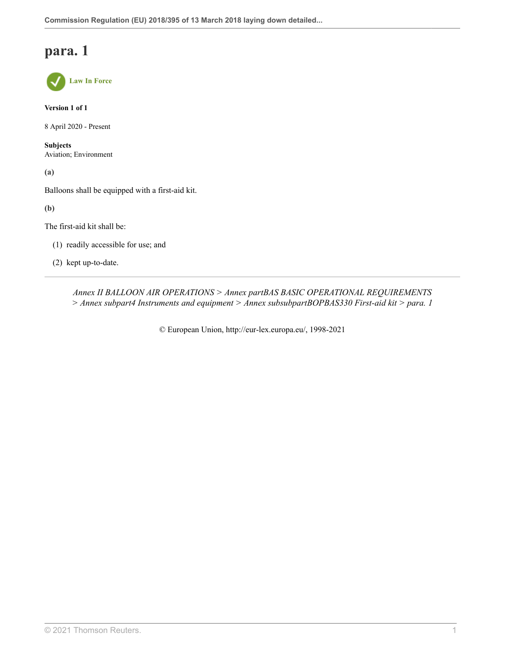

**Version 1 of 1**

8 April 2020 - Present

**Subjects** Aviation; Environment

**(a)**

Balloons shall be equipped with a first-aid kit.

**(b)**

The first-aid kit shall be:

- (1) readily accessible for use; and
- (2) kept up-to-date.

*Annex II BALLOON AIR OPERATIONS > Annex partBAS BASIC OPERATIONAL REQUIREMENTS > Annex subpart4 Instruments and equipment > Annex subsubpartBOPBAS330 First-aid kit > para. 1*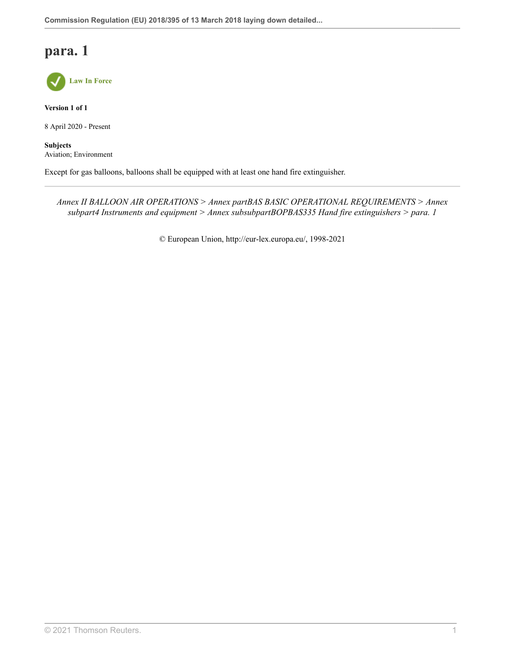

**Version 1 of 1**

8 April 2020 - Present

**Subjects** Aviation; Environment

Except for gas balloons, balloons shall be equipped with at least one hand fire extinguisher.

*Annex II BALLOON AIR OPERATIONS > Annex partBAS BASIC OPERATIONAL REQUIREMENTS > Annex subpart4 Instruments and equipment > Annex subsubpartBOPBAS335 Hand fire extinguishers > para. 1*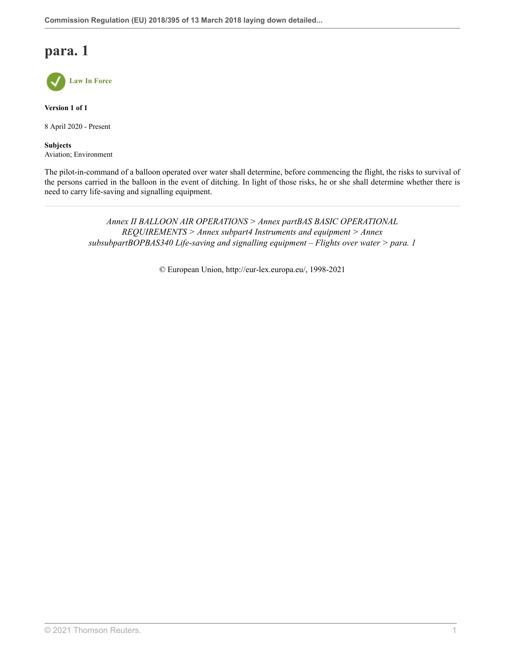

**Version 1 of 1**

8 April 2020 - Present

**Subjects** Aviation; Environment

The pilot-in-command of a balloon operated over water shall determine, before commencing the flight, the risks to survival of the persons carried in the balloon in the event of ditching. In light of those risks, he or she shall determine whether there is need to carry life-saving and signalling equipment.

> *Annex II BALLOON AIR OPERATIONS > Annex partBAS BASIC OPERATIONAL REQUIREMENTS > Annex subpart4 Instruments and equipment > Annex subsubpartBOPBAS340 Life-saving and signalling equipment – Flights over water > para. 1*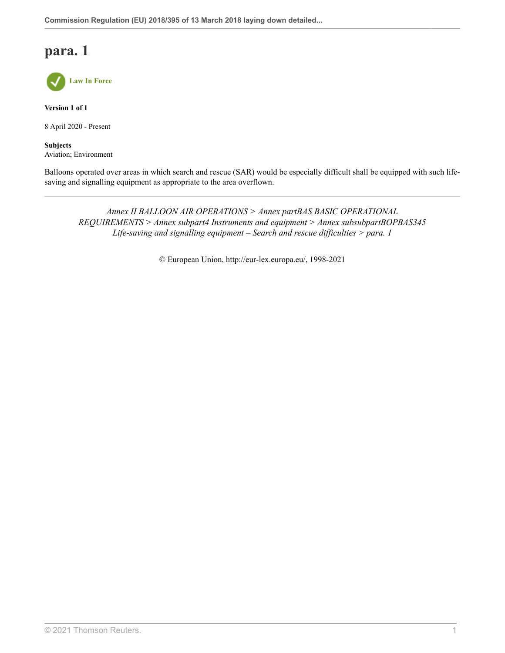

**Version 1 of 1**

8 April 2020 - Present

**Subjects** Aviation; Environment

Balloons operated over areas in which search and rescue (SAR) would be especially difficult shall be equipped with such lifesaving and signalling equipment as appropriate to the area overflown.

*Annex II BALLOON AIR OPERATIONS > Annex partBAS BASIC OPERATIONAL REQUIREMENTS > Annex subpart4 Instruments and equipment > Annex subsubpartBOPBAS345 Life-saving and signalling equipment – Search and rescue difficulties > para. 1*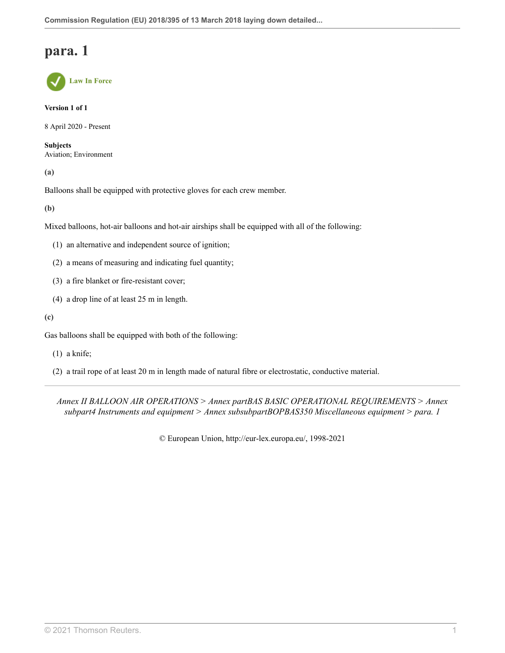

**Version 1 of 1**

8 April 2020 - Present

**Subjects** Aviation; Environment

**(a)**

Balloons shall be equipped with protective gloves for each crew member.

**(b)**

Mixed balloons, hot-air balloons and hot-air airships shall be equipped with all of the following:

- (1) an alternative and independent source of ignition;
- (2) a means of measuring and indicating fuel quantity;
- (3) a fire blanket or fire-resistant cover;
- (4) a drop line of at least 25 m in length.
- **(c)**

Gas balloons shall be equipped with both of the following:

(1) a knife;

(2) a trail rope of at least 20 m in length made of natural fibre or electrostatic, conductive material.

*Annex II BALLOON AIR OPERATIONS > Annex partBAS BASIC OPERATIONAL REQUIREMENTS > Annex subpart4 Instruments and equipment > Annex subsubpartBOPBAS350 Miscellaneous equipment > para. 1*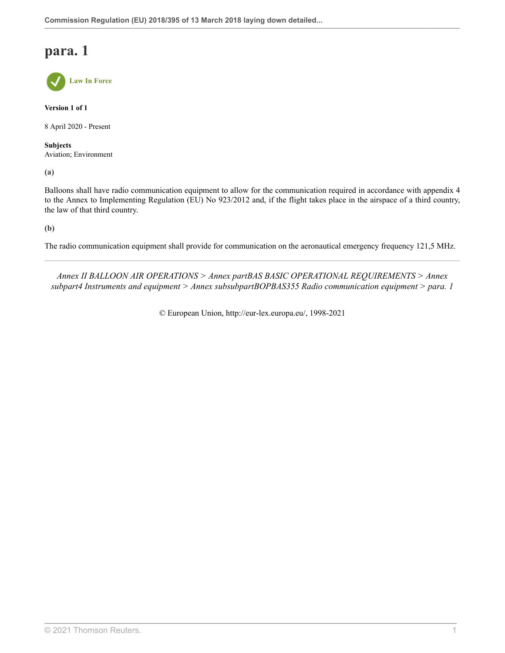**Law In Force**

**Version 1 of 1**

8 April 2020 - Present

**Subjects** Aviation; Environment

**(a)**

Balloons shall have radio communication equipment to allow for the communication required in accordance with appendix 4 to the Annex to Implementing Regulation (EU) No 923/2012 and, if the flight takes place in the airspace of a third country, the law of that third country.

**(b)**

The radio communication equipment shall provide for communication on the aeronautical emergency frequency 121,5 MHz.

*Annex II BALLOON AIR OPERATIONS > Annex partBAS BASIC OPERATIONAL REQUIREMENTS > Annex subpart4 Instruments and equipment > Annex subsubpartBOPBAS355 Radio communication equipment > para. 1*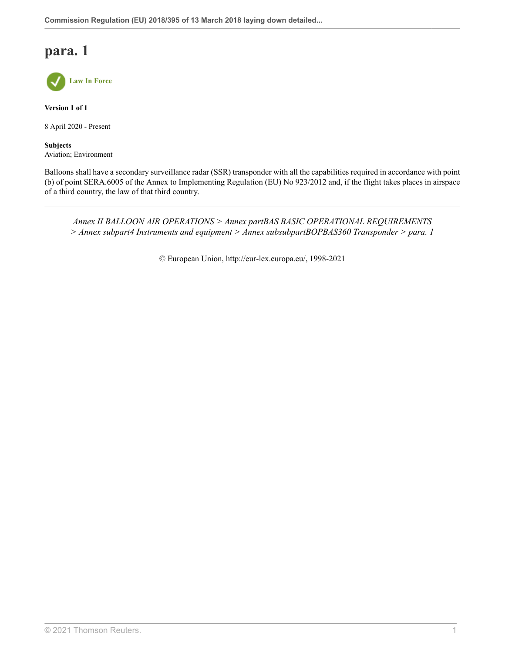

**Version 1 of 1**

8 April 2020 - Present

**Subjects** Aviation; Environment

Balloons shall have a secondary surveillance radar (SSR) transponder with all the capabilities required in accordance with point (b) of point SERA.6005 of the Annex to Implementing Regulation (EU) No 923/2012 and, if the flight takes places in airspace of a third country, the law of that third country.

*Annex II BALLOON AIR OPERATIONS > Annex partBAS BASIC OPERATIONAL REQUIREMENTS > Annex subpart4 Instruments and equipment > Annex subsubpartBOPBAS360 Transponder > para. 1*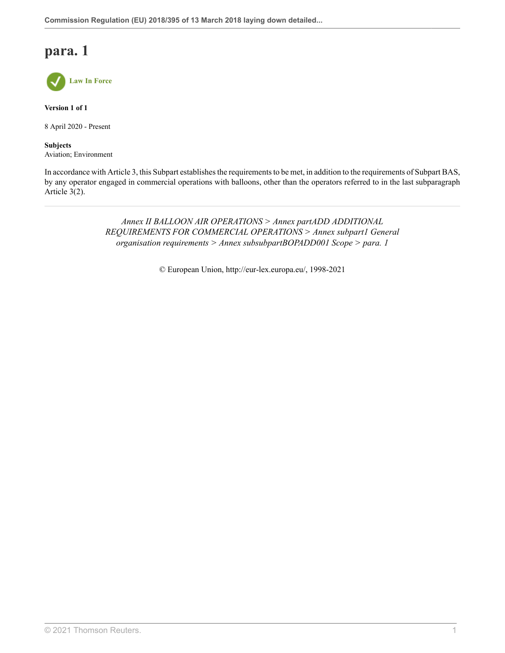

**Version 1 of 1**

8 April 2020 - Present

**Subjects** Aviation; Environment

In accordance with Article 3, this Subpart establishes the requirements to be met, in addition to the requirements of Subpart BAS, by any operator engaged in commercial operations with balloons, other than the operators referred to in the last subparagraph Article 3(2).

> *Annex II BALLOON AIR OPERATIONS > Annex partADD ADDITIONAL REQUIREMENTS FOR COMMERCIAL OPERATIONS > Annex subpart1 General organisation requirements > Annex subsubpartBOPADD001 Scope > para. 1*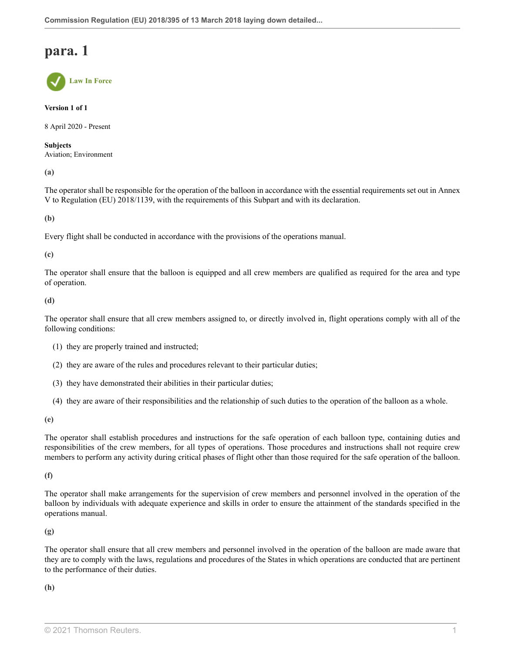**Law In Force**

**Version 1 of 1**

8 April 2020 - Present

**Subjects** Aviation; Environment

**(a)**

The operator shall be responsible for the operation of the balloon in accordance with the essential requirements set out in Annex V to Regulation (EU) 2018/1139, with the requirements of this Subpart and with its declaration.

**(b)**

Every flight shall be conducted in accordance with the provisions of the operations manual.

**(c)**

The operator shall ensure that the balloon is equipped and all crew members are qualified as required for the area and type of operation.

**(d)**

The operator shall ensure that all crew members assigned to, or directly involved in, flight operations comply with all of the following conditions:

(1) they are properly trained and instructed;

- (2) they are aware of the rules and procedures relevant to their particular duties;
- (3) they have demonstrated their abilities in their particular duties;
- (4) they are aware of their responsibilities and the relationship of such duties to the operation of the balloon as a whole.

**(e)**

The operator shall establish procedures and instructions for the safe operation of each balloon type, containing duties and responsibilities of the crew members, for all types of operations. Those procedures and instructions shall not require crew members to perform any activity during critical phases of flight other than those required for the safe operation of the balloon.

**(f)**

The operator shall make arrangements for the supervision of crew members and personnel involved in the operation of the balloon by individuals with adequate experience and skills in order to ensure the attainment of the standards specified in the operations manual.

**(g)**

The operator shall ensure that all crew members and personnel involved in the operation of the balloon are made aware that they are to comply with the laws, regulations and procedures of the States in which operations are conducted that are pertinent to the performance of their duties.

**(h)**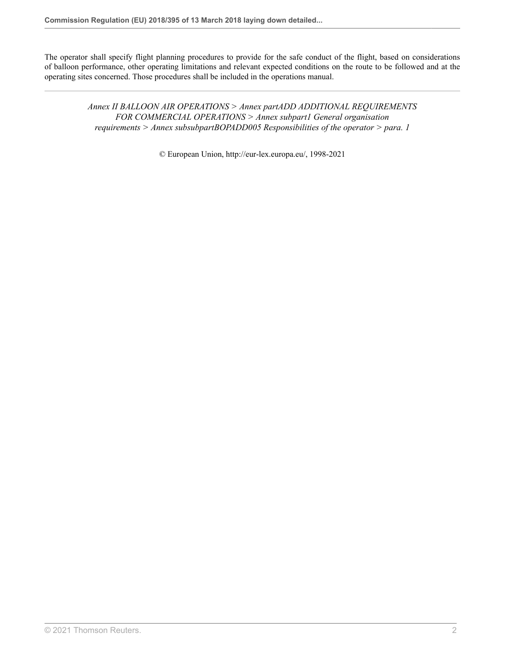The operator shall specify flight planning procedures to provide for the safe conduct of the flight, based on considerations of balloon performance, other operating limitations and relevant expected conditions on the route to be followed and at the operating sites concerned. Those procedures shall be included in the operations manual.

> *Annex II BALLOON AIR OPERATIONS > Annex partADD ADDITIONAL REQUIREMENTS FOR COMMERCIAL OPERATIONS > Annex subpart1 General organisation requirements > Annex subsubpartBOPADD005 Responsibilities of the operator > para. 1*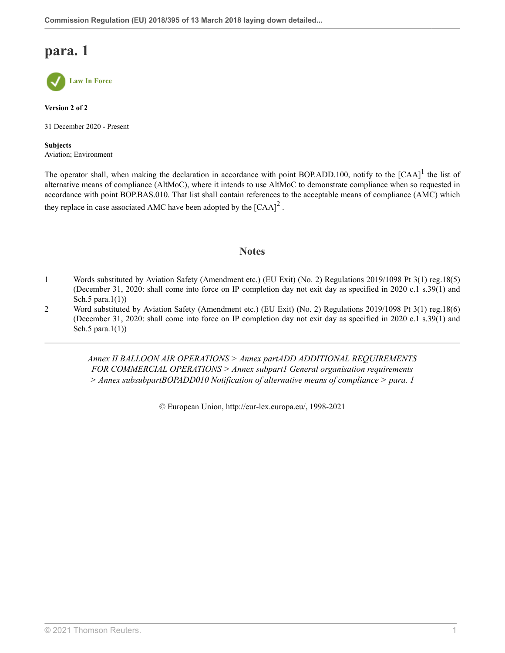

**Version 2 of 2**

31 December 2020 - Present

**Subjects** Aviation; Environment

The operator shall, when making the declaration in accordance with point BOP.ADD.[1](#page-76-0)00, notify to the  $[CAA]$ <sup>1</sup> the list of alternative means of compliance (AltMoC), where it intends to use AltMoC to demonstrate compliance when so requested in accordance with point BOP.BAS.010. That list shall contain references to the acceptable means of compliance (AMC) which they replace in case associated AMC have been adopted by the  $[{\rm CAA}]^2$  $[{\rm CAA}]^2$ .

### <span id="page-76-3"></span><span id="page-76-2"></span>**Notes**

- <span id="page-76-0"></span>[1](#page-76-2) Words substituted by Aviation Safety (Amendment etc.) (EU Exit) (No. 2) Regulations 2019/1098 [Pt 3\(1\) reg.18\(5\)](http://uk.westlaw.com/Document/I1025CBD0A46711E9AA46BDE62A47EF6F/View/FullText.html?originationContext=document&transitionType=DocumentItem&vr=3.0&rs=PLUK1.0&contextData=(sc.Search)) (December 31, 2020: shall come into force on IP completion day not exit day as specified in 2020 c.1 s.39(1) and Sch.5 para.1(1))
- <span id="page-76-1"></span>[2](#page-76-3) Word substituted by Aviation Safety (Amendment etc.) (EU Exit) (No. 2) Regulations 2019/1098 [Pt 3\(1\) reg.18\(6\)](http://uk.westlaw.com/Document/I1025CBD0A46711E9AA46BDE62A47EF6F/View/FullText.html?originationContext=document&transitionType=DocumentItem&vr=3.0&rs=PLUK1.0&contextData=(sc.Search)) (December 31, 2020: shall come into force on IP completion day not exit day as specified in 2020 c.1 s.39(1) and Sch.5 para.1(1))

*Annex II BALLOON AIR OPERATIONS > Annex partADD ADDITIONAL REQUIREMENTS FOR COMMERCIAL OPERATIONS > Annex subpart1 General organisation requirements > Annex subsubpartBOPADD010 Notification of alternative means of compliance > para. 1*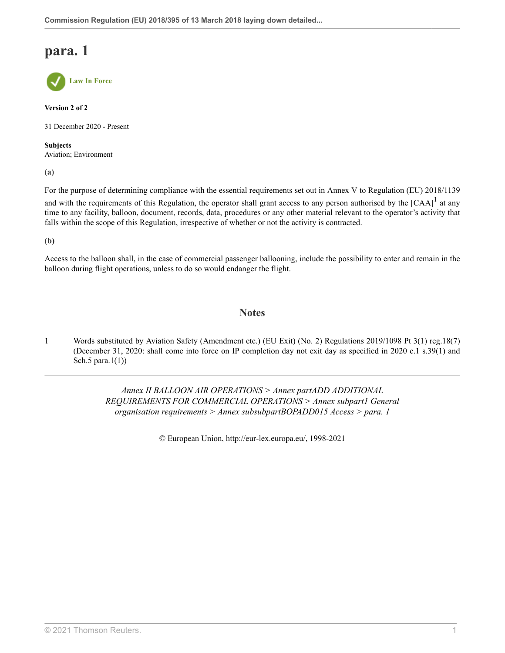**Law In Force**

**Version 2 of 2**

31 December 2020 - Present

**Subjects** Aviation; Environment

**(a)**

For the purpose of determining compliance with the essential requirements set out in Annex V to Regulation (EU) 2018/1139 and with the requirements of this Regulation, the operator shall grant access to any person authorised by the  $[CAA]$ <sup>[1](#page-77-0)</sup> at any time to any facility, balloon, document, records, data, procedures or any other material relevant to the operator's activity that falls within the scope of this Regulation, irrespective of whether or not the activity is contracted.

**(b)**

Access to the balloon shall, in the case of commercial passenger ballooning, include the possibility to enter and remain in the balloon during flight operations, unless to do so would endanger the flight.

### <span id="page-77-1"></span>**Notes**

<span id="page-77-0"></span>[1](#page-77-1) Words substituted by Aviation Safety (Amendment etc.) (EU Exit) (No. 2) Regulations 2019/1098 [Pt 3\(1\) reg.18\(7\)](http://uk.westlaw.com/Document/I1025CBD0A46711E9AA46BDE62A47EF6F/View/FullText.html?originationContext=document&transitionType=DocumentItem&vr=3.0&rs=PLUK1.0&contextData=(sc.Search)) (December 31, 2020: shall come into force on IP completion day not exit day as specified in 2020 c.1 s.39(1) and Sch.5 para.1(1))

> *Annex II BALLOON AIR OPERATIONS > Annex partADD ADDITIONAL REQUIREMENTS FOR COMMERCIAL OPERATIONS > Annex subpart1 General organisation requirements > Annex subsubpartBOPADD015 Access > para. 1*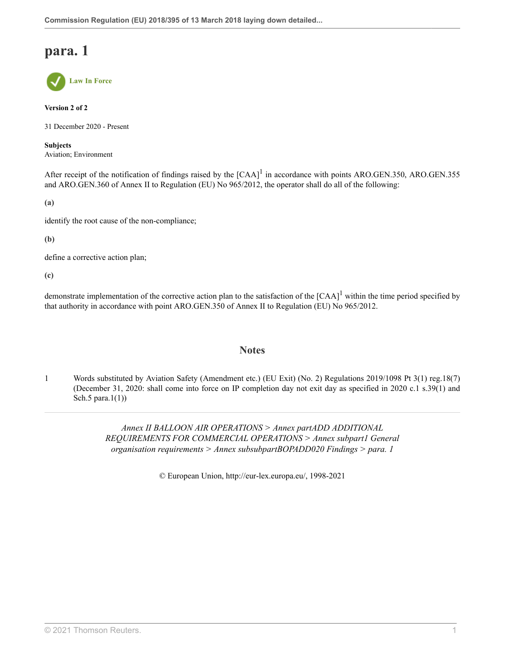

**Version 2 of 2**

31 December 2020 - Present

**Subjects** Aviation; Environment

After receipt of the notification of findings raised by the  $[CAA]$ <sup>[1](#page-78-0)</sup> in accordance with points ARO.GEN.350, ARO.GEN.355 and ARO.GEN.360 of Annex II to Regulation (EU) No 965/2012, the operator shall do all of the following:

**(a)**

identify the root cause of the non-compliance;

**(b)**

define a corrective action plan;

**(c)**

demonstrate implementation of the corrective action plan to the satisfaction of the  $[CAA]$ <sup>[1](#page-78-0)</sup> within the time period specified by that authority in accordance with point ARO.GEN.350 of Annex II to Regulation (EU) No 965/2012.

### <span id="page-78-1"></span>**Notes**

<span id="page-78-0"></span>[1](#page-78-1) Words substituted by Aviation Safety (Amendment etc.) (EU Exit) (No. 2) Regulations 2019/1098 [Pt 3\(1\) reg.18\(7\)](http://uk.westlaw.com/Document/I1025CBD0A46711E9AA46BDE62A47EF6F/View/FullText.html?originationContext=document&transitionType=DocumentItem&vr=3.0&rs=PLUK1.0&contextData=(sc.Search)) (December 31, 2020: shall come into force on IP completion day not exit day as specified in 2020 c.1 s.39(1) and Sch.5 para.1(1))

> *Annex II BALLOON AIR OPERATIONS > Annex partADD ADDITIONAL REQUIREMENTS FOR COMMERCIAL OPERATIONS > Annex subpart1 General organisation requirements > Annex subsubpartBOPADD020 Findings > para. 1*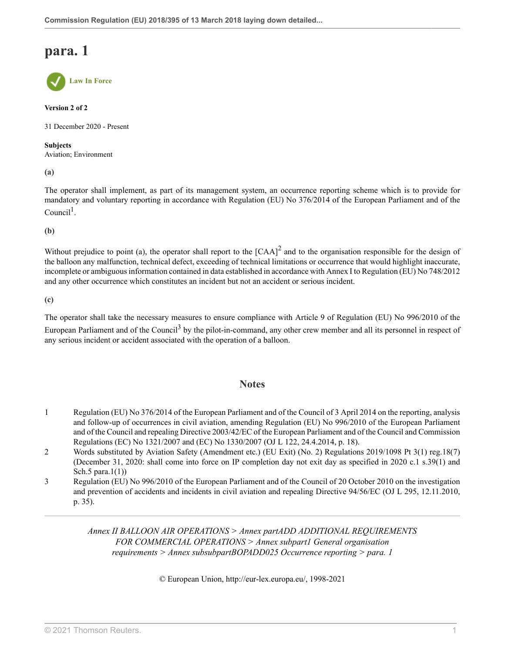**Law In Force**

### **Version 2 of 2**

31 December 2020 - Present

#### **Subjects** Aviation; Environment

**(a)**

<span id="page-79-3"></span>The operator shall implement, as part of its management system, an occurrence reporting scheme which is to provide for mandatory and voluntary reporting in accordance with Regulation (EU) No 376/2014 of the European Parliament and of the  $Count<sup>1</sup>$  $Count<sup>1</sup>$  $Count<sup>1</sup>$ .

**(b)**

Without prejudice to point (a), the operator shall report to the  $[CAA]^2$  $[CAA]^2$  and to the organisation responsible for the design of the balloon any malfunction, technical defect, exceeding of technical limitations or occurrence that would highlight inaccurate, incomplete or ambiguous information contained in data established in accordance with Annex I to Regulation (EU) No 748/2012 and any other occurrence which constitutes an incident but not an accident or serious incident.

**(c)**

The operator shall take the necessary measures to ensure compliance with Article 9 of Regulation (EU) No 996/2010 of the European Parliament and of the Council<sup>[3](#page-79-2)</sup> by the pilot-in-command, any other crew member and all its personnel in respect of any serious incident or accident associated with the operation of a balloon.

### <span id="page-79-5"></span><span id="page-79-4"></span>**Notes**

- <span id="page-79-0"></span>[1](#page-79-3) Regulation (EU) No 376/2014 of the European Parliament and of the Council of 3 April 2014 on the reporting, analysis and follow-up of occurrences in civil aviation, amending Regulation (EU) No 996/2010 of the European Parliament and of the Council and repealing Directive 2003/42/EC of the European Parliament and of the Council and Commission Regulations (EC) No 1321/2007 and (EC) No 1330/2007 (OJ L 122, 24.4.2014, p. 18).
- <span id="page-79-1"></span>[2](#page-79-4) Words substituted by Aviation Safety (Amendment etc.) (EU Exit) (No. 2) Regulations 2019/1098 [Pt 3\(1\) reg.18\(7\)](http://uk.westlaw.com/Document/I1025CBD0A46711E9AA46BDE62A47EF6F/View/FullText.html?originationContext=document&transitionType=DocumentItem&vr=3.0&rs=PLUK1.0&contextData=(sc.Search)) (December 31, 2020: shall come into force on IP completion day not exit day as specified in 2020 c.1 s.39(1) and Sch.5 para. $1(1)$ )
- <span id="page-79-2"></span>[3](#page-79-5) Regulation (EU) No 996/2010 of the European Parliament and of the Council of 20 October 2010 on the investigation and prevention of accidents and incidents in civil aviation and repealing Directive 94/56/EC (OJ L 295, 12.11.2010, p. 35).

*Annex II BALLOON AIR OPERATIONS > Annex partADD ADDITIONAL REQUIREMENTS FOR COMMERCIAL OPERATIONS > Annex subpart1 General organisation requirements > Annex subsubpartBOPADD025 Occurrence reporting > para. 1*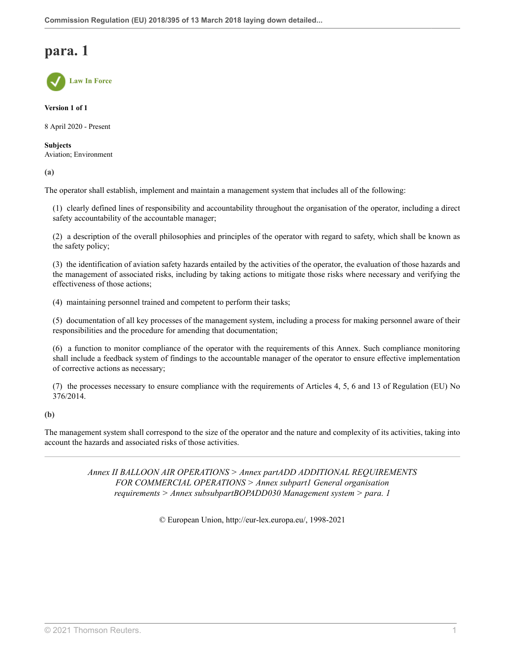**Law In Force**

**Version 1 of 1**

8 April 2020 - Present

**Subjects** Aviation; Environment

**(a)**

The operator shall establish, implement and maintain a management system that includes all of the following:

(1) clearly defined lines of responsibility and accountability throughout the organisation of the operator, including a direct safety accountability of the accountable manager;

(2) a description of the overall philosophies and principles of the operator with regard to safety, which shall be known as the safety policy;

(3) the identification of aviation safety hazards entailed by the activities of the operator, the evaluation of those hazards and the management of associated risks, including by taking actions to mitigate those risks where necessary and verifying the effectiveness of those actions;

(4) maintaining personnel trained and competent to perform their tasks;

(5) documentation of all key processes of the management system, including a process for making personnel aware of their responsibilities and the procedure for amending that documentation;

(6) a function to monitor compliance of the operator with the requirements of this Annex. Such compliance monitoring shall include a feedback system of findings to the accountable manager of the operator to ensure effective implementation of corrective actions as necessary;

(7) the processes necessary to ensure compliance with the requirements of Articles 4, 5, 6 and 13 of Regulation (EU) No 376/2014.

### **(b)**

The management system shall correspond to the size of the operator and the nature and complexity of its activities, taking into account the hazards and associated risks of those activities.

> *Annex II BALLOON AIR OPERATIONS > Annex partADD ADDITIONAL REQUIREMENTS FOR COMMERCIAL OPERATIONS > Annex subpart1 General organisation requirements > Annex subsubpartBOPADD030 Management system > para. 1*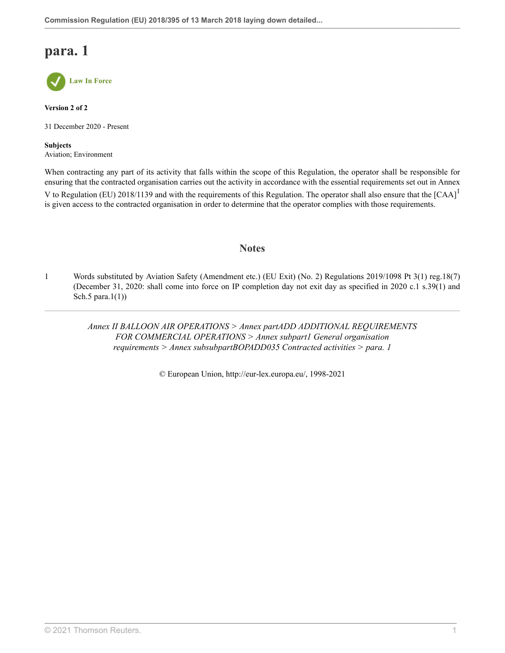

**Version 2 of 2**

31 December 2020 - Present

**Subjects** Aviation; Environment

When contracting any part of its activity that falls within the scope of this Regulation, the operator shall be responsible for ensuring that the contracted organisation carries out the activity in accordance with the essential requirements set out in Annex V to Regulation (EU) 20[1](#page-81-0)8/1139 and with the requirements of this Regulation. The operator shall also ensure that the [CAA]<sup>1</sup> is given access to the contracted organisation in order to determine that the operator complies with those requirements.

### <span id="page-81-1"></span>**Notes**

<span id="page-81-0"></span>[1](#page-81-1) Words substituted by Aviation Safety (Amendment etc.) (EU Exit) (No. 2) Regulations 2019/1098 [Pt 3\(1\) reg.18\(7\)](http://uk.westlaw.com/Document/I1025CBD0A46711E9AA46BDE62A47EF6F/View/FullText.html?originationContext=document&transitionType=DocumentItem&vr=3.0&rs=PLUK1.0&contextData=(sc.Search)) (December 31, 2020: shall come into force on IP completion day not exit day as specified in 2020 c.1 s.39(1) and Sch.5 para. $1(1)$ )

> *Annex II BALLOON AIR OPERATIONS > Annex partADD ADDITIONAL REQUIREMENTS FOR COMMERCIAL OPERATIONS > Annex subpart1 General organisation requirements > Annex subsubpartBOPADD035 Contracted activities > para. 1*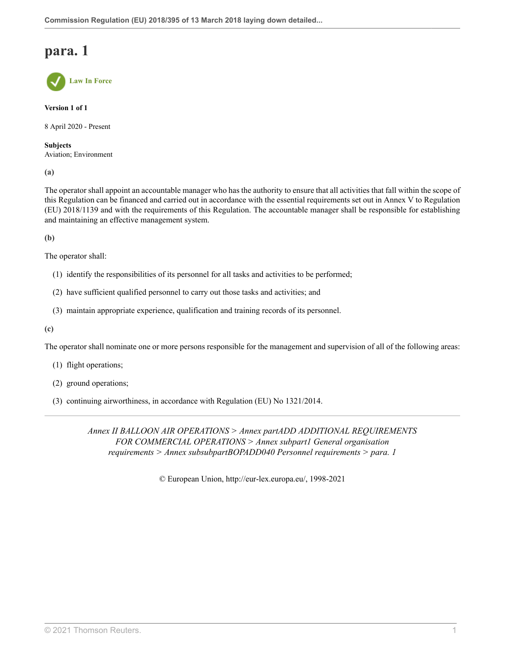**Law In Force**

**Version 1 of 1**

8 April 2020 - Present

**Subjects** Aviation; Environment

**(a)**

The operator shall appoint an accountable manager who has the authority to ensure that all activities that fall within the scope of this Regulation can be financed and carried out in accordance with the essential requirements set out in Annex V to Regulation (EU) 2018/1139 and with the requirements of this Regulation. The accountable manager shall be responsible for establishing and maintaining an effective management system.

**(b)**

The operator shall:

- (1) identify the responsibilities of its personnel for all tasks and activities to be performed;
- (2) have sufficient qualified personnel to carry out those tasks and activities; and
- (3) maintain appropriate experience, qualification and training records of its personnel.

**(c)**

The operator shall nominate one or more persons responsible for the management and supervision of all of the following areas:

- (1) flight operations;
- (2) ground operations;
- (3) continuing airworthiness, in accordance with Regulation (EU) No 1321/2014.

*Annex II BALLOON AIR OPERATIONS > Annex partADD ADDITIONAL REQUIREMENTS FOR COMMERCIAL OPERATIONS > Annex subpart1 General organisation requirements > Annex subsubpartBOPADD040 Personnel requirements > para. 1*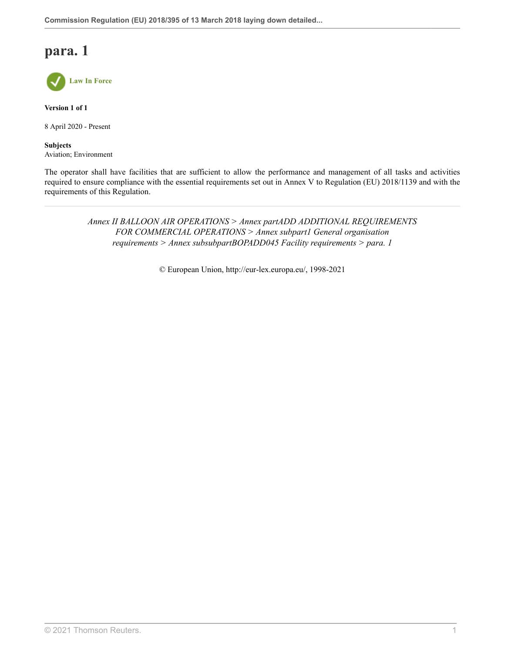

**Version 1 of 1**

8 April 2020 - Present

**Subjects** Aviation; Environment

The operator shall have facilities that are sufficient to allow the performance and management of all tasks and activities required to ensure compliance with the essential requirements set out in Annex V to Regulation (EU) 2018/1139 and with the requirements of this Regulation.

> *Annex II BALLOON AIR OPERATIONS > Annex partADD ADDITIONAL REQUIREMENTS FOR COMMERCIAL OPERATIONS > Annex subpart1 General organisation requirements > Annex subsubpartBOPADD045 Facility requirements > para. 1*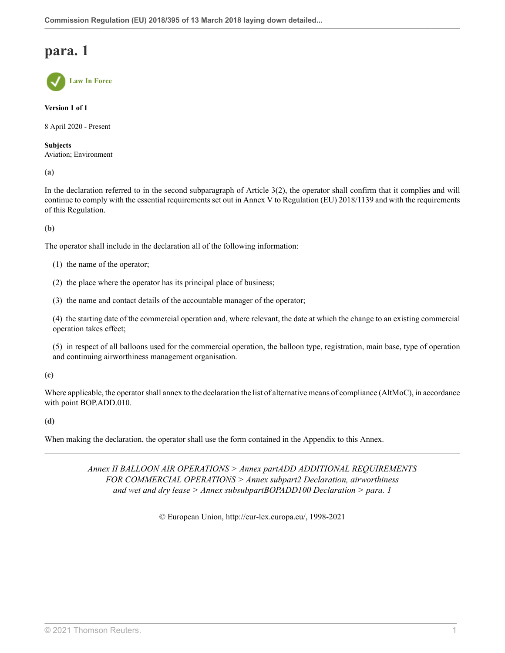**Law In Force**

**Version 1 of 1**

8 April 2020 - Present

**Subjects** Aviation; Environment

**(a)**

In the declaration referred to in the second subparagraph of Article 3(2), the operator shall confirm that it complies and will continue to comply with the essential requirements set out in Annex V to Regulation (EU) 2018/1139 and with the requirements of this Regulation.

**(b)**

The operator shall include in the declaration all of the following information:

- (1) the name of the operator;
- (2) the place where the operator has its principal place of business;

(3) the name and contact details of the accountable manager of the operator;

(4) the starting date of the commercial operation and, where relevant, the date at which the change to an existing commercial operation takes effect;

(5) in respect of all balloons used for the commercial operation, the balloon type, registration, main base, type of operation and continuing airworthiness management organisation.

**(c)**

Where applicable, the operator shall annex to the declaration the list of alternative means of compliance (AltMoC), in accordance with point BOP.ADD.010.

**(d)**

When making the declaration, the operator shall use the form contained in the Appendix to this Annex.

*Annex II BALLOON AIR OPERATIONS > Annex partADD ADDITIONAL REQUIREMENTS FOR COMMERCIAL OPERATIONS > Annex subpart2 Declaration, airworthiness and wet and dry lease > Annex subsubpartBOPADD100 Declaration > para. 1*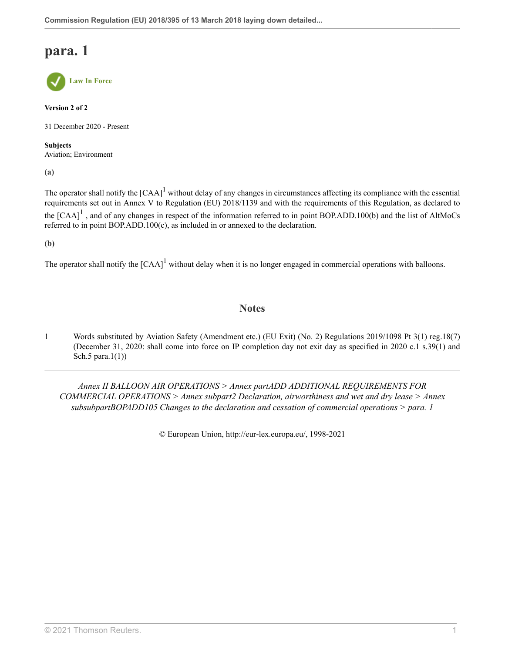

**Version 2 of 2**

31 December 2020 - Present

**Subjects** Aviation; Environment

**(a)**

<span id="page-85-1"></span>The operator shall notify the  $[CAA]$ <sup>[1](#page-85-0)</sup> without delay of any changes in circumstances affecting its compliance with the essential requirements set out in Annex V to Regulation (EU) 2018/1139 and with the requirements of this Regulation, as declared to the  $[CAA]$ <sup>[1](#page-85-0)</sup>, and of any changes in respect of the information referred to in point BOP.ADD.100(b) and the list of AltMoCs referred to in point BOP.ADD.100(c), as included in or annexed to the declaration.

**(b)**

The operator shall notify the  $[CAA]$ <sup>[1](#page-85-0)</sup> without delay when it is no longer engaged in commercial operations with balloons.

### **Notes**

<span id="page-85-0"></span>[1](#page-85-1) Words substituted by Aviation Safety (Amendment etc.) (EU Exit) (No. 2) Regulations 2019/1098 [Pt 3\(1\) reg.18\(7\)](http://uk.westlaw.com/Document/I1025CBD0A46711E9AA46BDE62A47EF6F/View/FullText.html?originationContext=document&transitionType=DocumentItem&vr=3.0&rs=PLUK1.0&contextData=(sc.Search)) (December 31, 2020: shall come into force on IP completion day not exit day as specified in 2020 c.1 s.39(1) and Sch.5 para.1(1))

*Annex II BALLOON AIR OPERATIONS > Annex partADD ADDITIONAL REQUIREMENTS FOR COMMERCIAL OPERATIONS > Annex subpart2 Declaration, airworthiness and wet and dry lease > Annex subsubpartBOPADD105 Changes to the declaration and cessation of commercial operations > para. 1*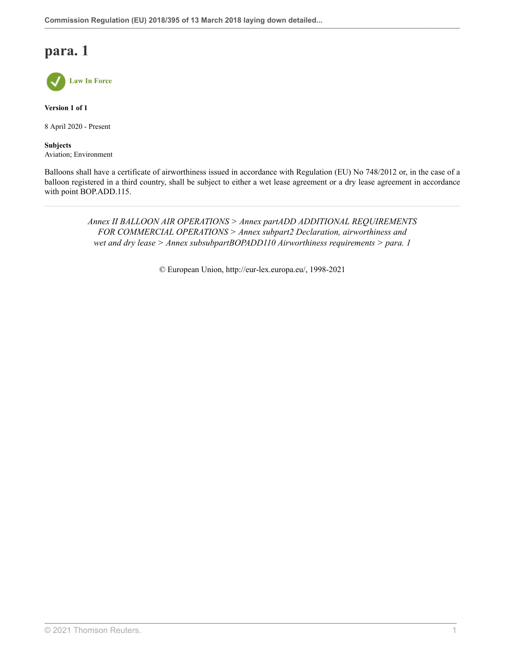

**Version 1 of 1**

8 April 2020 - Present

**Subjects** Aviation; Environment

Balloons shall have a certificate of airworthiness issued in accordance with Regulation (EU) No 748/2012 or, in the case of a balloon registered in a third country, shall be subject to either a wet lease agreement or a dry lease agreement in accordance with point BOP.ADD.115.

> *Annex II BALLOON AIR OPERATIONS > Annex partADD ADDITIONAL REQUIREMENTS FOR COMMERCIAL OPERATIONS > Annex subpart2 Declaration, airworthiness and wet and dry lease > Annex subsubpartBOPADD110 Airworthiness requirements > para. 1*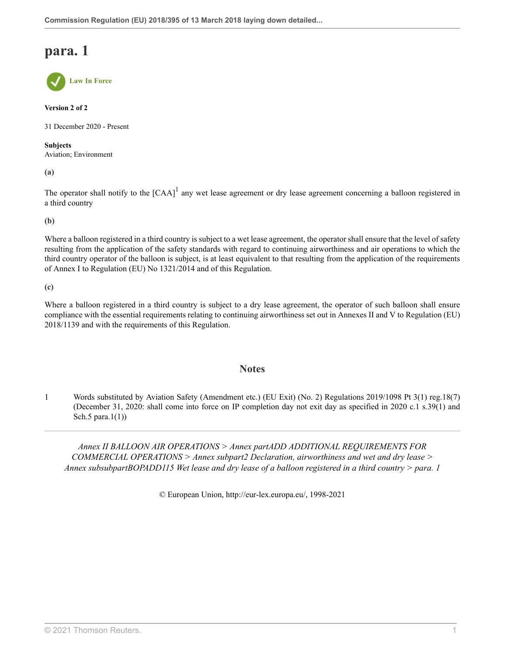**Law In Force**

**Version 2 of 2**

31 December 2020 - Present

**Subjects** Aviation; Environment

**(a)**

<span id="page-87-1"></span>The operator shall notify to the  $[CAA]$ <sup>[1](#page-87-0)</sup> any wet lease agreement or dry lease agreement concerning a balloon registered in a third country

**(b)**

Where a balloon registered in a third country is subject to a wet lease agreement, the operator shall ensure that the level of safety resulting from the application of the safety standards with regard to continuing airworthiness and air operations to which the third country operator of the balloon is subject, is at least equivalent to that resulting from the application of the requirements of Annex I to Regulation (EU) No 1321/2014 and of this Regulation.

**(c)**

Where a balloon registered in a third country is subject to a dry lease agreement, the operator of such balloon shall ensure compliance with the essential requirements relating to continuing airworthiness set out in Annexes II and V to Regulation (EU) 2018/1139 and with the requirements of this Regulation.

### **Notes**

<span id="page-87-0"></span>[1](#page-87-1) Words substituted by Aviation Safety (Amendment etc.) (EU Exit) (No. 2) Regulations 2019/1098 [Pt 3\(1\) reg.18\(7\)](http://uk.westlaw.com/Document/I1025CBD0A46711E9AA46BDE62A47EF6F/View/FullText.html?originationContext=document&transitionType=DocumentItem&vr=3.0&rs=PLUK1.0&contextData=(sc.Search)) (December 31, 2020: shall come into force on IP completion day not exit day as specified in 2020 c.1 s.39(1) and Sch.5 para. $1(1)$ )

*Annex II BALLOON AIR OPERATIONS > Annex partADD ADDITIONAL REQUIREMENTS FOR COMMERCIAL OPERATIONS > Annex subpart2 Declaration, airworthiness and wet and dry lease > Annex subsubpartBOPADD115 Wet lease and dry lease of a balloon registered in a third country > para. 1*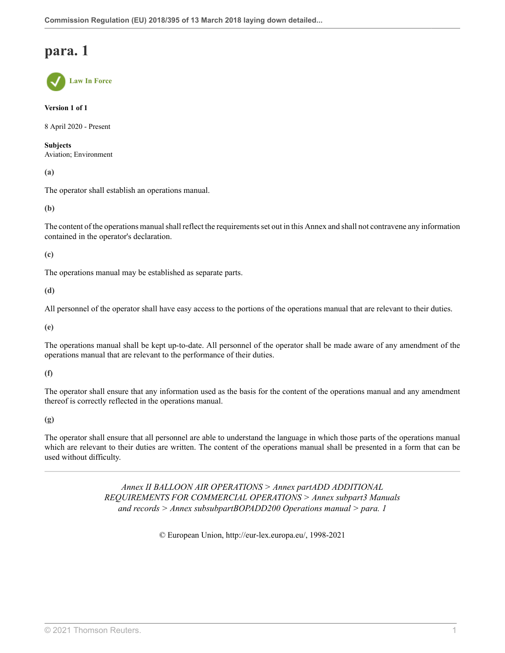**Law In Force**

**Version 1 of 1**

8 April 2020 - Present

**Subjects** Aviation; Environment

**(a)**

The operator shall establish an operations manual.

**(b)**

The content of the operations manual shall reflect the requirements set out in this Annex and shall not contravene any information contained in the operator's declaration.

**(c)**

The operations manual may be established as separate parts.

**(d)**

All personnel of the operator shall have easy access to the portions of the operations manual that are relevant to their duties.

**(e)**

The operations manual shall be kept up-to-date. All personnel of the operator shall be made aware of any amendment of the operations manual that are relevant to the performance of their duties.

**(f)**

The operator shall ensure that any information used as the basis for the content of the operations manual and any amendment thereof is correctly reflected in the operations manual.

**(g)**

The operator shall ensure that all personnel are able to understand the language in which those parts of the operations manual which are relevant to their duties are written. The content of the operations manual shall be presented in a form that can be used without difficulty.

> *Annex II BALLOON AIR OPERATIONS > Annex partADD ADDITIONAL REQUIREMENTS FOR COMMERCIAL OPERATIONS > Annex subpart3 Manuals and records > Annex subsubpartBOPADD200 Operations manual > para. 1*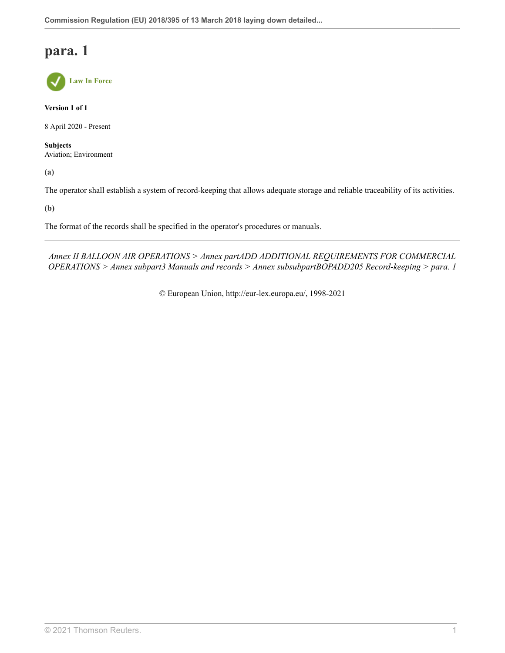

**Version 1 of 1**

8 April 2020 - Present

**Subjects** Aviation; Environment

**(a)**

The operator shall establish a system of record-keeping that allows adequate storage and reliable traceability of its activities.

**(b)**

The format of the records shall be specified in the operator's procedures or manuals.

*Annex II BALLOON AIR OPERATIONS > Annex partADD ADDITIONAL REQUIREMENTS FOR COMMERCIAL OPERATIONS > Annex subpart3 Manuals and records > Annex subsubpartBOPADD205 Record-keeping > para. 1*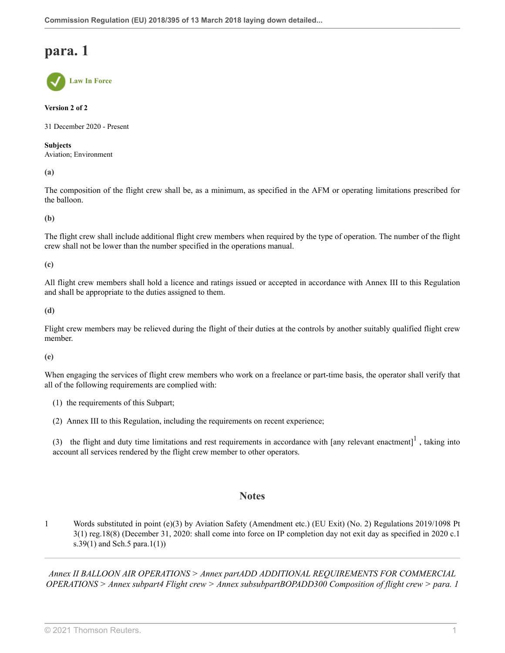**Law In Force**

### **Version 2 of 2**

31 December 2020 - Present

#### **Subjects**

Aviation; Environment

**(a)**

The composition of the flight crew shall be, as a minimum, as specified in the AFM or operating limitations prescribed for the balloon.

**(b)**

The flight crew shall include additional flight crew members when required by the type of operation. The number of the flight crew shall not be lower than the number specified in the operations manual.

**(c)**

All flight crew members shall hold a licence and ratings issued or accepted in accordance with Annex III to this Regulation and shall be appropriate to the duties assigned to them.

**(d)**

Flight crew members may be relieved during the flight of their duties at the controls by another suitably qualified flight crew member.

**(e)**

When engaging the services of flight crew members who work on a freelance or part-time basis, the operator shall verify that all of the following requirements are complied with:

- (1) the requirements of this Subpart;
- (2) Annex III to this Regulation, including the requirements on recent experience;

(3) the flight and duty time limitations and rest requirements in accordance with  $[any$  relevant enactment $]$ <sup>[1](#page-90-0)</sup>, taking into account all services rendered by the flight crew member to other operators.

### <span id="page-90-1"></span>**Notes**

<span id="page-90-0"></span>[1](#page-90-1) Words substituted in point (e)(3) by Aviation Safety (Amendment etc.) (EU Exit) (No. 2) Regulations 2019/1098 [Pt](http://uk.westlaw.com/Document/I1025CBD0A46711E9AA46BDE62A47EF6F/View/FullText.html?originationContext=document&transitionType=DocumentItem&vr=3.0&rs=PLUK1.0&contextData=(sc.Search)) [3\(1\) reg.18\(8\)](http://uk.westlaw.com/Document/I1025CBD0A46711E9AA46BDE62A47EF6F/View/FullText.html?originationContext=document&transitionType=DocumentItem&vr=3.0&rs=PLUK1.0&contextData=(sc.Search)) (December 31, 2020: shall come into force on IP completion day not exit day as specified in 2020 c.1 s.39(1) and Sch.5 para.1(1))

*Annex II BALLOON AIR OPERATIONS > Annex partADD ADDITIONAL REQUIREMENTS FOR COMMERCIAL OPERATIONS > Annex subpart4 Flight crew > Annex subsubpartBOPADD300 Composition of flight crew > para. 1*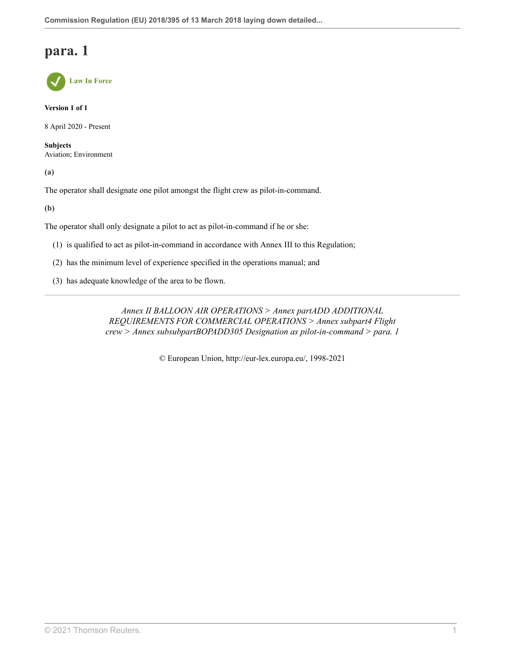

**Version 1 of 1**

8 April 2020 - Present

**Subjects** Aviation; Environment

**(a)**

The operator shall designate one pilot amongst the flight crew as pilot-in-command.

**(b)**

The operator shall only designate a pilot to act as pilot-in-command if he or she:

- (1) is qualified to act as pilot-in-command in accordance with Annex III to this Regulation;
- (2) has the minimum level of experience specified in the operations manual; and
- (3) has adequate knowledge of the area to be flown.

*Annex II BALLOON AIR OPERATIONS > Annex partADD ADDITIONAL REQUIREMENTS FOR COMMERCIAL OPERATIONS > Annex subpart4 Flight crew > Annex subsubpartBOPADD305 Designation as pilot-in-command > para. 1*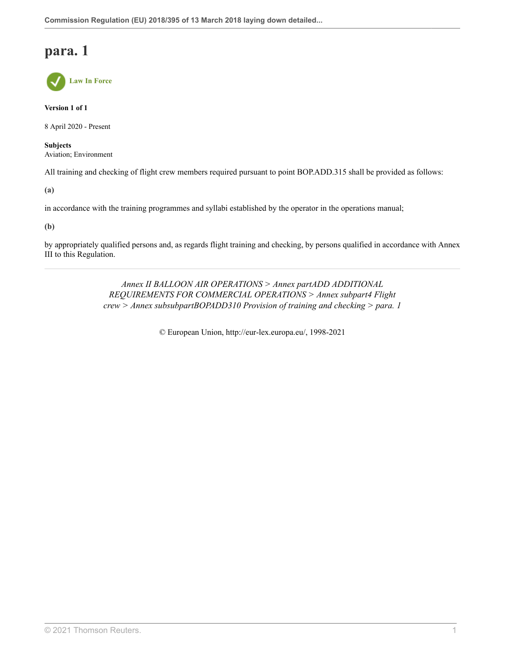

**Version 1 of 1**

8 April 2020 - Present

**Subjects** Aviation; Environment

All training and checking of flight crew members required pursuant to point BOP.ADD.315 shall be provided as follows:

**(a)**

in accordance with the training programmes and syllabi established by the operator in the operations manual;

### **(b)**

by appropriately qualified persons and, as regards flight training and checking, by persons qualified in accordance with Annex III to this Regulation.

> *Annex II BALLOON AIR OPERATIONS > Annex partADD ADDITIONAL REQUIREMENTS FOR COMMERCIAL OPERATIONS > Annex subpart4 Flight crew > Annex subsubpartBOPADD310 Provision of training and checking > para. 1*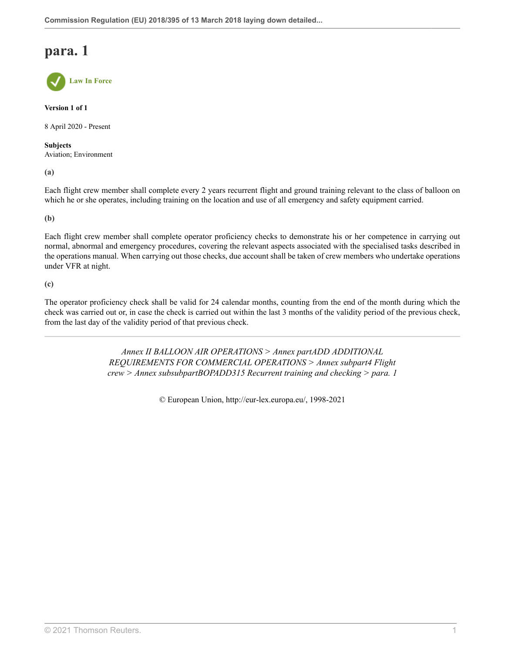**Law In Force**

**Version 1 of 1**

8 April 2020 - Present

**Subjects** Aviation; Environment

**(a)**

Each flight crew member shall complete every 2 years recurrent flight and ground training relevant to the class of balloon on which he or she operates, including training on the location and use of all emergency and safety equipment carried.

**(b)**

Each flight crew member shall complete operator proficiency checks to demonstrate his or her competence in carrying out normal, abnormal and emergency procedures, covering the relevant aspects associated with the specialised tasks described in the operations manual. When carrying out those checks, due account shall be taken of crew members who undertake operations under VFR at night.

**(c)**

The operator proficiency check shall be valid for 24 calendar months, counting from the end of the month during which the check was carried out or, in case the check is carried out within the last 3 months of the validity period of the previous check, from the last day of the validity period of that previous check.

> *Annex II BALLOON AIR OPERATIONS > Annex partADD ADDITIONAL REQUIREMENTS FOR COMMERCIAL OPERATIONS > Annex subpart4 Flight crew > Annex subsubpartBOPADD315 Recurrent training and checking > para. 1*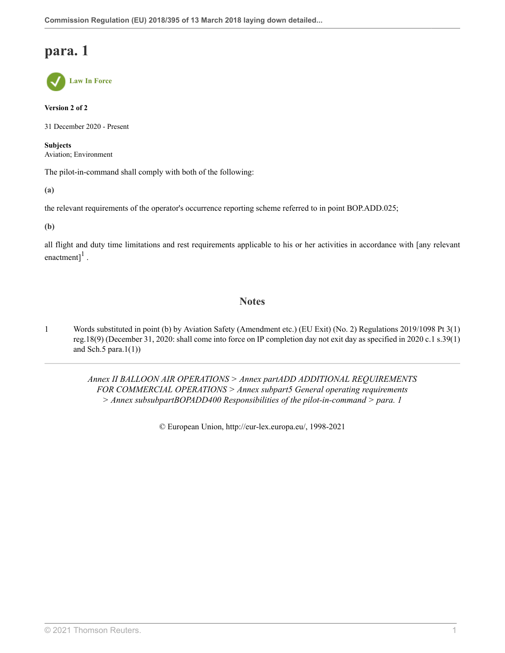

### **Version 2 of 2**

31 December 2020 - Present

**Subjects** Aviation; Environment

The pilot-in-command shall comply with both of the following:

**(a)**

the relevant requirements of the operator's occurrence reporting scheme referred to in point BOP.ADD.025;

**(b)**

<span id="page-95-1"></span>all flight and duty time limitations and rest requirements applicable to his or her activities in accordance with [any relevant enactment] $<sup>1</sup>$  $<sup>1</sup>$  $<sup>1</sup>$ .</sup>

### **Notes**

<span id="page-95-0"></span>[1](#page-95-1) Words substituted in point (b) by Aviation Safety (Amendment etc.) (EU Exit) (No. 2) Regulations 2019/1098 [Pt 3\(1\)](http://uk.westlaw.com/Document/I1025CBD0A46711E9AA46BDE62A47EF6F/View/FullText.html?originationContext=document&transitionType=DocumentItem&vr=3.0&rs=PLUK1.0&contextData=(sc.Search)) [reg.18\(9\)](http://uk.westlaw.com/Document/I1025CBD0A46711E9AA46BDE62A47EF6F/View/FullText.html?originationContext=document&transitionType=DocumentItem&vr=3.0&rs=PLUK1.0&contextData=(sc.Search)) (December 31, 2020: shall come into force on IP completion day not exit day as specified in 2020 c.1 s.39(1) and Sch.5 para. $1(1)$ )

> *Annex II BALLOON AIR OPERATIONS > Annex partADD ADDITIONAL REQUIREMENTS FOR COMMERCIAL OPERATIONS > Annex subpart5 General operating requirements > Annex subsubpartBOPADD400 Responsibilities of the pilot-in-command > para. 1*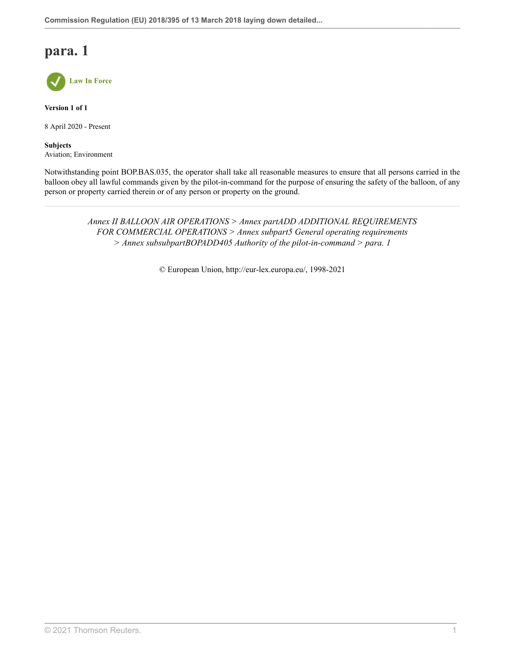

**Version 1 of 1**

8 April 2020 - Present

**Subjects** Aviation; Environment

Notwithstanding point BOP.BAS.035, the operator shall take all reasonable measures to ensure that all persons carried in the balloon obey all lawful commands given by the pilot-in-command for the purpose of ensuring the safety of the balloon, of any person or property carried therein or of any person or property on the ground.

> *Annex II BALLOON AIR OPERATIONS > Annex partADD ADDITIONAL REQUIREMENTS FOR COMMERCIAL OPERATIONS > Annex subpart5 General operating requirements > Annex subsubpartBOPADD405 Authority of the pilot-in-command > para. 1*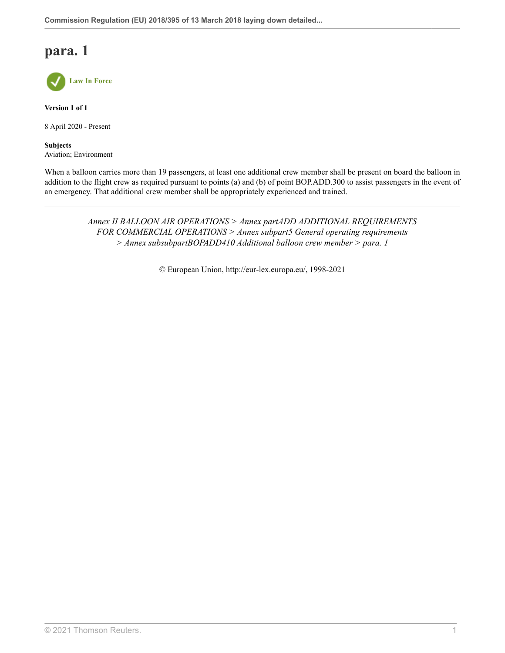

**Version 1 of 1**

8 April 2020 - Present

**Subjects** Aviation; Environment

When a balloon carries more than 19 passengers, at least one additional crew member shall be present on board the balloon in addition to the flight crew as required pursuant to points (a) and (b) of point BOP.ADD.300 to assist passengers in the event of an emergency. That additional crew member shall be appropriately experienced and trained.

> *Annex II BALLOON AIR OPERATIONS > Annex partADD ADDITIONAL REQUIREMENTS FOR COMMERCIAL OPERATIONS > Annex subpart5 General operating requirements > Annex subsubpartBOPADD410 Additional balloon crew member > para. 1*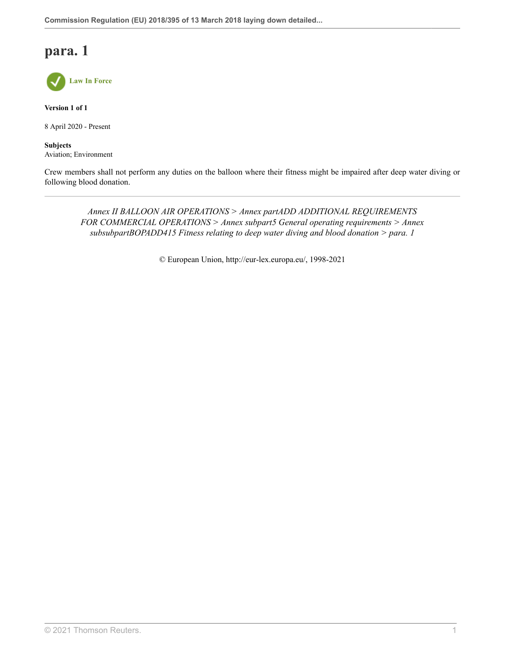

**Version 1 of 1**

8 April 2020 - Present

**Subjects** Aviation; Environment

Crew members shall not perform any duties on the balloon where their fitness might be impaired after deep water diving or following blood donation.

*Annex II BALLOON AIR OPERATIONS > Annex partADD ADDITIONAL REQUIREMENTS FOR COMMERCIAL OPERATIONS > Annex subpart5 General operating requirements > Annex subsubpartBOPADD415 Fitness relating to deep water diving and blood donation > para. 1*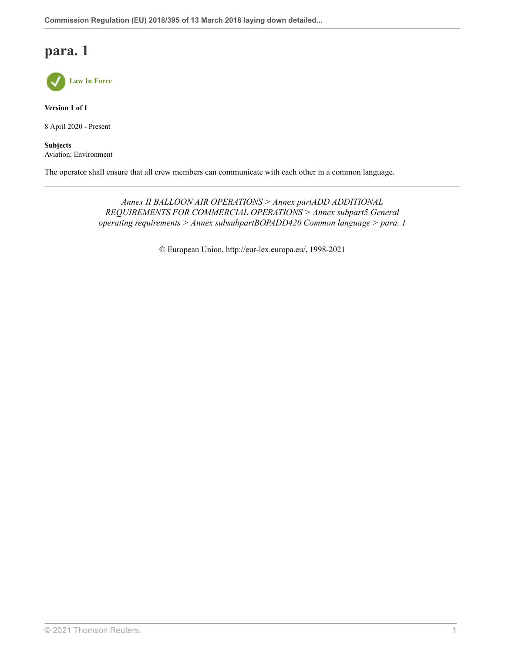

**Version 1 of 1**

8 April 2020 - Present

**Subjects** Aviation; Environment

The operator shall ensure that all crew members can communicate with each other in a common language.

*Annex II BALLOON AIR OPERATIONS > Annex partADD ADDITIONAL REQUIREMENTS FOR COMMERCIAL OPERATIONS > Annex subpart5 General operating requirements > Annex subsubpartBOPADD420 Common language > para. 1*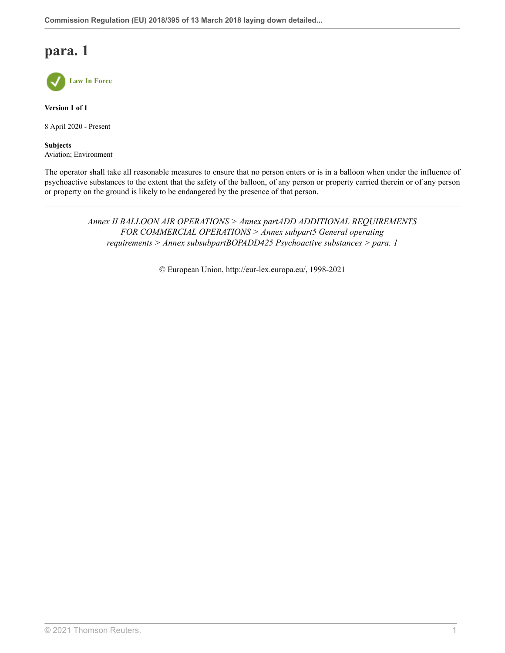

**Version 1 of 1**

8 April 2020 - Present

**Subjects** Aviation; Environment

The operator shall take all reasonable measures to ensure that no person enters or is in a balloon when under the influence of psychoactive substances to the extent that the safety of the balloon, of any person or property carried therein or of any person or property on the ground is likely to be endangered by the presence of that person.

> *Annex II BALLOON AIR OPERATIONS > Annex partADD ADDITIONAL REQUIREMENTS FOR COMMERCIAL OPERATIONS > Annex subpart5 General operating requirements > Annex subsubpartBOPADD425 Psychoactive substances > para. 1*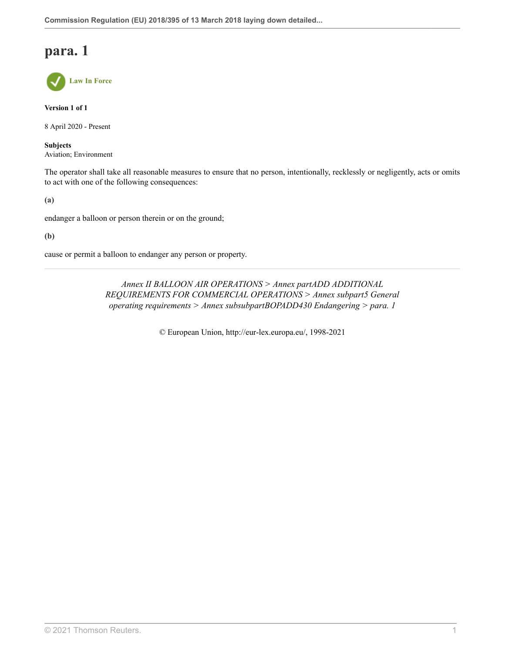**Law In Force**

**Version 1 of 1**

8 April 2020 - Present

**Subjects** Aviation; Environment

The operator shall take all reasonable measures to ensure that no person, intentionally, recklessly or negligently, acts or omits to act with one of the following consequences:

**(a)**

endanger a balloon or person therein or on the ground;

**(b)**

cause or permit a balloon to endanger any person or property.

*Annex II BALLOON AIR OPERATIONS > Annex partADD ADDITIONAL REQUIREMENTS FOR COMMERCIAL OPERATIONS > Annex subpart5 General operating requirements > Annex subsubpartBOPADD430 Endangering > para. 1*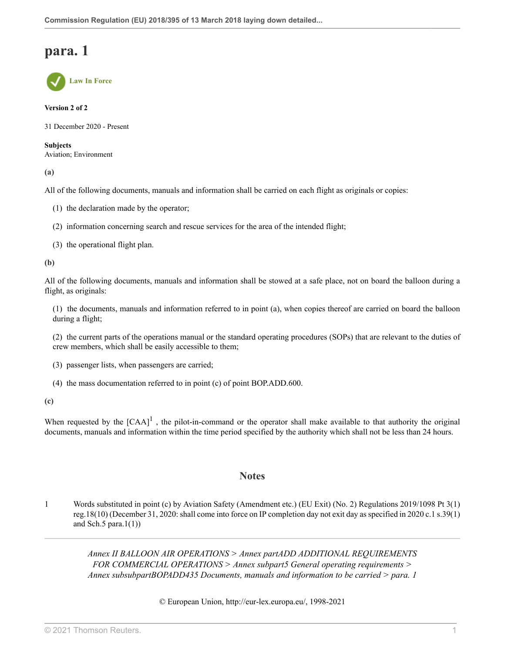**Law In Force**

#### **Version 2 of 2**

31 December 2020 - Present

**Subjects** Aviation; Environment

**(a)**

All of the following documents, manuals and information shall be carried on each flight as originals or copies:

- (1) the declaration made by the operator;
- (2) information concerning search and rescue services for the area of the intended flight;
- (3) the operational flight plan.

**(b)**

All of the following documents, manuals and information shall be stowed at a safe place, not on board the balloon during a flight, as originals:

(1) the documents, manuals and information referred to in point (a), when copies thereof are carried on board the balloon during a flight;

(2) the current parts of the operations manual or the standard operating procedures (SOPs) that are relevant to the duties of crew members, which shall be easily accessible to them;

- (3) passenger lists, when passengers are carried;
- <span id="page-102-1"></span>(4) the mass documentation referred to in point (c) of point BOP.ADD.600.

**(c)**

When requested by the  $[CAA]$ <sup>[1](#page-102-0)</sup>, the pilot-in-command or the operator shall make available to that authority the original documents, manuals and information within the time period specified by the authority which shall not be less than 24 hours.

### **Notes**

<span id="page-102-0"></span>[1](#page-102-1) Words substituted in point (c) by Aviation Safety (Amendment etc.) (EU Exit) (No. 2) Regulations 2019/1098 [Pt 3\(1\)](http://uk.westlaw.com/Document/I1025CBD0A46711E9AA46BDE62A47EF6F/View/FullText.html?originationContext=document&transitionType=DocumentItem&vr=3.0&rs=PLUK1.0&contextData=(sc.Search)) [reg.18\(10\)](http://uk.westlaw.com/Document/I1025CBD0A46711E9AA46BDE62A47EF6F/View/FullText.html?originationContext=document&transitionType=DocumentItem&vr=3.0&rs=PLUK1.0&contextData=(sc.Search)) (December 31, 2020: shall come into force on IP completion day not exit day as specified in 2020 c.1 s.39(1) and Sch.5 para.1 $(1)$ )

> *Annex II BALLOON AIR OPERATIONS > Annex partADD ADDITIONAL REQUIREMENTS FOR COMMERCIAL OPERATIONS > Annex subpart5 General operating requirements > Annex subsubpartBOPADD435 Documents, manuals and information to be carried > para. 1*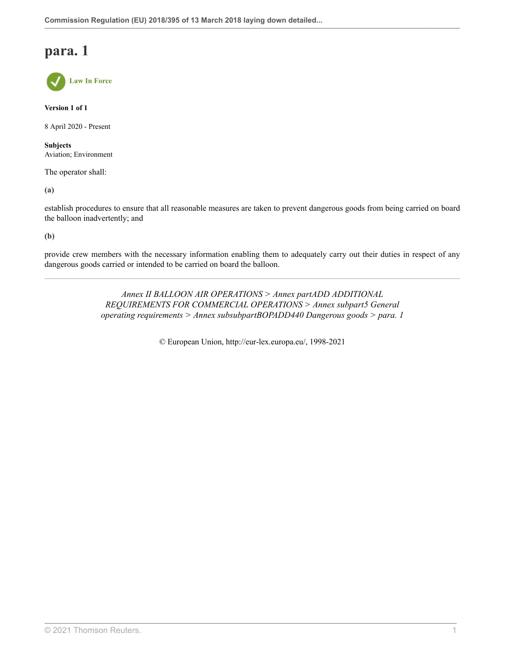**Law In Force**

**Version 1 of 1**

8 April 2020 - Present

**Subjects** Aviation; Environment

The operator shall:

**(a)**

establish procedures to ensure that all reasonable measures are taken to prevent dangerous goods from being carried on board the balloon inadvertently; and

**(b)**

provide crew members with the necessary information enabling them to adequately carry out their duties in respect of any dangerous goods carried or intended to be carried on board the balloon.

> *Annex II BALLOON AIR OPERATIONS > Annex partADD ADDITIONAL REQUIREMENTS FOR COMMERCIAL OPERATIONS > Annex subpart5 General operating requirements > Annex subsubpartBOPADD440 Dangerous goods > para. 1*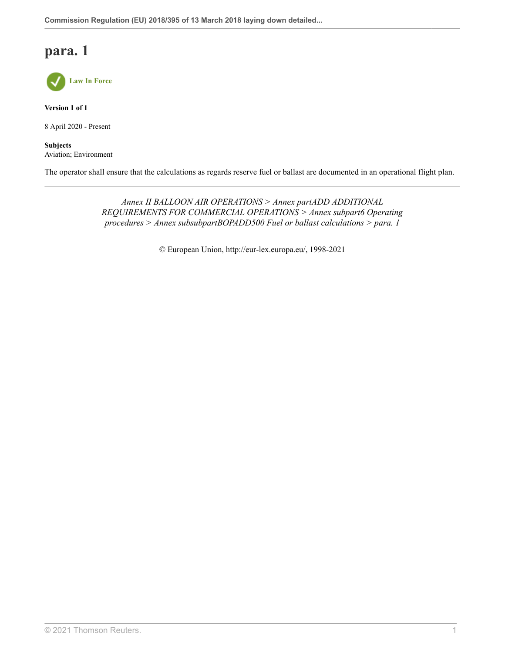

**Version 1 of 1**

8 April 2020 - Present

**Subjects** Aviation; Environment

The operator shall ensure that the calculations as regards reserve fuel or ballast are documented in an operational flight plan.

*Annex II BALLOON AIR OPERATIONS > Annex partADD ADDITIONAL REQUIREMENTS FOR COMMERCIAL OPERATIONS > Annex subpart6 Operating procedures > Annex subsubpartBOPADD500 Fuel or ballast calculations > para. 1*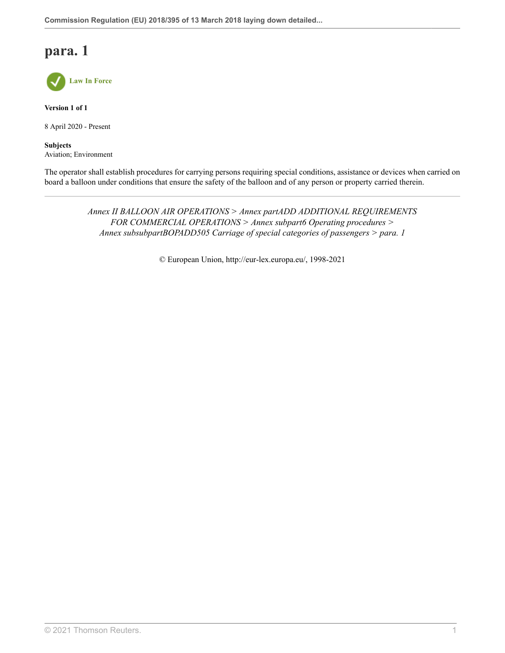

**Version 1 of 1**

8 April 2020 - Present

**Subjects** Aviation; Environment

The operator shall establish procedures for carrying persons requiring special conditions, assistance or devices when carried on board a balloon under conditions that ensure the safety of the balloon and of any person or property carried therein.

> *Annex II BALLOON AIR OPERATIONS > Annex partADD ADDITIONAL REQUIREMENTS FOR COMMERCIAL OPERATIONS > Annex subpart6 Operating procedures > Annex subsubpartBOPADD505 Carriage of special categories of passengers > para. 1*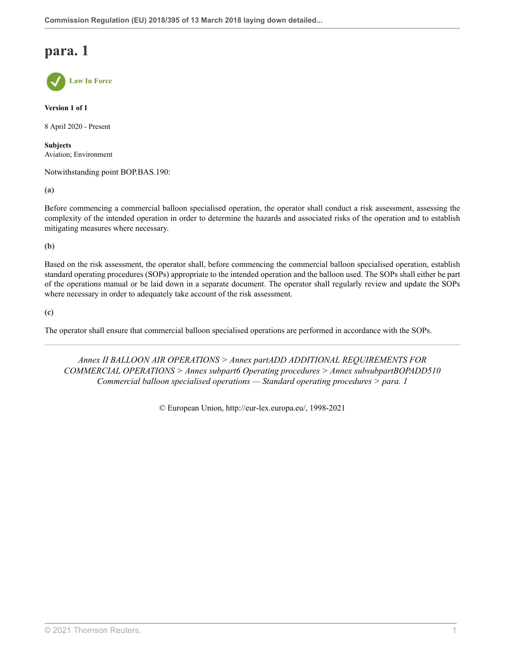**Law In Force**

**Version 1 of 1**

8 April 2020 - Present

**Subjects** Aviation; Environment

Notwithstanding point BOP.BAS.190:

**(a)**

Before commencing a commercial balloon specialised operation, the operator shall conduct a risk assessment, assessing the complexity of the intended operation in order to determine the hazards and associated risks of the operation and to establish mitigating measures where necessary.

**(b)**

Based on the risk assessment, the operator shall, before commencing the commercial balloon specialised operation, establish standard operating procedures (SOPs) appropriate to the intended operation and the balloon used. The SOPs shall either be part of the operations manual or be laid down in a separate document. The operator shall regularly review and update the SOPs where necessary in order to adequately take account of the risk assessment.

**(c)**

The operator shall ensure that commercial balloon specialised operations are performed in accordance with the SOPs.

*Annex II BALLOON AIR OPERATIONS > Annex partADD ADDITIONAL REQUIREMENTS FOR COMMERCIAL OPERATIONS > Annex subpart6 Operating procedures > Annex subsubpartBOPADD510 Commercial balloon specialised operations — Standard operating procedures > para. 1*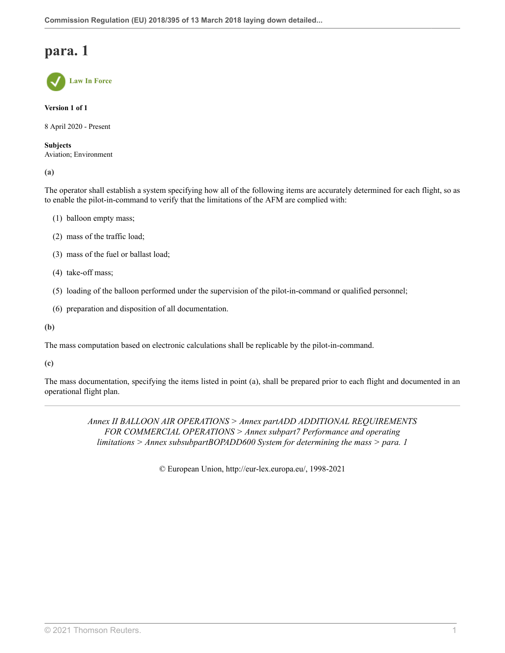**Law In Force**

**Version 1 of 1**

8 April 2020 - Present

**Subjects** Aviation; Environment

**(a)**

The operator shall establish a system specifying how all of the following items are accurately determined for each flight, so as to enable the pilot-in-command to verify that the limitations of the AFM are complied with:

- (1) balloon empty mass;
- (2) mass of the traffic load;
- (3) mass of the fuel or ballast load;
- (4) take-off mass;
- (5) loading of the balloon performed under the supervision of the pilot-in-command or qualified personnel;
- (6) preparation and disposition of all documentation.
- **(b)**

The mass computation based on electronic calculations shall be replicable by the pilot-in-command.

**(c)**

The mass documentation, specifying the items listed in point (a), shall be prepared prior to each flight and documented in an operational flight plan.

> *Annex II BALLOON AIR OPERATIONS > Annex partADD ADDITIONAL REQUIREMENTS FOR COMMERCIAL OPERATIONS > Annex subpart7 Performance and operating limitations > Annex subsubpartBOPADD600 System for determining the mass > para. 1*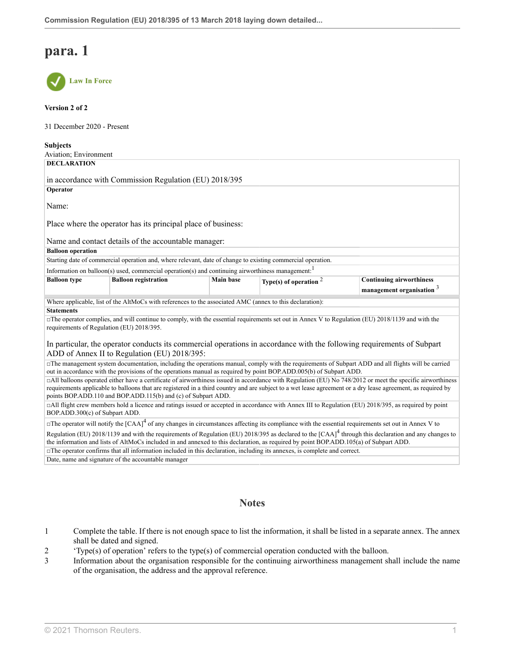

#### **Version 2 of 2**

31 December 2020 - Present

| <b>Subjects</b>                                                                                                                                                                                                                                                                                              |                                                     |                  |                          |                                 |
|--------------------------------------------------------------------------------------------------------------------------------------------------------------------------------------------------------------------------------------------------------------------------------------------------------------|-----------------------------------------------------|------------------|--------------------------|---------------------------------|
| Aviation; Environment                                                                                                                                                                                                                                                                                        |                                                     |                  |                          |                                 |
| <b>DECLARATION</b>                                                                                                                                                                                                                                                                                           |                                                     |                  |                          |                                 |
|                                                                                                                                                                                                                                                                                                              |                                                     |                  |                          |                                 |
| in accordance with Commission Regulation (EU) 2018/395                                                                                                                                                                                                                                                       |                                                     |                  |                          |                                 |
| Operator                                                                                                                                                                                                                                                                                                     |                                                     |                  |                          |                                 |
| Name:                                                                                                                                                                                                                                                                                                        |                                                     |                  |                          |                                 |
|                                                                                                                                                                                                                                                                                                              |                                                     |                  |                          |                                 |
| Place where the operator has its principal place of business:                                                                                                                                                                                                                                                |                                                     |                  |                          |                                 |
|                                                                                                                                                                                                                                                                                                              |                                                     |                  |                          |                                 |
| Name and contact details of the accountable manager:                                                                                                                                                                                                                                                         |                                                     |                  |                          |                                 |
| <b>Balloon</b> operation                                                                                                                                                                                                                                                                                     |                                                     |                  |                          |                                 |
| Starting date of commercial operation and, where relevant, date of change to existing commercial operation.                                                                                                                                                                                                  |                                                     |                  |                          |                                 |
| Information on balloon(s) used, commercial operation(s) and continuing airworthiness management. <sup>1</sup>                                                                                                                                                                                                |                                                     |                  |                          |                                 |
| <b>Balloon</b> type                                                                                                                                                                                                                                                                                          | <b>Balloon registration</b>                         | <b>Main base</b> | Type(s) of operation $2$ | <b>Continuing airworthiness</b> |
|                                                                                                                                                                                                                                                                                                              |                                                     |                  |                          | management organisation 3       |
| Where applicable, list of the AltMoCs with references to the associated AMC (annex to this declaration):                                                                                                                                                                                                     |                                                     |                  |                          |                                 |
| <b>Statements</b>                                                                                                                                                                                                                                                                                            |                                                     |                  |                          |                                 |
| $\Box$ The operator complies, and will continue to comply, with the essential requirements set out in Annex V to Regulation (EU) 2018/1139 and with the                                                                                                                                                      |                                                     |                  |                          |                                 |
| requirements of Regulation (EU) 2018/395.                                                                                                                                                                                                                                                                    |                                                     |                  |                          |                                 |
| In particular, the operator conducts its commercial operations in accordance with the following requirements of Subpart                                                                                                                                                                                      |                                                     |                  |                          |                                 |
| ADD of Annex II to Regulation (EU) 2018/395:                                                                                                                                                                                                                                                                 |                                                     |                  |                          |                                 |
| The management system documentation, including the operations manual, comply with the requirements of Subpart ADD and all flights will be carried                                                                                                                                                            |                                                     |                  |                          |                                 |
| out in accordance with the provisions of the operations manual as required by point BOP.ADD.005(b) of Subpart ADD.                                                                                                                                                                                           |                                                     |                  |                          |                                 |
| □All balloons operated either have a certificate of airworthiness issued in accordance with Regulation (EU) No 748/2012 or meet the specific airworthiness                                                                                                                                                   |                                                     |                  |                          |                                 |
| requirements applicable to balloons that are registered in a third country and are subject to a wet lease agreement or a dry lease agreement, as required by                                                                                                                                                 |                                                     |                  |                          |                                 |
| points BOP.ADD.110 and BOP.ADD.115(b) and (c) of Subpart ADD.                                                                                                                                                                                                                                                |                                                     |                  |                          |                                 |
| □All flight crew members hold a licence and ratings issued or accepted in accordance with Annex III to Regulation (EU) 2018/395, as required by point<br>BOP.ADD.300(c) of Subpart ADD.                                                                                                                      |                                                     |                  |                          |                                 |
|                                                                                                                                                                                                                                                                                                              |                                                     |                  |                          |                                 |
| $\Box$ The operator will notify the [CAA] <sup>4</sup> of any changes in circumstances affecting its compliance with the essential requirements set out in Annex V to                                                                                                                                        |                                                     |                  |                          |                                 |
| Regulation (EU) 2018/1139 and with the requirements of Regulation (EU) 2018/395 as declared to the $[CAA]$ <sup>4</sup> through this declaration and any changes to<br>the information and lists of AltMoCs included in and annexed to this declaration, as required by point BOP.ADD.105(a) of Subpart ADD. |                                                     |                  |                          |                                 |
| $\Box$ The operator confirms that all information included in this declaration, including its annexes, is complete and correct.                                                                                                                                                                              |                                                     |                  |                          |                                 |
|                                                                                                                                                                                                                                                                                                              | Date, name and signature of the accountable manager |                  |                          |                                 |
|                                                                                                                                                                                                                                                                                                              |                                                     |                  |                          |                                 |

### <span id="page-108-6"></span><span id="page-108-5"></span><span id="page-108-4"></span><span id="page-108-3"></span>**Notes**

- <span id="page-108-0"></span>[1](#page-108-3) Complete the table. If there is not enough space to list the information, it shall be listed in a separate annex. The annex shall be dated and signed.
- <span id="page-108-1"></span>[2](#page-108-4) 'Type(s) of operation' refers to the type(s) of commercial operation conducted with the balloon.
- <span id="page-108-2"></span>[3](#page-108-5) Information about the organisation responsible for the continuing airworthiness management shall include the name of the organisation, the address and the approval reference.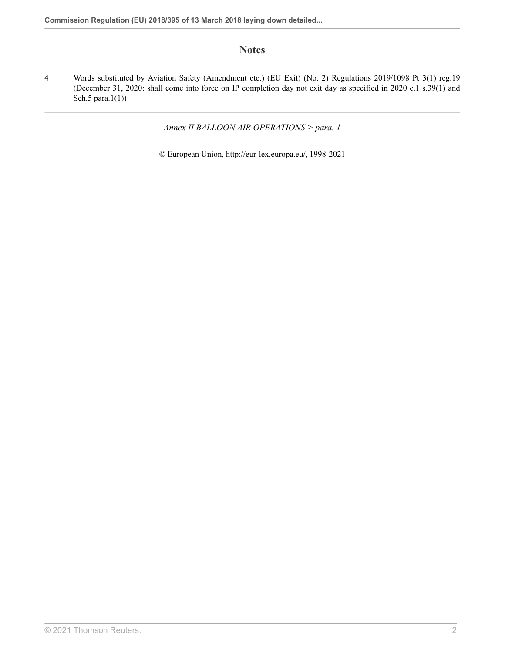## **Notes**

<span id="page-109-0"></span>[4](#page-108-6) Words substituted by Aviation Safety (Amendment etc.) (EU Exit) (No. 2) Regulations 2019/1098 [Pt 3\(1\) reg.19](http://uk.westlaw.com/Document/IC872B190A46611E9AA46BDE62A47EF6F/View/FullText.html?originationContext=document&transitionType=DocumentItem&vr=3.0&rs=PLUK1.0&contextData=(sc.Search)) (December 31, 2020: shall come into force on IP completion day not exit day as specified in 2020 c.1 s.39(1) and Sch.5 para.1(1))

*Annex II BALLOON AIR OPERATIONS > para. 1*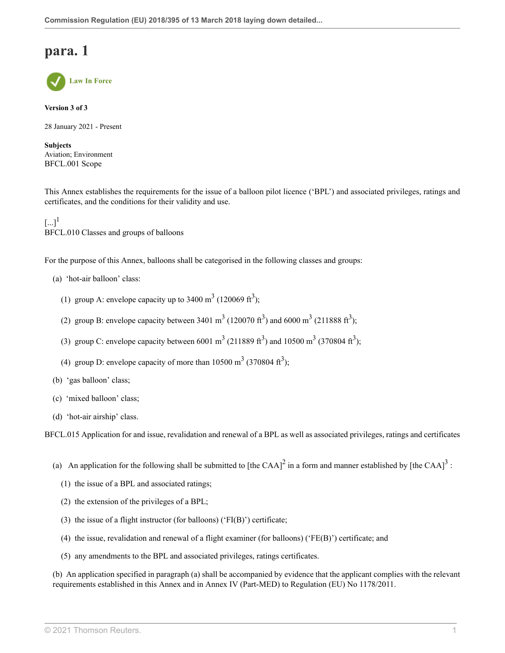

**Version 3 of 3**

28 January 2021 - Present

**Subjects** Aviation; Environment BFCL.001 Scope

This Annex establishes the requirements for the issue of a balloon pilot licence ('BPL') and associated privileges, ratings and certificates, and the conditions for their validity and use.

<span id="page-110-0"></span> $[...]^{1}$  $[...]^{1}$  $[...]^{1}$ BFCL.010 Classes and groups of balloons

For the purpose of this Annex, balloons shall be categorised in the following classes and groups:

- (a) 'hot-air balloon' class:
	- (1) group A: envelope capacity up to 3400 m<sup>3</sup> (120069 ft<sup>3</sup>);
	- (2) group B: envelope capacity between 3401 m<sup>3</sup> (120070 ft<sup>3</sup>) and 6000 m<sup>3</sup> (211888 ft<sup>3</sup>);
	- (3) group C: envelope capacity between 6001 m<sup>3</sup> (211889 ft<sup>3</sup>) and 10500 m<sup>3</sup> (370804 ft<sup>3</sup>);
	- (4) group D: envelope capacity of more than  $10500 \text{ m}^3$  (370804 ft<sup>3</sup>);
- (b) 'gas balloon' class;
- (c) 'mixed balloon' class;
- (d) 'hot-air airship' class.

BFCL.015 Application for and issue, revalidation and renewal of a BPL as well as associated privileges, ratings and certificates

- <span id="page-110-2"></span><span id="page-110-1"></span>(a) An application for the following shall be submitted to [the CAA]<sup>[2](#page-112-1)</sup> in a form and manner established by [the CAA]<sup>[3](#page-112-2)</sup>:
	- (1) the issue of a BPL and associated ratings;
	- (2) the extension of the privileges of a BPL;
	- (3) the issue of a flight instructor (for balloons) ( $FI(B)$ ) certificate;
	- (4) the issue, revalidation and renewal of a flight examiner (for balloons) ('FE(B)') certificate; and
	- (5) any amendments to the BPL and associated privileges, ratings certificates.

(b) An application specified in paragraph (a) shall be accompanied by evidence that the applicant complies with the relevant requirements established in this Annex and in Annex IV (Part-MED) to Regulation (EU) No 1178/2011.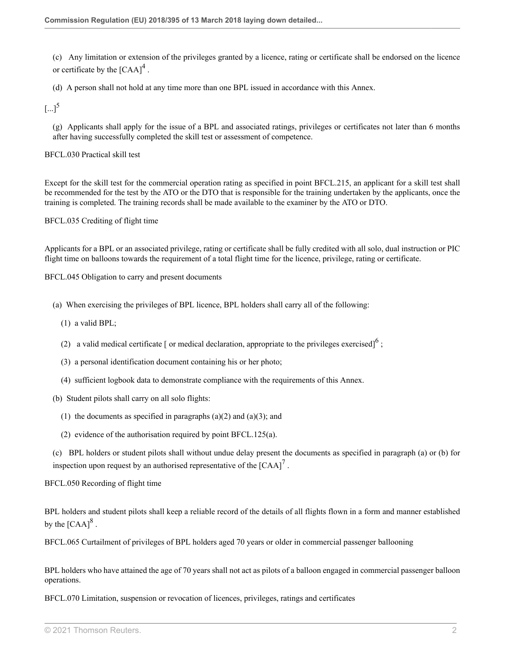<span id="page-111-0"></span>(c) Any limitation or extension of the privileges granted by a licence, rating or certificate shall be endorsed on the licence or certificate by the  $[{\rm CAA}]^4$  $[{\rm CAA}]^4$ .

(d) A person shall not hold at any time more than one BPL issued in accordance with this Annex.

<span id="page-111-1"></span> $\left[... \right]^5$  $\left[... \right]^5$ 

(g) Applicants shall apply for the issue of a BPL and associated ratings, privileges or certificates not later than 6 months after having successfully completed the skill test or assessment of competence.

BFCL.030 Practical skill test

Except for the skill test for the commercial operation rating as specified in point BFCL.215, an applicant for a skill test shall be recommended for the test by the ATO or the DTO that is responsible for the training undertaken by the applicants, once the training is completed. The training records shall be made available to the examiner by the ATO or DTO.

BFCL.035 Crediting of flight time

Applicants for a BPL or an associated privilege, rating or certificate shall be fully credited with all solo, dual instruction or PIC flight time on balloons towards the requirement of a total flight time for the licence, privilege, rating or certificate.

BFCL.045 Obligation to carry and present documents

- <span id="page-111-2"></span>(a) When exercising the privileges of BPL licence, BPL holders shall carry all of the following:
	- (1) a valid BPL;
	- (2) a valid medical certificate [ or medical declaration, appropriate to the privileges exercised]<sup>[6](#page-112-5)</sup>;
	- (3) a personal identification document containing his or her photo;
	- (4) sufficient logbook data to demonstrate compliance with the requirements of this Annex.
- (b) Student pilots shall carry on all solo flights:
	- (1) the documents as specified in paragraphs  $(a)(2)$  and  $(a)(3)$ ; and
	- (2) evidence of the authorisation required by point BFCL.125(a).
- <span id="page-111-3"></span>(c) BPL holders or student pilots shall without undue delay present the documents as specified in paragraph (a) or (b) for inspection upon request by an authorised representative of the  $[{\rm CAA}]^7$  $[{\rm CAA}]^7$ .

BFCL.050 Recording of flight time

<span id="page-111-4"></span>BPL holders and student pilots shall keep a reliable record of the details of all flights flown in a form and manner established by the  $[{\rm CAA}]^8$  $[{\rm CAA}]^8$ .

BFCL.065 Curtailment of privileges of BPL holders aged 70 years or older in commercial passenger ballooning

BPL holders who have attained the age of 70 years shall not act as pilots of a balloon engaged in commercial passenger balloon operations.

BFCL.070 Limitation, suspension or revocation of licences, privileges, ratings and certificates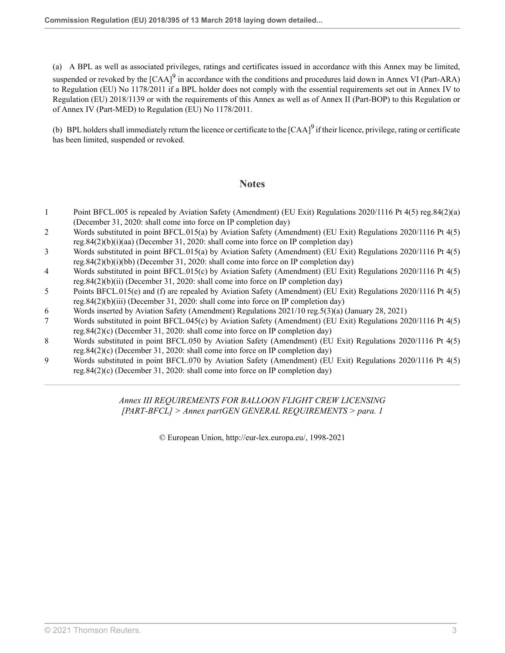<span id="page-112-9"></span>(a) A BPL as well as associated privileges, ratings and certificates issued in accordance with this Annex may be limited, suspended or revoked by the  $[CAA]^9$  $[CAA]^9$  in accordance with the conditions and procedures laid down in Annex VI (Part-ARA) to Regulation (EU) No 1178/2011 if a BPL holder does not comply with the essential requirements set out in Annex IV to Regulation (EU) 2018/1139 or with the requirements of this Annex as well as of Annex II (Part-BOP) to this Regulation or of Annex IV (Part-MED) to Regulation (EU) No 1178/2011.

(b) BPL holders shall immediately return the licence or certificate to the  ${[CAA]}^9$  ${[CAA]}^9$  if their licence, privilege, rating or certificate has been limited, suspended or revoked.

### **Notes**

- <span id="page-112-0"></span>[1](#page-110-0) Point BFCL.005 is repealed by Aviation Safety (Amendment) (EU Exit) Regulations 2020/1116 [Pt 4\(5\) reg.84\(2\)\(a\)](http://uk.westlaw.com/Document/I3AD56FA00E9E11EBA7DFEE51C635DBBB/View/FullText.html?originationContext=document&transitionType=DocumentItem&vr=3.0&rs=PLUK1.0&contextData=(sc.Search)) (December 31, 2020: shall come into force on IP completion day)
- <span id="page-112-1"></span>[2](#page-110-1) Words substituted in point BFCL.015(a) by Aviation Safety (Amendment) (EU Exit) Regulations 2020/1116 [Pt 4\(5\)](http://uk.westlaw.com/Document/I3AD56FA00E9E11EBA7DFEE51C635DBBB/View/FullText.html?originationContext=document&transitionType=DocumentItem&vr=3.0&rs=PLUK1.0&contextData=(sc.Search)) [reg.84\(2\)\(b\)\(i\)\(aa\)](http://uk.westlaw.com/Document/I3AD56FA00E9E11EBA7DFEE51C635DBBB/View/FullText.html?originationContext=document&transitionType=DocumentItem&vr=3.0&rs=PLUK1.0&contextData=(sc.Search)) (December 31, 2020: shall come into force on IP completion day)
- <span id="page-112-2"></span>[3](#page-110-2) Words substituted in point BFCL.015(a) by Aviation Safety (Amendment) (EU Exit) Regulations 2020/1116 [Pt 4\(5\)](http://uk.westlaw.com/Document/I3AD56FA00E9E11EBA7DFEE51C635DBBB/View/FullText.html?originationContext=document&transitionType=DocumentItem&vr=3.0&rs=PLUK1.0&contextData=(sc.Search)) [reg.84\(2\)\(b\)\(i\)\(bb\)](http://uk.westlaw.com/Document/I3AD56FA00E9E11EBA7DFEE51C635DBBB/View/FullText.html?originationContext=document&transitionType=DocumentItem&vr=3.0&rs=PLUK1.0&contextData=(sc.Search)) (December 31, 2020: shall come into force on IP completion day)
- <span id="page-112-3"></span>[4](#page-111-0) Words substituted in point BFCL.015(c) by Aviation Safety (Amendment) (EU Exit) Regulations 2020/1116 [Pt 4\(5\)](http://uk.westlaw.com/Document/I3AD56FA00E9E11EBA7DFEE51C635DBBB/View/FullText.html?originationContext=document&transitionType=DocumentItem&vr=3.0&rs=PLUK1.0&contextData=(sc.Search)) [reg.84\(2\)\(b\)\(ii\)](http://uk.westlaw.com/Document/I3AD56FA00E9E11EBA7DFEE51C635DBBB/View/FullText.html?originationContext=document&transitionType=DocumentItem&vr=3.0&rs=PLUK1.0&contextData=(sc.Search)) (December 31, 2020: shall come into force on IP completion day)
- <span id="page-112-4"></span>[5](#page-111-1) Points BFCL.015(e) and (f) are repealed by Aviation Safety (Amendment) (EU Exit) Regulations 2020/1116 [Pt 4\(5\)](http://uk.westlaw.com/Document/I3AD56FA00E9E11EBA7DFEE51C635DBBB/View/FullText.html?originationContext=document&transitionType=DocumentItem&vr=3.0&rs=PLUK1.0&contextData=(sc.Search)) [reg.84\(2\)\(b\)\(iii\)](http://uk.westlaw.com/Document/I3AD56FA00E9E11EBA7DFEE51C635DBBB/View/FullText.html?originationContext=document&transitionType=DocumentItem&vr=3.0&rs=PLUK1.0&contextData=(sc.Search)) (December 31, 2020: shall come into force on IP completion day)
- <span id="page-112-5"></span>[6](#page-111-2) Words inserted by Aviation Safety (Amendment) Regulations 2021/10 [reg.5\(3\)\(a\)](http://uk.westlaw.com/Document/IDE561C00523D11EBB02597D7573F1600/View/FullText.html?originationContext=document&transitionType=DocumentItem&vr=3.0&rs=PLUK1.0&contextData=(sc.Search)) (January 28, 2021)
- <span id="page-112-6"></span>[7](#page-111-3) Words substituted in point BFCL.045(c) by Aviation Safety (Amendment) (EU Exit) Regulations 2020/1116 [Pt 4\(5\)](http://uk.westlaw.com/Document/I3AD56FA00E9E11EBA7DFEE51C635DBBB/View/FullText.html?originationContext=document&transitionType=DocumentItem&vr=3.0&rs=PLUK1.0&contextData=(sc.Search)) [reg.84\(2\)\(c\)](http://uk.westlaw.com/Document/I3AD56FA00E9E11EBA7DFEE51C635DBBB/View/FullText.html?originationContext=document&transitionType=DocumentItem&vr=3.0&rs=PLUK1.0&contextData=(sc.Search)) (December 31, 2020: shall come into force on IP completion day)
- <span id="page-112-7"></span>[8](#page-111-4) Words substituted in point BFCL.050 by Aviation Safety (Amendment) (EU Exit) Regulations 2020/1116 [Pt 4\(5\)](http://uk.westlaw.com/Document/I3AD56FA00E9E11EBA7DFEE51C635DBBB/View/FullText.html?originationContext=document&transitionType=DocumentItem&vr=3.0&rs=PLUK1.0&contextData=(sc.Search)) [reg.84\(2\)\(c\)](http://uk.westlaw.com/Document/I3AD56FA00E9E11EBA7DFEE51C635DBBB/View/FullText.html?originationContext=document&transitionType=DocumentItem&vr=3.0&rs=PLUK1.0&contextData=(sc.Search)) (December 31, 2020: shall come into force on IP completion day)
- <span id="page-112-8"></span>[9](#page-112-9) Words substituted in point BFCL.070 by Aviation Safety (Amendment) (EU Exit) Regulations 2020/1116 [Pt 4\(5\)](http://uk.westlaw.com/Document/I3AD56FA00E9E11EBA7DFEE51C635DBBB/View/FullText.html?originationContext=document&transitionType=DocumentItem&vr=3.0&rs=PLUK1.0&contextData=(sc.Search)) [reg.84\(2\)\(c\)](http://uk.westlaw.com/Document/I3AD56FA00E9E11EBA7DFEE51C635DBBB/View/FullText.html?originationContext=document&transitionType=DocumentItem&vr=3.0&rs=PLUK1.0&contextData=(sc.Search)) (December 31, 2020: shall come into force on IP completion day)

## *Annex III REQUIREMENTS FOR BALLOON FLIGHT CREW LICENSING [PART-BFCL] > Annex partGEN GENERAL REQUIREMENTS > para. 1*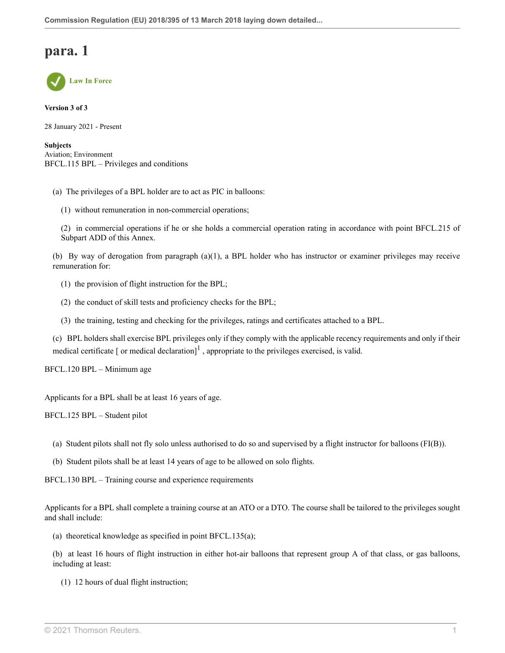**Law In Force**

**Version 3 of 3**

28 January 2021 - Present

**Subjects** Aviation; Environment BFCL.115 BPL – Privileges and conditions

- (a) The privileges of a BPL holder are to act as PIC in balloons:
	- (1) without remuneration in non-commercial operations;

(2) in commercial operations if he or she holds a commercial operation rating in accordance with point BFCL.215 of Subpart ADD of this Annex.

(b) By way of derogation from paragraph (a)(1), a BPL holder who has instructor or examiner privileges may receive remuneration for:

- (1) the provision of flight instruction for the BPL;
- (2) the conduct of skill tests and proficiency checks for the BPL;
- <span id="page-113-0"></span>(3) the training, testing and checking for the privileges, ratings and certificates attached to a BPL.

(c) BPL holders shall exercise BPL privileges only if they comply with the applicable recency requirements and only if their medical certificate [ or medical declaration]<sup>[1](#page-117-0)</sup>, appropriate to the privileges exercised, is valid.

BFCL.120 BPL – Minimum age

Applicants for a BPL shall be at least 16 years of age.

BFCL.125 BPL – Student pilot

- (a) Student pilots shall not fly solo unless authorised to do so and supervised by a flight instructor for balloons (FI(B)).
- (b) Student pilots shall be at least 14 years of age to be allowed on solo flights.

BFCL.130 BPL – Training course and experience requirements

Applicants for a BPL shall complete a training course at an ATO or a DTO. The course shall be tailored to the privileges sought and shall include:

(a) theoretical knowledge as specified in point BFCL.135(a);

(b) at least 16 hours of flight instruction in either hot-air balloons that represent group A of that class, or gas balloons, including at least:

(1) 12 hours of dual flight instruction;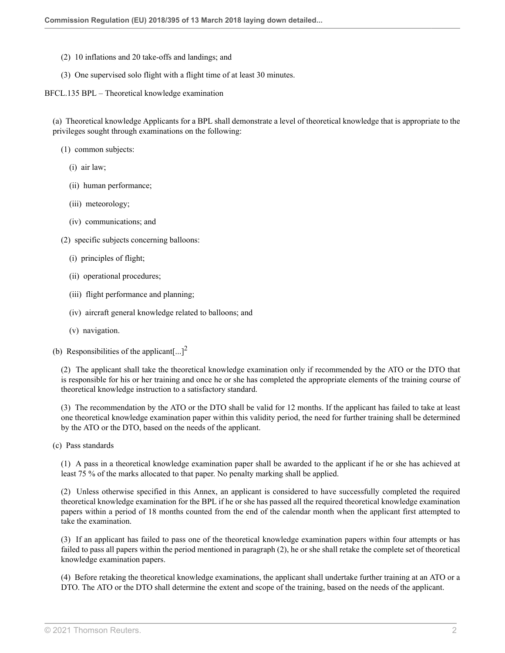- (2) 10 inflations and 20 take-offs and landings; and
- (3) One supervised solo flight with a flight time of at least 30 minutes.

BFCL.135 BPL – Theoretical knowledge examination

(a) Theoretical knowledge Applicants for a BPL shall demonstrate a level of theoretical knowledge that is appropriate to the privileges sought through examinations on the following:

- (1) common subjects:
	- (i) air law;
	- (ii) human performance;
	- (iii) meteorology;
	- (iv) communications; and
- (2) specific subjects concerning balloons:
	- (i) principles of flight;
	- (ii) operational procedures;
	- (iii) flight performance and planning;
	- (iv) aircraft general knowledge related to balloons; and
	- (v) navigation.
- (b) Responsibilities of the applicant  $\left[ \ldots \right]^2$  $\left[ \ldots \right]^2$

<span id="page-114-0"></span>(2) The applicant shall take the theoretical knowledge examination only if recommended by the ATO or the DTO that is responsible for his or her training and once he or she has completed the appropriate elements of the training course of theoretical knowledge instruction to a satisfactory standard.

(3) The recommendation by the ATO or the DTO shall be valid for 12 months. If the applicant has failed to take at least one theoretical knowledge examination paper within this validity period, the need for further training shall be determined by the ATO or the DTO, based on the needs of the applicant.

(c) Pass standards

(1) A pass in a theoretical knowledge examination paper shall be awarded to the applicant if he or she has achieved at least 75 % of the marks allocated to that paper. No penalty marking shall be applied.

(2) Unless otherwise specified in this Annex, an applicant is considered to have successfully completed the required theoretical knowledge examination for the BPL if he or she has passed all the required theoretical knowledge examination papers within a period of 18 months counted from the end of the calendar month when the applicant first attempted to take the examination.

(3) If an applicant has failed to pass one of the theoretical knowledge examination papers within four attempts or has failed to pass all papers within the period mentioned in paragraph (2), he or she shall retake the complete set of theoretical knowledge examination papers.

(4) Before retaking the theoretical knowledge examinations, the applicant shall undertake further training at an ATO or a DTO. The ATO or the DTO shall determine the extent and scope of the training, based on the needs of the applicant.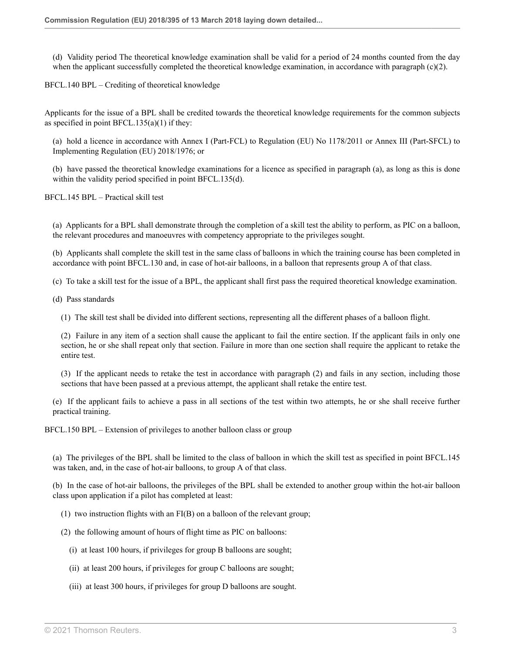(d) Validity period The theoretical knowledge examination shall be valid for a period of 24 months counted from the day when the applicant successfully completed the theoretical knowledge examination, in accordance with paragraph  $(c)(2)$ .

BFCL.140 BPL – Crediting of theoretical knowledge

Applicants for the issue of a BPL shall be credited towards the theoretical knowledge requirements for the common subjects as specified in point BFCL.135(a)(1) if they:

(a) hold a licence in accordance with Annex I (Part-FCL) to Regulation (EU) No 1178/2011 or Annex III (Part-SFCL) to Implementing Regulation (EU) 2018/1976; or

(b) have passed the theoretical knowledge examinations for a licence as specified in paragraph (a), as long as this is done within the validity period specified in point BFCL.135(d).

BFCL.145 BPL – Practical skill test

(a) Applicants for a BPL shall demonstrate through the completion of a skill test the ability to perform, as PIC on a balloon, the relevant procedures and manoeuvres with competency appropriate to the privileges sought.

(b) Applicants shall complete the skill test in the same class of balloons in which the training course has been completed in accordance with point BFCL.130 and, in case of hot-air balloons, in a balloon that represents group A of that class.

(c) To take a skill test for the issue of a BPL, the applicant shall first pass the required theoretical knowledge examination.

(d) Pass standards

(1) The skill test shall be divided into different sections, representing all the different phases of a balloon flight.

(2) Failure in any item of a section shall cause the applicant to fail the entire section. If the applicant fails in only one section, he or she shall repeat only that section. Failure in more than one section shall require the applicant to retake the entire test.

(3) If the applicant needs to retake the test in accordance with paragraph (2) and fails in any section, including those sections that have been passed at a previous attempt, the applicant shall retake the entire test.

(e) If the applicant fails to achieve a pass in all sections of the test within two attempts, he or she shall receive further practical training.

BFCL.150 BPL – Extension of privileges to another balloon class or group

(a) The privileges of the BPL shall be limited to the class of balloon in which the skill test as specified in point BFCL.145 was taken, and, in the case of hot-air balloons, to group A of that class.

(b) In the case of hot-air balloons, the privileges of the BPL shall be extended to another group within the hot-air balloon class upon application if a pilot has completed at least:

(1) two instruction flights with an FI(B) on a balloon of the relevant group;

(2) the following amount of hours of flight time as PIC on balloons:

(i) at least 100 hours, if privileges for group B balloons are sought;

(ii) at least 200 hours, if privileges for group C balloons are sought;

(iii) at least 300 hours, if privileges for group D balloons are sought.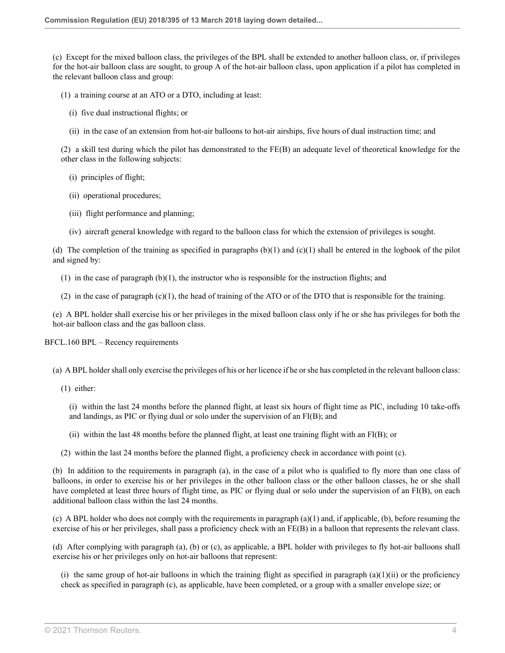(c) Except for the mixed balloon class, the privileges of the BPL shall be extended to another balloon class, or, if privileges for the hot-air balloon class are sought, to group A of the hot-air balloon class, upon application if a pilot has completed in the relevant balloon class and group:

(1) a training course at an ATO or a DTO, including at least:

- (i) five dual instructional flights; or
- (ii) in the case of an extension from hot-air balloons to hot-air airships, five hours of dual instruction time; and

(2) a skill test during which the pilot has demonstrated to the FE(B) an adequate level of theoretical knowledge for the other class in the following subjects:

- (i) principles of flight;
- (ii) operational procedures;
- (iii) flight performance and planning;
- (iv) aircraft general knowledge with regard to the balloon class for which the extension of privileges is sought.

(d) The completion of the training as specified in paragraphs  $(b)(1)$  and  $(c)(1)$  shall be entered in the logbook of the pilot and signed by:

 $(1)$  in the case of paragraph  $(b)(1)$ , the instructor who is responsible for the instruction flights; and

(2) in the case of paragraph (c)(1), the head of training of the ATO or of the DTO that is responsible for the training.

(e) A BPL holder shall exercise his or her privileges in the mixed balloon class only if he or she has privileges for both the hot-air balloon class and the gas balloon class.

BFCL.160 BPL – Recency requirements

(a) A BPL holder shall only exercise the privileges of his or her licence if he or she has completed in the relevant balloon class:

(1) either:

(i) within the last 24 months before the planned flight, at least six hours of flight time as PIC, including 10 take-offs and landings, as PIC or flying dual or solo under the supervision of an FI(B); and

(ii) within the last 48 months before the planned flight, at least one training flight with an FI(B); or

(2) within the last 24 months before the planned flight, a proficiency check in accordance with point (c).

(b) In addition to the requirements in paragraph (a), in the case of a pilot who is qualified to fly more than one class of balloons, in order to exercise his or her privileges in the other balloon class or the other balloon classes, he or she shall have completed at least three hours of flight time, as PIC or flying dual or solo under the supervision of an FI(B), on each additional balloon class within the last 24 months.

(c) A BPL holder who does not comply with the requirements in paragraph  $(a)(1)$  and, if applicable,  $(b)$ , before resuming the exercise of his or her privileges, shall pass a proficiency check with an FE(B) in a balloon that represents the relevant class.

(d) After complying with paragraph (a), (b) or (c), as applicable, a BPL holder with privileges to fly hot-air balloons shall exercise his or her privileges only on hot-air balloons that represent:

(i) the same group of hot-air balloons in which the training flight as specified in paragraph  $(a)(1)(ii)$  or the proficiency check as specified in paragraph (c), as applicable, have been completed, or a group with a smaller envelope size; or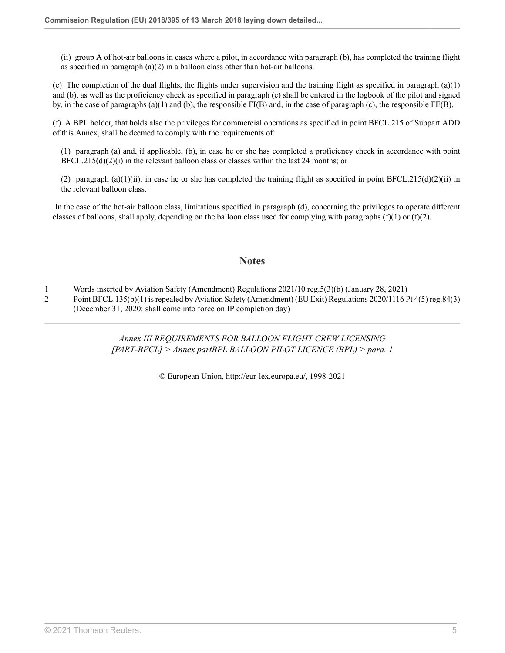(ii) group A of hot-air balloons in cases where a pilot, in accordance with paragraph (b), has completed the training flight as specified in paragraph  $(a)(2)$  in a balloon class other than hot-air balloons.

(e) The completion of the dual flights, the flights under supervision and the training flight as specified in paragraph (a)(1) and (b), as well as the proficiency check as specified in paragraph (c) shall be entered in the logbook of the pilot and signed by, in the case of paragraphs (a)(1) and (b), the responsible FI(B) and, in the case of paragraph (c), the responsible FE(B).

(f) A BPL holder, that holds also the privileges for commercial operations as specified in point BFCL.215 of Subpart ADD of this Annex, shall be deemed to comply with the requirements of:

(1) paragraph (a) and, if applicable, (b), in case he or she has completed a proficiency check in accordance with point  $BFCL.215(d)(2)(i)$  in the relevant balloon class or classes within the last 24 months; or

(2) paragraph (a)(1)(ii), in case he or she has completed the training flight as specified in point BFCL.215(d)(2)(ii) in the relevant balloon class.

 In the case of the hot-air balloon class, limitations specified in paragraph (d), concerning the privileges to operate different classes of balloons, shall apply, depending on the balloon class used for complying with paragraphs  $(f)(1)$  or  $(f)(2)$ .

### **Notes**

<span id="page-117-0"></span>[1](#page-113-0) Words inserted by Aviation Safety (Amendment) Regulations 2021/10 [reg.5\(3\)\(b\)](http://uk.westlaw.com/Document/IDE561C00523D11EBB02597D7573F1600/View/FullText.html?originationContext=document&transitionType=DocumentItem&vr=3.0&rs=PLUK1.0&contextData=(sc.Search)) (January 28, 2021)

<span id="page-117-1"></span>[2](#page-114-0) Point BFCL.135(b)(1) is repealed by Aviation Safety (Amendment) (EU Exit) Regulations 2020/1116 [Pt 4\(5\) reg.84\(3\)](http://uk.westlaw.com/Document/I3AD56FA00E9E11EBA7DFEE51C635DBBB/View/FullText.html?originationContext=document&transitionType=DocumentItem&vr=3.0&rs=PLUK1.0&contextData=(sc.Search)) (December 31, 2020: shall come into force on IP completion day)

> *Annex III REQUIREMENTS FOR BALLOON FLIGHT CREW LICENSING [PART-BFCL] > Annex partBPL BALLOON PILOT LICENCE (BPL) > para. 1*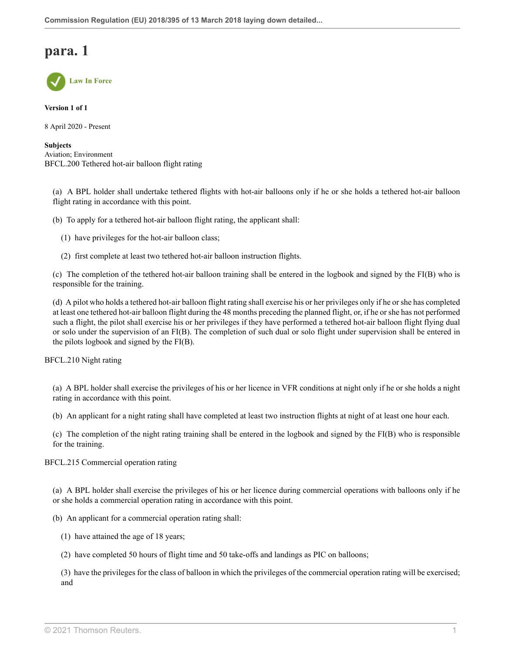

**Version 1 of 1**

8 April 2020 - Present

**Subjects** Aviation; Environment BFCL.200 Tethered hot-air balloon flight rating

(a) A BPL holder shall undertake tethered flights with hot-air balloons only if he or she holds a tethered hot-air balloon flight rating in accordance with this point.

(b) To apply for a tethered hot-air balloon flight rating, the applicant shall:

(1) have privileges for the hot-air balloon class;

(2) first complete at least two tethered hot-air balloon instruction flights.

(c) The completion of the tethered hot-air balloon training shall be entered in the logbook and signed by the FI(B) who is responsible for the training.

(d) A pilot who holds a tethered hot-air balloon flight rating shall exercise his or her privileges only if he or she has completed at least one tethered hot-air balloon flight during the 48 months preceding the planned flight, or, if he or she has not performed such a flight, the pilot shall exercise his or her privileges if they have performed a tethered hot-air balloon flight flying dual or solo under the supervision of an FI(B). The completion of such dual or solo flight under supervision shall be entered in the pilots logbook and signed by the FI(B).

BFCL.210 Night rating

(a) A BPL holder shall exercise the privileges of his or her licence in VFR conditions at night only if he or she holds a night rating in accordance with this point.

(b) An applicant for a night rating shall have completed at least two instruction flights at night of at least one hour each.

(c) The completion of the night rating training shall be entered in the logbook and signed by the FI(B) who is responsible for the training.

BFCL.215 Commercial operation rating

(a) A BPL holder shall exercise the privileges of his or her licence during commercial operations with balloons only if he or she holds a commercial operation rating in accordance with this point.

(b) An applicant for a commercial operation rating shall:

(1) have attained the age of 18 years;

(2) have completed 50 hours of flight time and 50 take-offs and landings as PIC on balloons;

(3) have the privileges for the class of balloon in which the privileges of the commercial operation rating will be exercised; and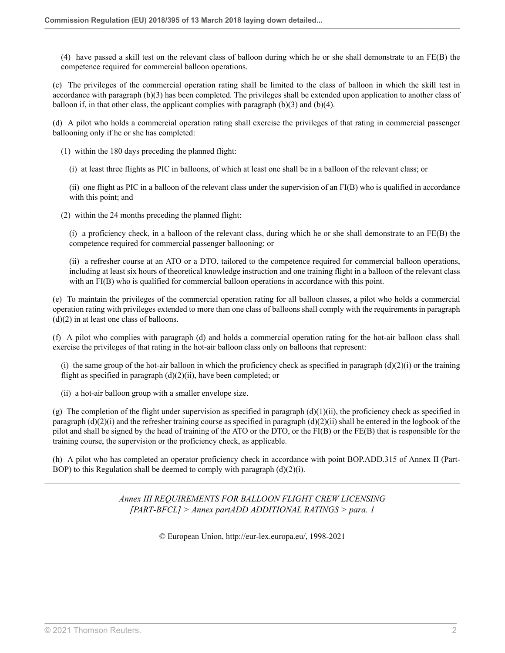(4) have passed a skill test on the relevant class of balloon during which he or she shall demonstrate to an FE(B) the competence required for commercial balloon operations.

(c) The privileges of the commercial operation rating shall be limited to the class of balloon in which the skill test in accordance with paragraph (b)(3) has been completed. The privileges shall be extended upon application to another class of balloon if, in that other class, the applicant complies with paragraph  $(b)(3)$  and  $(b)(4)$ .

(d) A pilot who holds a commercial operation rating shall exercise the privileges of that rating in commercial passenger ballooning only if he or she has completed:

(1) within the 180 days preceding the planned flight:

(i) at least three flights as PIC in balloons, of which at least one shall be in a balloon of the relevant class; or

(ii) one flight as PIC in a balloon of the relevant class under the supervision of an FI(B) who is qualified in accordance with this point; and

(2) within the 24 months preceding the planned flight:

(i) a proficiency check, in a balloon of the relevant class, during which he or she shall demonstrate to an FE(B) the competence required for commercial passenger ballooning; or

(ii) a refresher course at an ATO or a DTO, tailored to the competence required for commercial balloon operations, including at least six hours of theoretical knowledge instruction and one training flight in a balloon of the relevant class with an FI(B) who is qualified for commercial balloon operations in accordance with this point.

(e) To maintain the privileges of the commercial operation rating for all balloon classes, a pilot who holds a commercial operation rating with privileges extended to more than one class of balloons shall comply with the requirements in paragraph  $(d)(2)$  in at least one class of balloons.

(f) A pilot who complies with paragraph (d) and holds a commercial operation rating for the hot-air balloon class shall exercise the privileges of that rating in the hot-air balloon class only on balloons that represent:

(i) the same group of the hot-air balloon in which the proficiency check as specified in paragraph  $(d)(2)(i)$  or the training flight as specified in paragraph (d)(2)(ii), have been completed; or

(ii) a hot-air balloon group with a smaller envelope size.

(g) The completion of the flight under supervision as specified in paragraph  $(d)(1)(ii)$ , the proficiency check as specified in paragraph  $(d)(2)(i)$  and the refresher training course as specified in paragraph  $(d)(2)(ii)$  shall be entered in the logbook of the pilot and shall be signed by the head of training of the ATO or the DTO, or the FI(B) or the FE(B) that is responsible for the training course, the supervision or the proficiency check, as applicable.

(h) A pilot who has completed an operator proficiency check in accordance with point BOP.ADD.315 of Annex II (Part-BOP) to this Regulation shall be deemed to comply with paragraph  $(d)(2)(i)$ .

> *Annex III REQUIREMENTS FOR BALLOON FLIGHT CREW LICENSING [PART-BFCL] > Annex partADD ADDITIONAL RATINGS > para. 1*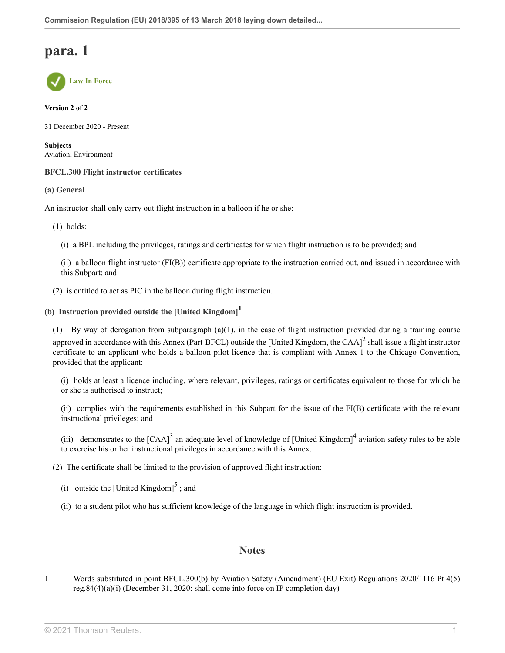**Law In Force**

#### **Version 2 of 2**

31 December 2020 - Present

**Subjects** Aviation; Environment

#### **BFCL.300 Flight instructor certificates**

**(a) General**

An instructor shall only carry out flight instruction in a balloon if he or she:

(1) holds:

(i) a BPL including the privileges, ratings and certificates for which flight instruction is to be provided; and

<span id="page-120-1"></span>(ii) a balloon flight instructor (FI(B)) certificate appropriate to the instruction carried out, and issued in accordance with this Subpart; and

(2) is entitled to act as PIC in the balloon during flight instruction.

## **(b) Instruction provided outside the [United Kingdom] [1](#page-120-0)**

(1) By way of derogation from subparagraph (a)(1), in the case of flight instruction provided during a training course approved in accordance with this Annex (Part-BFCL) outside the [United Kingdom, the CAA] $^2$  $^2$  shall issue a flight instructor certificate to an applicant who holds a balloon pilot licence that is compliant with Annex 1 to the Chicago Convention, provided that the applicant:

(i) holds at least a licence including, where relevant, privileges, ratings or certificates equivalent to those for which he or she is authorised to instruct;

(ii) complies with the requirements established in this Subpart for the issue of the FI(B) certificate with the relevant instructional privileges; and

<span id="page-120-3"></span>(iii) demonstrates to the  $[CAA]^3$  $[CAA]^3$  an adequate level of knowledge of [United Kingdom]<sup>[4](#page-121-2)</sup> aviation safety rules to be able to exercise his or her instructional privileges in accordance with this Annex.

(2) The certificate shall be limited to the provision of approved flight instruction:

(i) outside the [United Kingdom] $<sup>5</sup>$  $<sup>5</sup>$  $<sup>5</sup>$ ; and</sup>

(ii) to a student pilot who has sufficient knowledge of the language in which flight instruction is provided.

### <span id="page-120-5"></span><span id="page-120-4"></span><span id="page-120-2"></span>**Notes**

<span id="page-120-0"></span>[1](#page-120-1) Words substituted in point BFCL.300(b) by Aviation Safety (Amendment) (EU Exit) Regulations 2020/1116 [Pt 4\(5\)](http://uk.westlaw.com/Document/I3AD56FA00E9E11EBA7DFEE51C635DBBB/View/FullText.html?originationContext=document&transitionType=DocumentItem&vr=3.0&rs=PLUK1.0&contextData=(sc.Search)) [reg.84\(4\)\(a\)\(i\)](http://uk.westlaw.com/Document/I3AD56FA00E9E11EBA7DFEE51C635DBBB/View/FullText.html?originationContext=document&transitionType=DocumentItem&vr=3.0&rs=PLUK1.0&contextData=(sc.Search)) (December 31, 2020: shall come into force on IP completion day)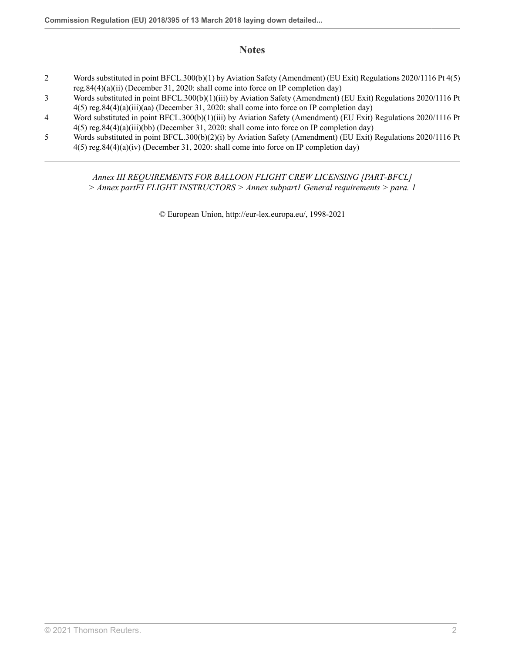## **Notes**

- <span id="page-121-0"></span>[2](#page-120-2) Words substituted in point BFCL.300(b)(1) by Aviation Safety (Amendment) (EU Exit) Regulations 2020/1116 [Pt 4\(5\)](http://uk.westlaw.com/Document/I3AD56FA00E9E11EBA7DFEE51C635DBBB/View/FullText.html?originationContext=document&transitionType=DocumentItem&vr=3.0&rs=PLUK1.0&contextData=(sc.Search)) [reg.84\(4\)\(a\)\(ii\)](http://uk.westlaw.com/Document/I3AD56FA00E9E11EBA7DFEE51C635DBBB/View/FullText.html?originationContext=document&transitionType=DocumentItem&vr=3.0&rs=PLUK1.0&contextData=(sc.Search)) (December 31, 2020: shall come into force on IP completion day)
- <span id="page-121-1"></span>[3](#page-120-3) Words substituted in point BFCL.300(b)(1)(iii) by Aviation Safety (Amendment) (EU Exit) Regulations 2020/1116 [Pt](http://uk.westlaw.com/Document/I3AD56FA00E9E11EBA7DFEE51C635DBBB/View/FullText.html?originationContext=document&transitionType=DocumentItem&vr=3.0&rs=PLUK1.0&contextData=(sc.Search)) [4\(5\) reg.84\(4\)\(a\)\(iii\)\(aa\)](http://uk.westlaw.com/Document/I3AD56FA00E9E11EBA7DFEE51C635DBBB/View/FullText.html?originationContext=document&transitionType=DocumentItem&vr=3.0&rs=PLUK1.0&contextData=(sc.Search)) (December 31, 2020: shall come into force on IP completion day)
- <span id="page-121-2"></span>[4](#page-120-4) Word substituted in point BFCL.300(b)(1)(iii) by Aviation Safety (Amendment) (EU Exit) Regulations 2020/1116 [Pt](http://uk.westlaw.com/Document/I3AD56FA00E9E11EBA7DFEE51C635DBBB/View/FullText.html?originationContext=document&transitionType=DocumentItem&vr=3.0&rs=PLUK1.0&contextData=(sc.Search)) [4\(5\) reg.84\(4\)\(a\)\(iii\)\(bb\)](http://uk.westlaw.com/Document/I3AD56FA00E9E11EBA7DFEE51C635DBBB/View/FullText.html?originationContext=document&transitionType=DocumentItem&vr=3.0&rs=PLUK1.0&contextData=(sc.Search)) (December 31, 2020: shall come into force on IP completion day)
- <span id="page-121-3"></span>[5](#page-120-5) Words substituted in point BFCL.300(b)(2)(i) by Aviation Safety (Amendment) (EU Exit) Regulations 2020/1116 [Pt](http://uk.westlaw.com/Document/I3AD56FA00E9E11EBA7DFEE51C635DBBB/View/FullText.html?originationContext=document&transitionType=DocumentItem&vr=3.0&rs=PLUK1.0&contextData=(sc.Search)) [4\(5\) reg.84\(4\)\(a\)\(iv\)](http://uk.westlaw.com/Document/I3AD56FA00E9E11EBA7DFEE51C635DBBB/View/FullText.html?originationContext=document&transitionType=DocumentItem&vr=3.0&rs=PLUK1.0&contextData=(sc.Search)) (December 31, 2020: shall come into force on IP completion day)

*Annex III REQUIREMENTS FOR BALLOON FLIGHT CREW LICENSING [PART-BFCL] > Annex partFI FLIGHT INSTRUCTORS > Annex subpart1 General requirements > para. 1*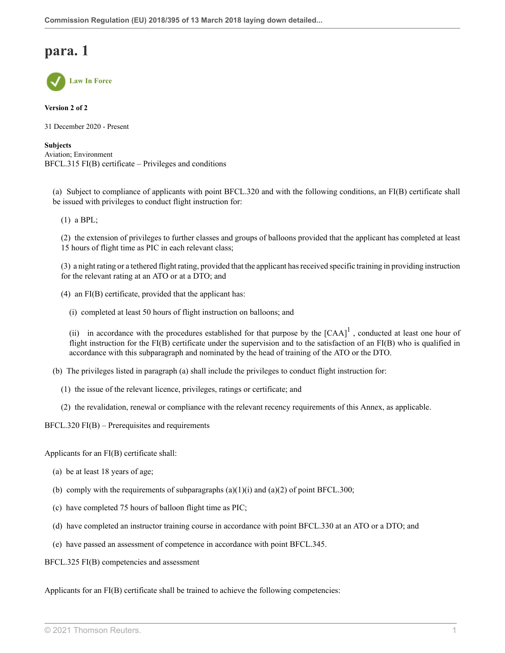

**Version 2 of 2**

31 December 2020 - Present

**Subjects** Aviation; Environment BFCL.315 FI(B) certificate – Privileges and conditions

(a) Subject to compliance of applicants with point BFCL.320 and with the following conditions, an FI(B) certificate shall be issued with privileges to conduct flight instruction for:

(1) a BPL;

(2) the extension of privileges to further classes and groups of balloons provided that the applicant has completed at least 15 hours of flight time as PIC in each relevant class;

(3) a night rating or a tethered flight rating, provided that the applicant has received specific training in providing instruction for the relevant rating at an ATO or at a DTO; and

(4) an FI(B) certificate, provided that the applicant has:

(i) completed at least 50 hours of flight instruction on balloons; and

<span id="page-122-0"></span>(ii) in accordance with the procedures established for that purpose by the  $[CAA]$ <sup>[1](#page-124-0)</sup>, conducted at least one hour of flight instruction for the FI(B) certificate under the supervision and to the satisfaction of an FI(B) who is qualified in accordance with this subparagraph and nominated by the head of training of the ATO or the DTO.

(b) The privileges listed in paragraph (a) shall include the privileges to conduct flight instruction for:

- (1) the issue of the relevant licence, privileges, ratings or certificate; and
- (2) the revalidation, renewal or compliance with the relevant recency requirements of this Annex, as applicable.

BFCL.320 FI(B) – Prerequisites and requirements

Applicants for an FI(B) certificate shall:

- (a) be at least 18 years of age;
- (b) comply with the requirements of subparagraphs  $(a)(1)(i)$  and  $(a)(2)$  of point BFCL.300;
- (c) have completed 75 hours of balloon flight time as PIC;
- (d) have completed an instructor training course in accordance with point BFCL.330 at an ATO or a DTO; and
- (e) have passed an assessment of competence in accordance with point BFCL.345.

BFCL.325 FI(B) competencies and assessment

Applicants for an FI(B) certificate shall be trained to achieve the following competencies: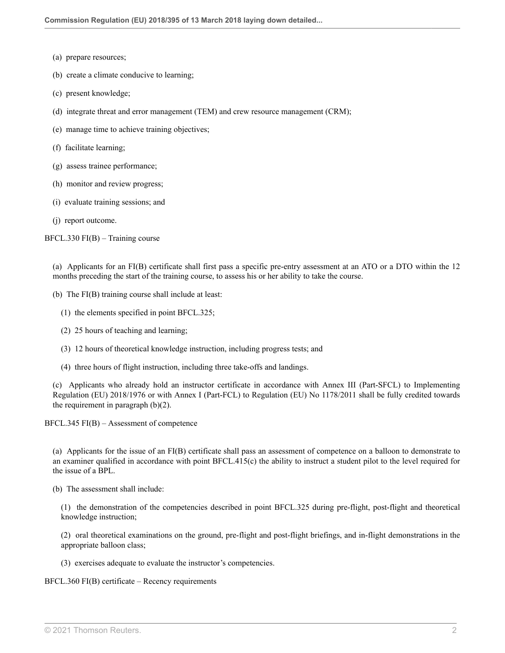- (a) prepare resources;
- (b) create a climate conducive to learning;
- (c) present knowledge;
- (d) integrate threat and error management (TEM) and crew resource management (CRM);
- (e) manage time to achieve training objectives;
- (f) facilitate learning;
- (g) assess trainee performance;
- (h) monitor and review progress;
- (i) evaluate training sessions; and
- (j) report outcome.

BFCL.330 FI(B) – Training course

(a) Applicants for an FI(B) certificate shall first pass a specific pre-entry assessment at an ATO or a DTO within the 12 months preceding the start of the training course, to assess his or her ability to take the course.

- (b) The FI(B) training course shall include at least:
	- (1) the elements specified in point BFCL.325;
	- (2) 25 hours of teaching and learning;
	- (3) 12 hours of theoretical knowledge instruction, including progress tests; and
	- (4) three hours of flight instruction, including three take-offs and landings.

(c) Applicants who already hold an instructor certificate in accordance with Annex III (Part-SFCL) to Implementing Regulation (EU) 2018/1976 or with Annex I (Part-FCL) to Regulation (EU) No 1178/2011 shall be fully credited towards the requirement in paragraph  $(b)(2)$ .

BFCL.345 FI(B) – Assessment of competence

(a) Applicants for the issue of an FI(B) certificate shall pass an assessment of competence on a balloon to demonstrate to an examiner qualified in accordance with point BFCL.415(c) the ability to instruct a student pilot to the level required for the issue of a BPL.

(b) The assessment shall include:

(1) the demonstration of the competencies described in point BFCL.325 during pre-flight, post-flight and theoretical knowledge instruction;

(2) oral theoretical examinations on the ground, pre-flight and post-flight briefings, and in-flight demonstrations in the appropriate balloon class;

(3) exercises adequate to evaluate the instructor's competencies.

BFCL.360 FI(B) certificate – Recency requirements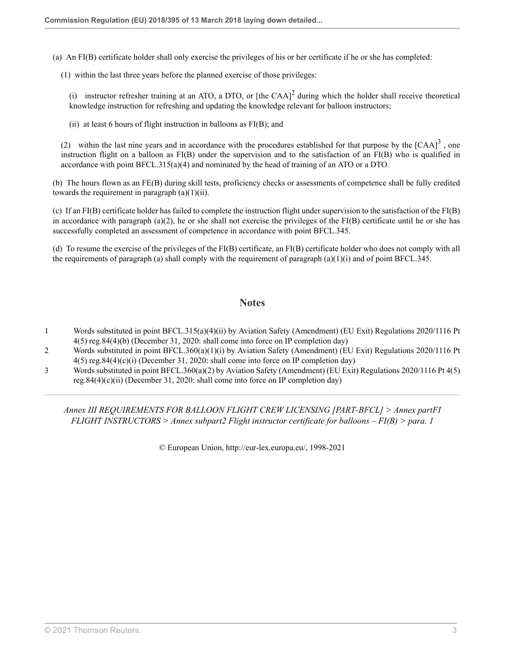(a) An FI(B) certificate holder shall only exercise the privileges of his or her certificate if he or she has completed:

(1) within the last three years before the planned exercise of those privileges:

(i) instructor refresher training at an ATO, a DTO, or [the CAA]<sup>[2](#page-124-1)</sup> during which the holder shall receive theoretical knowledge instruction for refreshing and updating the knowledge relevant for balloon instructors;

(ii) at least 6 hours of flight instruction in balloons as  $FI(B)$ ; and

(2) within the last nine years and in accordance with the procedures established for that purpose by the  $[CAA]^3$  $[CAA]^3$ , one instruction flight on a balloon as FI(B) under the supervision and to the satisfaction of an FI(B) who is qualified in accordance with point BFCL.315(a)(4) and nominated by the head of training of an ATO or a DTO.

(b) The hours flown as an FE(B) during skill tests, proficiency checks or assessments of competence shall be fully credited towards the requirement in paragraph  $(a)(1)(ii)$ .

(c) If an FI(B) certificate holder has failed to complete the instruction flight under supervision to the satisfaction of the FI(B) in accordance with paragraph (a)(2), he or she shall not exercise the privileges of the  $FI(B)$  certificate until he or she has successfully completed an assessment of competence in accordance with point BFCL.345.

(d) To resume the exercise of the privileges of the FI(B) certificate, an FI(B) certificate holder who does not comply with all the requirements of paragraph (a) shall comply with the requirement of paragraph  $(a)(1)(i)$  and of point BFCL.345.

### <span id="page-124-4"></span><span id="page-124-3"></span>**Notes**

- <span id="page-124-0"></span>[1](#page-122-0) Words substituted in point BFCL.315(a)(4)(ii) by Aviation Safety (Amendment) (EU Exit) Regulations 2020/1116 [Pt](http://uk.westlaw.com/Document/I3AD56FA00E9E11EBA7DFEE51C635DBBB/View/FullText.html?originationContext=document&transitionType=DocumentItem&vr=3.0&rs=PLUK1.0&contextData=(sc.Search)) [4\(5\) reg.84\(4\)\(b\)](http://uk.westlaw.com/Document/I3AD56FA00E9E11EBA7DFEE51C635DBBB/View/FullText.html?originationContext=document&transitionType=DocumentItem&vr=3.0&rs=PLUK1.0&contextData=(sc.Search)) (December 31, 2020: shall come into force on IP completion day)
- <span id="page-124-1"></span>[2](#page-124-3) Words substituted in point BFCL.360(a)(1)(i) by Aviation Safety (Amendment) (EU Exit) Regulations 2020/1116 [Pt](http://uk.westlaw.com/Document/I3AD56FA00E9E11EBA7DFEE51C635DBBB/View/FullText.html?originationContext=document&transitionType=DocumentItem&vr=3.0&rs=PLUK1.0&contextData=(sc.Search)) [4\(5\) reg.84\(4\)\(c\)\(i\)](http://uk.westlaw.com/Document/I3AD56FA00E9E11EBA7DFEE51C635DBBB/View/FullText.html?originationContext=document&transitionType=DocumentItem&vr=3.0&rs=PLUK1.0&contextData=(sc.Search)) (December 31, 2020: shall come into force on IP completion day)
- <span id="page-124-2"></span>[3](#page-124-4) Words substituted in point BFCL.360(a)(2) by Aviation Safety (Amendment) (EU Exit) Regulations 2020/1116 [Pt 4\(5\)](http://uk.westlaw.com/Document/I3AD56FA00E9E11EBA7DFEE51C635DBBB/View/FullText.html?originationContext=document&transitionType=DocumentItem&vr=3.0&rs=PLUK1.0&contextData=(sc.Search)) [reg.84\(4\)\(c\)\(ii\)](http://uk.westlaw.com/Document/I3AD56FA00E9E11EBA7DFEE51C635DBBB/View/FullText.html?originationContext=document&transitionType=DocumentItem&vr=3.0&rs=PLUK1.0&contextData=(sc.Search)) (December 31, 2020: shall come into force on IP completion day)

*Annex III REQUIREMENTS FOR BALLOON FLIGHT CREW LICENSING [PART-BFCL] > Annex partFI FLIGHT INSTRUCTORS > Annex subpart2 Flight instructor certificate for balloons – FI(B) > para. 1*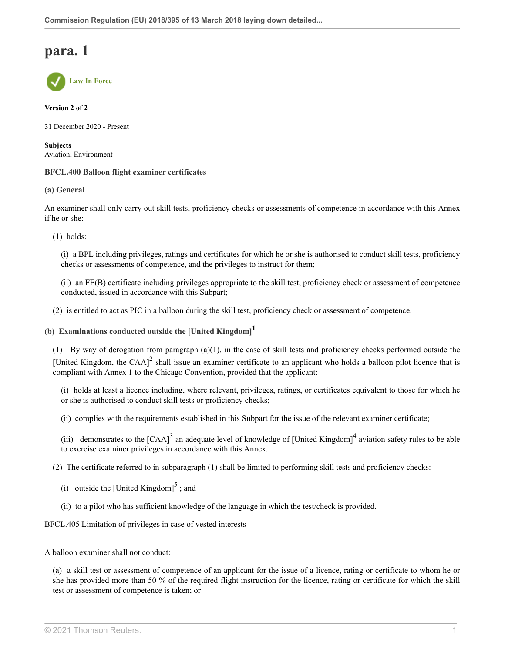**Law In Force**

**Version 2 of 2**

31 December 2020 - Present

**Subjects** Aviation; Environment

#### **BFCL.400 Balloon flight examiner certificates**

**(a) General**

An examiner shall only carry out skill tests, proficiency checks or assessments of competence in accordance with this Annex if he or she:

(1) holds:

(i) a BPL including privileges, ratings and certificates for which he or she is authorised to conduct skill tests, proficiency checks or assessments of competence, and the privileges to instruct for them;

<span id="page-125-0"></span>(ii) an FE(B) certificate including privileges appropriate to the skill test, proficiency check or assessment of competence conducted, issued in accordance with this Subpart;

(2) is entitled to act as PIC in a balloon during the skill test, proficiency check or assessment of competence.

## **(b) Examinations conducted outside the [United Kingdom] [1](#page-126-0)**

(1) By way of derogation from paragraph (a)(1), in the case of skill tests and proficiency checks performed outside the [United Kingdom, the CAA]<sup>[2](#page-126-1)</sup> shall issue an examiner certificate to an applicant who holds a balloon pilot licence that is compliant with Annex 1 to the Chicago Convention, provided that the applicant:

<span id="page-125-1"></span>(i) holds at least a licence including, where relevant, privileges, ratings, or certificates equivalent to those for which he or she is authorised to conduct skill tests or proficiency checks;

(ii) complies with the requirements established in this Subpart for the issue of the relevant examiner certificate;

<span id="page-125-3"></span><span id="page-125-2"></span>(iii) demonstrates to the  $[CAA]^3$  $[CAA]^3$  an adequate level of knowledge of [United Kingdom]<sup>[4](#page-127-0)</sup> aviation safety rules to be able to exercise examiner privileges in accordance with this Annex.

(2) The certificate referred to in subparagraph (1) shall be limited to performing skill tests and proficiency checks:

- <span id="page-125-4"></span>(i) outside the [United Kingdom] $<sup>5</sup>$  $<sup>5</sup>$  $<sup>5</sup>$ ; and</sup>
- (ii) to a pilot who has sufficient knowledge of the language in which the test/check is provided.

BFCL.405 Limitation of privileges in case of vested interests

A balloon examiner shall not conduct:

(a) a skill test or assessment of competence of an applicant for the issue of a licence, rating or certificate to whom he or she has provided more than 50 % of the required flight instruction for the licence, rating or certificate for which the skill test or assessment of competence is taken; or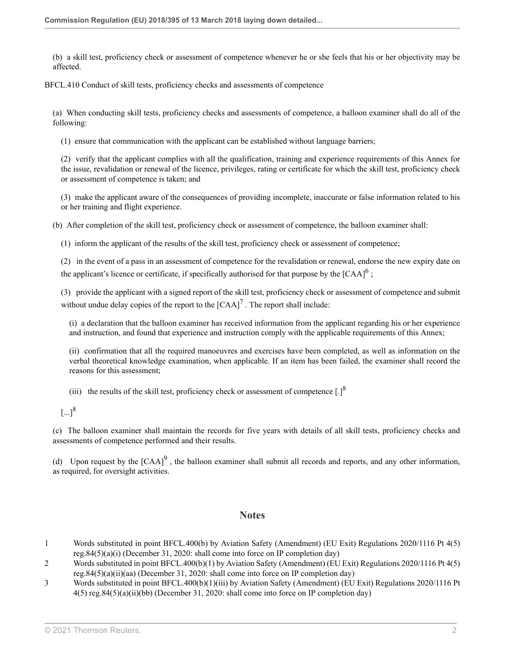(b) a skill test, proficiency check or assessment of competence whenever he or she feels that his or her objectivity may be affected.

BFCL.410 Conduct of skill tests, proficiency checks and assessments of competence

(a) When conducting skill tests, proficiency checks and assessments of competence, a balloon examiner shall do all of the following:

(1) ensure that communication with the applicant can be established without language barriers;

(2) verify that the applicant complies with all the qualification, training and experience requirements of this Annex for the issue, revalidation or renewal of the licence, privileges, rating or certificate for which the skill test, proficiency check or assessment of competence is taken; and

(3) make the applicant aware of the consequences of providing incomplete, inaccurate or false information related to his or her training and flight experience.

(b) After completion of the skill test, proficiency check or assessment of competence, the balloon examiner shall:

(1) inform the applicant of the results of the skill test, proficiency check or assessment of competence;

(2) in the event of a pass in an assessment of competence for the revalidation or renewal, endorse the new expiry date on the applicant's licence or certificate, if specifically authorised for that purpose by the  $[{\rm CAA}]^6$  $[{\rm CAA}]^6$ ;

(3) provide the applicant with a signed report of the skill test, proficiency check or assessment of competence and submit without undue delay copies of the report to the  ${[CAA]}^7$  ${[CAA]}^7$ . The report shall include:

<span id="page-126-4"></span>(i) a declaration that the balloon examiner has received information from the applicant regarding his or her experience and instruction, and found that experience and instruction comply with the applicable requirements of this Annex;

(ii) confirmation that all the required manoeuvres and exercises have been completed, as well as information on the verbal theoretical knowledge examination, when applicable. If an item has been failed, the examiner shall record the reasons for this assessment;

(iii) the results of the skill test, proficiency check or assessment of competence  $[.]^8$  $[.]^8$ 

(c) The balloon examiner shall maintain the records for five years with details of all skill tests, proficiency checks and assessments of competence performed and their results.

(d) Upon request by the  $[CAA]^9$  $[CAA]^9$ , the balloon examiner shall submit all records and reports, and any other information, as required, for oversight activities.

### <span id="page-126-6"></span><span id="page-126-5"></span><span id="page-126-3"></span>**Notes**

- <span id="page-126-0"></span>[1](#page-125-0) Words substituted in point BFCL.400(b) by Aviation Safety (Amendment) (EU Exit) Regulations 2020/1116 [Pt 4\(5\)](http://uk.westlaw.com/Document/I3AD56FA00E9E11EBA7DFEE51C635DBBB/View/FullText.html?originationContext=document&transitionType=DocumentItem&vr=3.0&rs=PLUK1.0&contextData=(sc.Search)) [reg.84\(5\)\(a\)\(i\)](http://uk.westlaw.com/Document/I3AD56FA00E9E11EBA7DFEE51C635DBBB/View/FullText.html?originationContext=document&transitionType=DocumentItem&vr=3.0&rs=PLUK1.0&contextData=(sc.Search)) (December 31, 2020: shall come into force on IP completion day)
- <span id="page-126-1"></span>[2](#page-125-1) Words substituted in point BFCL.400(b)(1) by Aviation Safety (Amendment) (EU Exit) Regulations 2020/1116 [Pt 4\(5\)](http://uk.westlaw.com/Document/I3AD56FA00E9E11EBA7DFEE51C635DBBB/View/FullText.html?originationContext=document&transitionType=DocumentItem&vr=3.0&rs=PLUK1.0&contextData=(sc.Search)) [reg.84\(5\)\(a\)\(ii\)\(aa\)](http://uk.westlaw.com/Document/I3AD56FA00E9E11EBA7DFEE51C635DBBB/View/FullText.html?originationContext=document&transitionType=DocumentItem&vr=3.0&rs=PLUK1.0&contextData=(sc.Search)) (December 31, 2020: shall come into force on IP completion day)
- <span id="page-126-2"></span>[3](#page-125-2) Words substituted in point BFCL.400(b)(1)(iii) by Aviation Safety (Amendment) (EU Exit) Regulations 2020/1116 [Pt](http://uk.westlaw.com/Document/I3AD56FA00E9E11EBA7DFEE51C635DBBB/View/FullText.html?originationContext=document&transitionType=DocumentItem&vr=3.0&rs=PLUK1.0&contextData=(sc.Search)) [4\(5\) reg.84\(5\)\(a\)\(ii\)\(bb\)](http://uk.westlaw.com/Document/I3AD56FA00E9E11EBA7DFEE51C635DBBB/View/FullText.html?originationContext=document&transitionType=DocumentItem&vr=3.0&rs=PLUK1.0&contextData=(sc.Search)) (December 31, 2020: shall come into force on IP completion day)

 $\left[...\right]^{8}$  $\left[...\right]^{8}$  $\left[...\right]^{8}$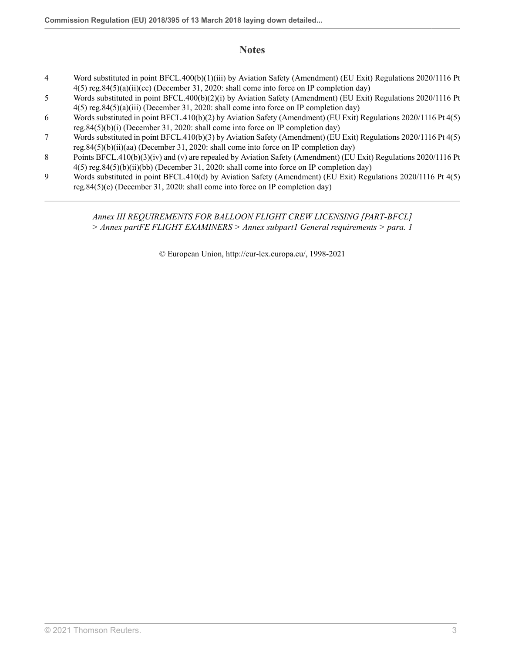## **Notes**

- <span id="page-127-0"></span>[4](#page-125-3) Word substituted in point BFCL.400(b)(1)(iii) by Aviation Safety (Amendment) (EU Exit) Regulations 2020/1116 [Pt](http://uk.westlaw.com/Document/I3AD56FA00E9E11EBA7DFEE51C635DBBB/View/FullText.html?originationContext=document&transitionType=DocumentItem&vr=3.0&rs=PLUK1.0&contextData=(sc.Search)) [4\(5\) reg.84\(5\)\(a\)\(ii\)\(cc\)](http://uk.westlaw.com/Document/I3AD56FA00E9E11EBA7DFEE51C635DBBB/View/FullText.html?originationContext=document&transitionType=DocumentItem&vr=3.0&rs=PLUK1.0&contextData=(sc.Search)) (December 31, 2020: shall come into force on IP completion day)
- <span id="page-127-1"></span>[5](#page-125-4) Words substituted in point BFCL.400(b)(2)(i) by Aviation Safety (Amendment) (EU Exit) Regulations 2020/1116 [Pt](http://uk.westlaw.com/Document/I3AD56FA00E9E11EBA7DFEE51C635DBBB/View/FullText.html?originationContext=document&transitionType=DocumentItem&vr=3.0&rs=PLUK1.0&contextData=(sc.Search)) [4\(5\) reg.84\(5\)\(a\)\(iii\)](http://uk.westlaw.com/Document/I3AD56FA00E9E11EBA7DFEE51C635DBBB/View/FullText.html?originationContext=document&transitionType=DocumentItem&vr=3.0&rs=PLUK1.0&contextData=(sc.Search)) (December 31, 2020: shall come into force on IP completion day)
- <span id="page-127-2"></span>[6](#page-126-3) Words substituted in point BFCL.410(b)(2) by Aviation Safety (Amendment) (EU Exit) Regulations 2020/1116 [Pt 4\(5\)](http://uk.westlaw.com/Document/I3AD56FA00E9E11EBA7DFEE51C635DBBB/View/FullText.html?originationContext=document&transitionType=DocumentItem&vr=3.0&rs=PLUK1.0&contextData=(sc.Search)) [reg.84\(5\)\(b\)\(i\)](http://uk.westlaw.com/Document/I3AD56FA00E9E11EBA7DFEE51C635DBBB/View/FullText.html?originationContext=document&transitionType=DocumentItem&vr=3.0&rs=PLUK1.0&contextData=(sc.Search)) (December 31, 2020: shall come into force on IP completion day)
- <span id="page-127-3"></span>[7](#page-126-4) Words substituted in point BFCL.410(b)(3) by Aviation Safety (Amendment) (EU Exit) Regulations 2020/1116 [Pt 4\(5\)](http://uk.westlaw.com/Document/I3AD56FA00E9E11EBA7DFEE51C635DBBB/View/FullText.html?originationContext=document&transitionType=DocumentItem&vr=3.0&rs=PLUK1.0&contextData=(sc.Search)) [reg.84\(5\)\(b\)\(ii\)\(aa\)](http://uk.westlaw.com/Document/I3AD56FA00E9E11EBA7DFEE51C635DBBB/View/FullText.html?originationContext=document&transitionType=DocumentItem&vr=3.0&rs=PLUK1.0&contextData=(sc.Search)) (December 31, 2020: shall come into force on IP completion day)
- <span id="page-127-4"></span>[8](#page-126-5) Points BFCL.410(b)(3)(iv) and (v) are repealed by Aviation Safety (Amendment) (EU Exit) Regulations 2020/1116 [Pt](http://uk.westlaw.com/Document/I3AD56FA00E9E11EBA7DFEE51C635DBBB/View/FullText.html?originationContext=document&transitionType=DocumentItem&vr=3.0&rs=PLUK1.0&contextData=(sc.Search)) [4\(5\) reg.84\(5\)\(b\)\(ii\)\(bb\)](http://uk.westlaw.com/Document/I3AD56FA00E9E11EBA7DFEE51C635DBBB/View/FullText.html?originationContext=document&transitionType=DocumentItem&vr=3.0&rs=PLUK1.0&contextData=(sc.Search)) (December 31, 2020: shall come into force on IP completion day)
- <span id="page-127-5"></span>[9](#page-126-6) Words substituted in point BFCL.410(d) by Aviation Safety (Amendment) (EU Exit) Regulations 2020/1116 [Pt 4\(5\)](http://uk.westlaw.com/Document/I3AD56FA00E9E11EBA7DFEE51C635DBBB/View/FullText.html?originationContext=document&transitionType=DocumentItem&vr=3.0&rs=PLUK1.0&contextData=(sc.Search)) [reg.84\(5\)\(c\)](http://uk.westlaw.com/Document/I3AD56FA00E9E11EBA7DFEE51C635DBBB/View/FullText.html?originationContext=document&transitionType=DocumentItem&vr=3.0&rs=PLUK1.0&contextData=(sc.Search)) (December 31, 2020: shall come into force on IP completion day)

### *Annex III REQUIREMENTS FOR BALLOON FLIGHT CREW LICENSING [PART-BFCL] > Annex partFE FLIGHT EXAMINERS > Annex subpart1 General requirements > para. 1*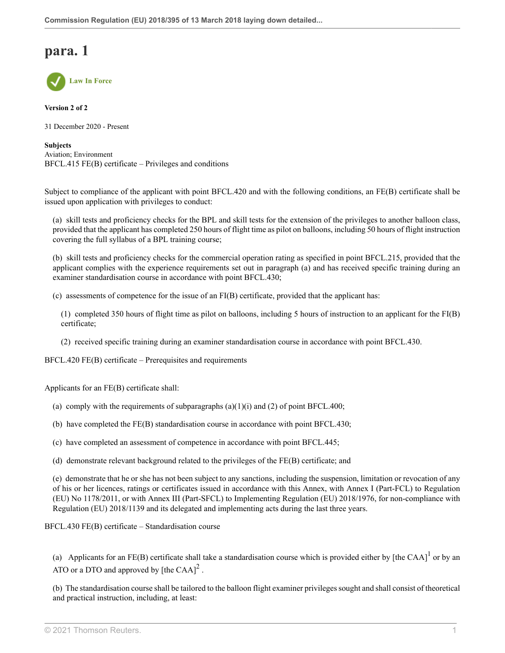

**Version 2 of 2**

31 December 2020 - Present

**Subjects** Aviation; Environment BFCL.415 FE(B) certificate – Privileges and conditions

Subject to compliance of the applicant with point BFCL.420 and with the following conditions, an FE(B) certificate shall be issued upon application with privileges to conduct:

(a) skill tests and proficiency checks for the BPL and skill tests for the extension of the privileges to another balloon class, provided that the applicant has completed 250 hours of flight time as pilot on balloons, including 50 hours of flight instruction covering the full syllabus of a BPL training course;

(b) skill tests and proficiency checks for the commercial operation rating as specified in point BFCL.215, provided that the applicant complies with the experience requirements set out in paragraph (a) and has received specific training during an examiner standardisation course in accordance with point BFCL.430;

(c) assessments of competence for the issue of an FI(B) certificate, provided that the applicant has:

(1) completed 350 hours of flight time as pilot on balloons, including 5 hours of instruction to an applicant for the FI(B) certificate;

(2) received specific training during an examiner standardisation course in accordance with point BFCL.430.

BFCL.420 FE(B) certificate – Prerequisites and requirements

Applicants for an FE(B) certificate shall:

- (a) comply with the requirements of subparagraphs  $(a)(1)(i)$  and  $(2)$  of point BFCL.400;
- (b) have completed the FE(B) standardisation course in accordance with point BFCL.430;
- (c) have completed an assessment of competence in accordance with point BFCL.445;

(d) demonstrate relevant background related to the privileges of the FE(B) certificate; and

(e) demonstrate that he or she has not been subject to any sanctions, including the suspension, limitation or revocation of any of his or her licences, ratings or certificates issued in accordance with this Annex, with Annex I (Part-FCL) to Regulation (EU) No 1178/2011, or with Annex III (Part-SFCL) to Implementing Regulation (EU) 2018/1976, for non-compliance with Regulation (EU) 2018/1139 and its delegated and implementing acts during the last three years.

BFCL.430 FE(B) certificate – Standardisation course

<span id="page-128-1"></span><span id="page-128-0"></span>(a) Applicants for an FE(B) certificate shall take a standardisation course which is provided either by [the CAA]<sup>[1](#page-130-0)</sup> or by an ATO or a DTO and approved by [the CAA]<sup>[2](#page-130-1)</sup>.

(b) The standardisation course shall be tailored to the balloon flight examiner privileges sought and shall consist of theoretical and practical instruction, including, at least: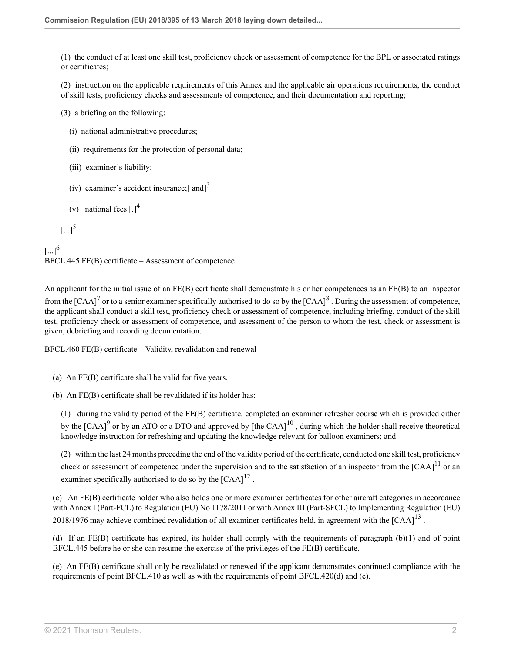(1) the conduct of at least one skill test, proficiency check or assessment of competence for the BPL or associated ratings or certificates;

(2) instruction on the applicable requirements of this Annex and the applicable air operations requirements, the conduct of skill tests, proficiency checks and assessments of competence, and their documentation and reporting;

(3) a briefing on the following:

- (i) national administrative procedures;
- (ii) requirements for the protection of personal data;
- (iii) examiner's liability;
- <span id="page-129-0"></span>(iv) examiner's accident insurance;[ and] $^3$  $^3$
- <span id="page-129-5"></span><span id="page-129-1"></span>(v) national fees  $\left[ . \right]^4$  $\left[ . \right]^4$

```
5
```
<span id="page-129-3"></span> $[...]^{6}$  $[...]^{6}$  $[...]^{6}$ BFCL.445 FE(B) certificate – Assessment of competence

<span id="page-129-4"></span>An applicant for the initial issue of an FE(B) certificate shall demonstrate his or her competences as an FE(B) to an inspector from the [CAA]<sup>[7](#page-130-6)</sup> or to a senior examiner specifically authorised to do so by the [CAA]<sup>[8](#page-130-7)</sup>. During the assessment of competence, the applicant shall conduct a skill test, proficiency check or assessment of competence, including briefing, conduct of the skill test, proficiency check or assessment of competence, and assessment of the person to whom the test, check or assessment is given, debriefing and recording documentation.

BFCL.460 FE(B) certificate – Validity, revalidation and renewal

(a) An FE(B) certificate shall be valid for five years.

(b) An FE(B) certificate shall be revalidated if its holder has:

<span id="page-129-7"></span><span id="page-129-6"></span>(1) during the validity period of the FE(B) certificate, completed an examiner refresher course which is provided either by the  ${[CAA]}^9$  ${[CAA]}^9$  or by an ATO or a DTO and approved by  ${[the\;CAA]}^{10}$  ${[the\;CAA]}^{10}$  ${[the\;CAA]}^{10}$ , during which the holder shall receive theoretical knowledge instruction for refreshing and updating the knowledge relevant for balloon examiners; and

<span id="page-129-10"></span><span id="page-129-9"></span><span id="page-129-8"></span>(2) within the last 24 months preceding the end of the validity period of the certificate, conducted one skill test, proficiency check or assessment of competence under the supervision and to the satisfaction of an inspector from the  $[CAA]$ <sup>[11](#page-130-10)</sup> or an examiner specifically authorised to do so by the  $[CAA]^{12}$  $[CAA]^{12}$  $[CAA]^{12}$ .

(c) An FE(B) certificate holder who also holds one or more examiner certificates for other aircraft categories in accordance with Annex I (Part-FCL) to Regulation (EU) No 1178/2011 or with Annex III (Part-SFCL) to Implementing Regulation (EU) 2018/1976 may achieve combined revalidation of all examiner certificates held, in agreement with the  $[{\rm CAA}]^{13}$  $[{\rm CAA}]^{13}$  $[{\rm CAA}]^{13}$ .

(d) If an FE(B) certificate has expired, its holder shall comply with the requirements of paragraph (b)(1) and of point BFCL.445 before he or she can resume the exercise of the privileges of the FE(B) certificate.

(e) An FE(B) certificate shall only be revalidated or renewed if the applicant demonstrates continued compliance with the requirements of point BFCL.410 as well as with the requirements of point BFCL.420(d) and (e).